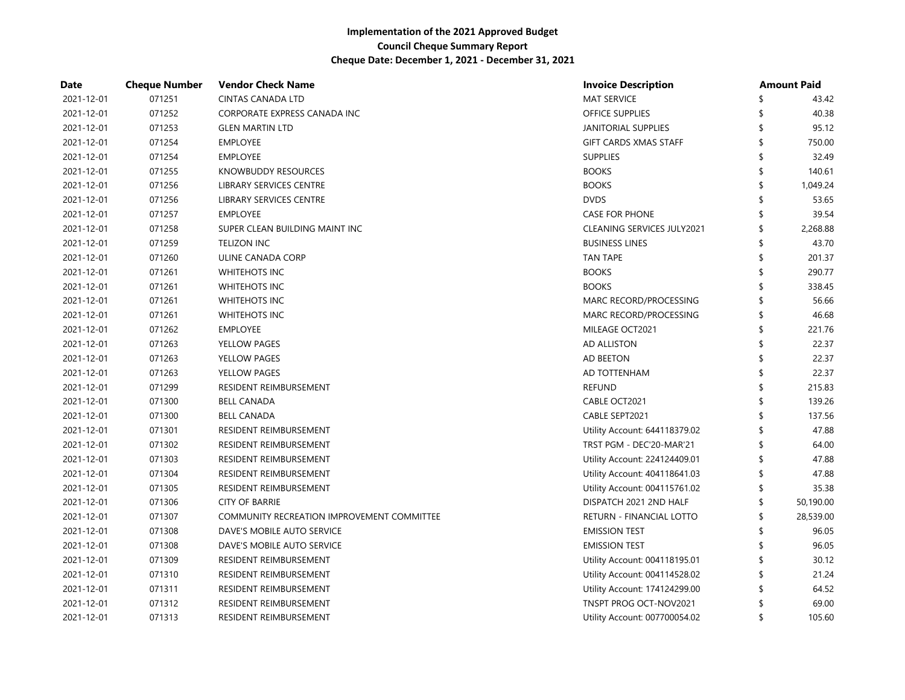| Date       | <b>Cheque Number</b> | <b>Vendor Check Name</b>                   | <b>Invoice Description</b>        | <b>Amount Paid</b> |
|------------|----------------------|--------------------------------------------|-----------------------------------|--------------------|
| 2021-12-01 | 071251               | <b>CINTAS CANADA LTD</b>                   | <b>MAT SERVICE</b>                | 43.42              |
| 2021-12-01 | 071252               | CORPORATE EXPRESS CANADA INC               | OFFICE SUPPLIES                   | 40.38              |
| 2021-12-01 | 071253               | <b>GLEN MARTIN LTD</b>                     | <b>JANITORIAL SUPPLIES</b>        | 95.12              |
| 2021-12-01 | 071254               | <b>EMPLOYEE</b>                            | <b>GIFT CARDS XMAS STAFF</b>      | 750.00             |
| 2021-12-01 | 071254               | <b>EMPLOYEE</b>                            | <b>SUPPLIES</b>                   | 32.49              |
| 2021-12-01 | 071255               | KNOWBUDDY RESOURCES                        | <b>BOOKS</b>                      | 140.61             |
| 2021-12-01 | 071256               | LIBRARY SERVICES CENTRE                    | <b>BOOKS</b>                      | 1,049.24           |
| 2021-12-01 | 071256               | LIBRARY SERVICES CENTRE                    | <b>DVDS</b>                       | 53.65              |
| 2021-12-01 | 071257               | <b>EMPLOYEE</b>                            | <b>CASE FOR PHONE</b>             | 39.54              |
| 2021-12-01 | 071258               | SUPER CLEAN BUILDING MAINT INC             | <b>CLEANING SERVICES JULY2021</b> | 2,268.88           |
| 2021-12-01 | 071259               | <b>TELIZON INC</b>                         | <b>BUSINESS LINES</b>             | 43.70              |
| 2021-12-01 | 071260               | ULINE CANADA CORP                          | <b>TAN TAPE</b>                   | 201.37             |
| 2021-12-01 | 071261               | <b>WHITEHOTS INC</b>                       | <b>BOOKS</b>                      | 290.77             |
| 2021-12-01 | 071261               | <b>WHITEHOTS INC</b>                       | <b>BOOKS</b>                      | 338.45             |
| 2021-12-01 | 071261               | <b>WHITEHOTS INC</b>                       | MARC RECORD/PROCESSING            | 56.66              |
| 2021-12-01 | 071261               | <b>WHITEHOTS INC</b>                       | MARC RECORD/PROCESSING            | 46.68              |
| 2021-12-01 | 071262               | <b>EMPLOYEE</b>                            | MILEAGE OCT2021                   | 221.76             |
| 2021-12-01 | 071263               | YELLOW PAGES                               | <b>AD ALLISTON</b>                | 22.37              |
| 2021-12-01 | 071263               | YELLOW PAGES                               | AD BEETON                         | 22.37              |
| 2021-12-01 | 071263               | YELLOW PAGES                               | AD TOTTENHAM                      | 22.37              |
| 2021-12-01 | 071299               | RESIDENT REIMBURSEMENT                     | <b>REFUND</b>                     | 215.83             |
| 2021-12-01 | 071300               | <b>BELL CANADA</b>                         | CABLE OCT2021                     | 139.26             |
| 2021-12-01 | 071300               | <b>BELL CANADA</b>                         | CABLE SEPT2021                    | 137.56             |
| 2021-12-01 | 071301               | RESIDENT REIMBURSEMENT                     | Utility Account: 644118379.02     | 47.88              |
| 2021-12-01 | 071302               | RESIDENT REIMBURSEMENT                     | TRST PGM - DEC'20-MAR'21          | 64.00              |
| 2021-12-01 | 071303               | RESIDENT REIMBURSEMENT                     | Utility Account: 224124409.01     | 47.88              |
| 2021-12-01 | 071304               | RESIDENT REIMBURSEMENT                     | Utility Account: 404118641.03     | 47.88              |
| 2021-12-01 | 071305               | RESIDENT REIMBURSEMENT                     | Utility Account: 004115761.02     | 35.38              |
| 2021-12-01 | 071306               | <b>CITY OF BARRIE</b>                      | DISPATCH 2021 2ND HALF            | 50,190.00          |
| 2021-12-01 | 071307               | COMMUNITY RECREATION IMPROVEMENT COMMITTEE | RETURN - FINANCIAL LOTTO          | 28,539.00          |
| 2021-12-01 | 071308               | DAVE'S MOBILE AUTO SERVICE                 | <b>EMISSION TEST</b>              | 96.05              |
| 2021-12-01 | 071308               | DAVE'S MOBILE AUTO SERVICE                 | <b>EMISSION TEST</b>              | 96.05              |
| 2021-12-01 | 071309               | RESIDENT REIMBURSEMENT                     | Utility Account: 004118195.01     | 30.12              |
| 2021-12-01 | 071310               | RESIDENT REIMBURSEMENT                     | Utility Account: 004114528.02     | 21.24              |
| 2021-12-01 | 071311               | RESIDENT REIMBURSEMENT                     | Utility Account: 174124299.00     | 64.52              |
| 2021-12-01 | 071312               | RESIDENT REIMBURSEMENT                     | TNSPT PROG OCT-NOV2021            | 69.00              |
| 2021-12-01 | 071313               | RESIDENT REIMBURSEMENT                     | Utility Account: 007700054.02     | 105.60             |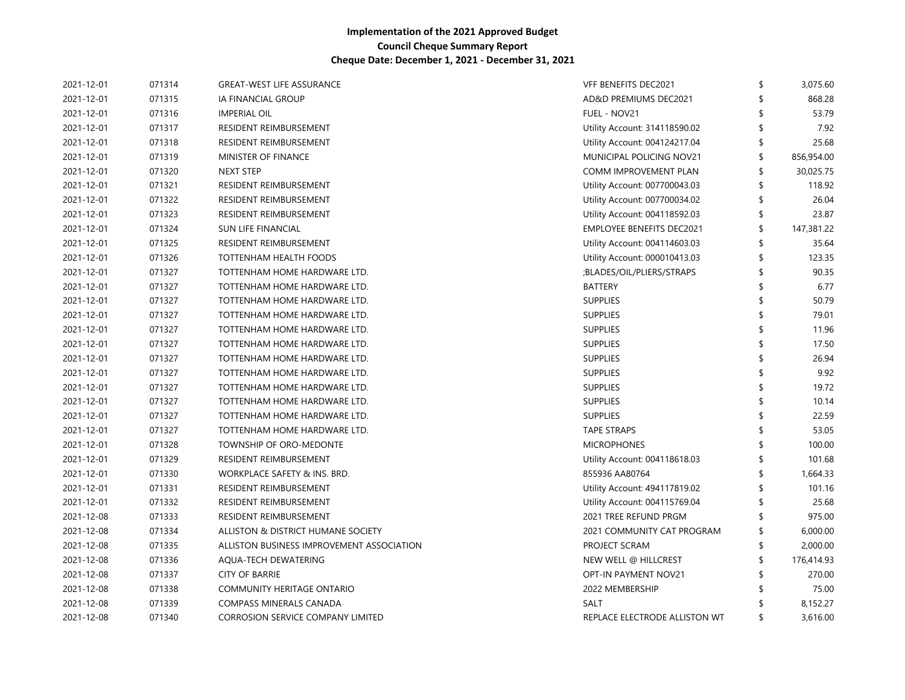| 2021-12-01 | 071314 | <b>GREAT-WEST LIFE ASSURANCE</b>          | VFF BENEFITS DEC2021             | \$<br>3,075.60   |
|------------|--------|-------------------------------------------|----------------------------------|------------------|
| 2021-12-01 | 071315 | IA FINANCIAL GROUP                        | AD&D PREMIUMS DEC2021            | 868.28           |
| 2021-12-01 | 071316 | <b>IMPERIAL OIL</b>                       | FUEL - NOV21                     | 53.79            |
| 2021-12-01 | 071317 | RESIDENT REIMBURSEMENT                    | Utility Account: 314118590.02    | 7.92             |
| 2021-12-01 | 071318 | RESIDENT REIMBURSEMENT                    | Utility Account: 004124217.04    | 25.68            |
| 2021-12-01 | 071319 | MINISTER OF FINANCE                       | MUNICIPAL POLICING NOV21         | \$<br>856,954.00 |
| 2021-12-01 | 071320 | <b>NEXT STEP</b>                          | COMM IMPROVEMENT PLAN            | 30,025.75        |
| 2021-12-01 | 071321 | RESIDENT REIMBURSEMENT                    | Utility Account: 007700043.03    | 118.92           |
| 2021-12-01 | 071322 | RESIDENT REIMBURSEMENT                    | Utility Account: 007700034.02    | 26.04            |
| 2021-12-01 | 071323 | RESIDENT REIMBURSEMENT                    | Utility Account: 004118592.03    | \$<br>23.87      |
| 2021-12-01 | 071324 | SUN LIFE FINANCIAL                        | <b>EMPLOYEE BENEFITS DEC2021</b> | 147,381.22       |
| 2021-12-01 | 071325 | RESIDENT REIMBURSEMENT                    | Utility Account: 004114603.03    | \$<br>35.64      |
| 2021-12-01 | 071326 | TOTTENHAM HEALTH FOODS                    | Utility Account: 000010413.03    | \$<br>123.35     |
| 2021-12-01 | 071327 | TOTTENHAM HOME HARDWARE LTD.              | ;BLADES/OIL/PLIERS/STRAPS        | 90.35            |
| 2021-12-01 | 071327 | TOTTENHAM HOME HARDWARE LTD.              | <b>BATTERY</b>                   | 6.77             |
| 2021-12-01 | 071327 | TOTTENHAM HOME HARDWARE LTD.              | <b>SUPPLIES</b>                  | 50.79            |
| 2021-12-01 | 071327 | TOTTENHAM HOME HARDWARE LTD.              | <b>SUPPLIES</b>                  | 79.01            |
| 2021-12-01 | 071327 | TOTTENHAM HOME HARDWARE LTD.              | <b>SUPPLIES</b>                  | 11.96            |
| 2021-12-01 | 071327 | TOTTENHAM HOME HARDWARE LTD.              | <b>SUPPLIES</b>                  | 17.50            |
| 2021-12-01 | 071327 | TOTTENHAM HOME HARDWARE LTD.              | <b>SUPPLIES</b>                  | 26.94            |
| 2021-12-01 | 071327 | TOTTENHAM HOME HARDWARE LTD.              | <b>SUPPLIES</b>                  | 9.92             |
| 2021-12-01 | 071327 | TOTTENHAM HOME HARDWARE LTD.              | <b>SUPPLIES</b>                  | 19.72            |
| 2021-12-01 | 071327 | TOTTENHAM HOME HARDWARE LTD.              | <b>SUPPLIES</b>                  | 10.14            |
| 2021-12-01 | 071327 | TOTTENHAM HOME HARDWARE LTD.              | <b>SUPPLIES</b>                  | 22.59            |
| 2021-12-01 | 071327 | TOTTENHAM HOME HARDWARE LTD.              | <b>TAPE STRAPS</b>               | 53.05            |
| 2021-12-01 | 071328 | TOWNSHIP OF ORO-MEDONTE                   | <b>MICROPHONES</b>               | 100.00           |
| 2021-12-01 | 071329 | RESIDENT REIMBURSEMENT                    | Utility Account: 004118618.03    | 101.68           |
| 2021-12-01 | 071330 | WORKPLACE SAFETY & INS. BRD.              | 855936 AA80764                   | 1,664.33         |
| 2021-12-01 | 071331 | RESIDENT REIMBURSEMENT                    | Utility Account: 494117819.02    | 101.16           |
| 2021-12-01 | 071332 | RESIDENT REIMBURSEMENT                    | Utility Account: 004115769.04    | 25.68            |
| 2021-12-08 | 071333 | RESIDENT REIMBURSEMENT                    | 2021 TREE REFUND PRGM            | 975.00           |
| 2021-12-08 | 071334 | ALLISTON & DISTRICT HUMANE SOCIETY        | 2021 COMMUNITY CAT PROGRAM       | 6,000.00         |
| 2021-12-08 | 071335 | ALLISTON BUSINESS IMPROVEMENT ASSOCIATION | PROJECT SCRAM                    | 2,000.00         |
| 2021-12-08 | 071336 | AQUA-TECH DEWATERING                      | NEW WELL @ HILLCREST             | 176,414.93       |
| 2021-12-08 | 071337 | <b>CITY OF BARRIE</b>                     | <b>OPT-IN PAYMENT NOV21</b>      | 270.00           |
| 2021-12-08 | 071338 | COMMUNITY HERITAGE ONTARIO                | 2022 MEMBERSHIP                  | 75.00            |
| 2021-12-08 | 071339 | COMPASS MINERALS CANADA                   | SALT                             | 8,152.27         |
| 2021-12-08 | 071340 | <b>CORROSION SERVICE COMPANY LIMITED</b>  | REPLACE ELECTRODE ALLISTON WT    | \$<br>3,616.00   |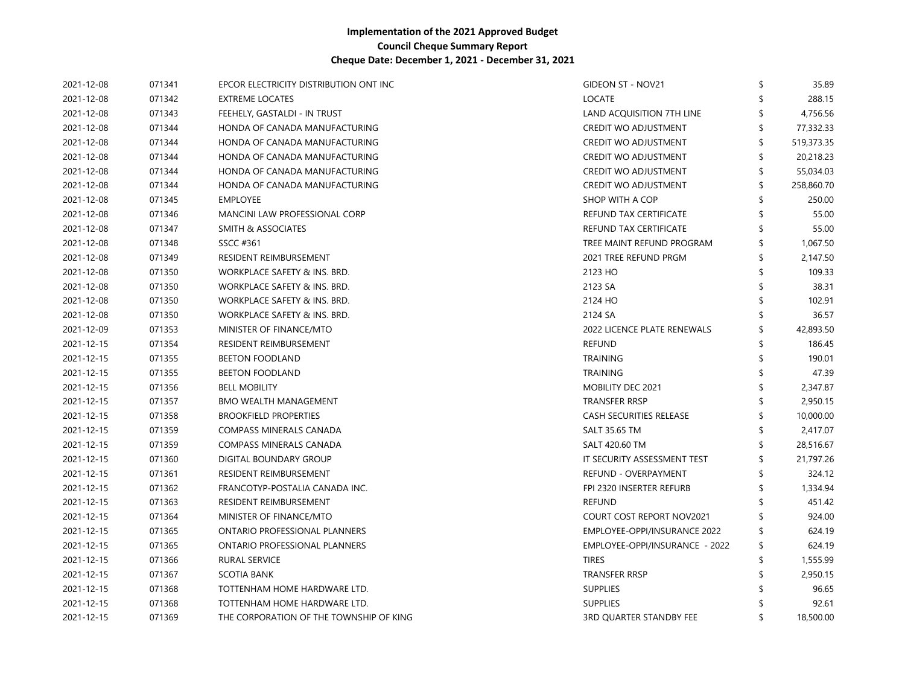| 2021-12-08 | 071341 | EPCOR ELECTRICITY DISTRIBUTION ONT INC  | <b>GIDEON ST - NOV21</b>         | 35.89      |
|------------|--------|-----------------------------------------|----------------------------------|------------|
| 2021-12-08 | 071342 | <b>EXTREME LOCATES</b>                  | <b>LOCATE</b>                    | 288.15     |
| 2021-12-08 | 071343 | FEEHELY, GASTALDI - IN TRUST            | LAND ACQUISITION 7TH LINE        | 4,756.56   |
| 2021-12-08 | 071344 | HONDA OF CANADA MANUFACTURING           | CREDIT WO ADJUSTMENT             | 77,332.33  |
| 2021-12-08 | 071344 | HONDA OF CANADA MANUFACTURING           | CREDIT WO ADJUSTMENT             | 519,373.35 |
| 2021-12-08 | 071344 | HONDA OF CANADA MANUFACTURING           | CREDIT WO ADJUSTMENT             | 20,218.23  |
| 2021-12-08 | 071344 | HONDA OF CANADA MANUFACTURING           | CREDIT WO ADJUSTMENT             | 55,034.03  |
| 2021-12-08 | 071344 | HONDA OF CANADA MANUFACTURING           | CREDIT WO ADJUSTMENT             | 258,860.70 |
| 2021-12-08 | 071345 | <b>EMPLOYEE</b>                         | SHOP WITH A COP                  | 250.00     |
| 2021-12-08 | 071346 | MANCINI LAW PROFESSIONAL CORP           | REFUND TAX CERTIFICATE           | 55.00      |
| 2021-12-08 | 071347 | <b>SMITH &amp; ASSOCIATES</b>           | REFUND TAX CERTIFICATE           | 55.00      |
| 2021-12-08 | 071348 | SSCC #361                               | TREE MAINT REFUND PROGRAM        | 1,067.50   |
| 2021-12-08 | 071349 | RESIDENT REIMBURSEMENT                  | 2021 TREE REFUND PRGM            | 2,147.50   |
| 2021-12-08 | 071350 | WORKPLACE SAFETY & INS. BRD.            | 2123 HO                          | 109.33     |
| 2021-12-08 | 071350 | WORKPLACE SAFETY & INS. BRD.            | 2123 SA                          | 38.31      |
| 2021-12-08 | 071350 | WORKPLACE SAFETY & INS. BRD.            | 2124 HO                          | 102.91     |
| 2021-12-08 | 071350 | WORKPLACE SAFETY & INS. BRD.            | 2124 SA                          | 36.57      |
| 2021-12-09 | 071353 | MINISTER OF FINANCE/MTO                 | 2022 LICENCE PLATE RENEWALS      | 42,893.50  |
| 2021-12-15 | 071354 | RESIDENT REIMBURSEMENT                  | <b>REFUND</b>                    | 186.45     |
| 2021-12-15 | 071355 | <b>BEETON FOODLAND</b>                  | <b>TRAINING</b>                  | 190.01     |
| 2021-12-15 | 071355 | <b>BEETON FOODLAND</b>                  | <b>TRAINING</b>                  | 47.39      |
| 2021-12-15 | 071356 | <b>BELL MOBILITY</b>                    | MOBILITY DEC 2021                | 2,347.87   |
| 2021-12-15 | 071357 | <b>BMO WEALTH MANAGEMENT</b>            | <b>TRANSFER RRSP</b>             | 2,950.15   |
| 2021-12-15 | 071358 | <b>BROOKFIELD PROPERTIES</b>            | CASH SECURITIES RELEASE          | 10,000.00  |
| 2021-12-15 | 071359 | COMPASS MINERALS CANADA                 | <b>SALT 35.65 TM</b>             | 2,417.07   |
| 2021-12-15 | 071359 | COMPASS MINERALS CANADA                 | SALT 420.60 TM                   | 28,516.67  |
| 2021-12-15 | 071360 | DIGITAL BOUNDARY GROUP                  | IT SECURITY ASSESSMENT TEST      | 21,797.26  |
| 2021-12-15 | 071361 | RESIDENT REIMBURSEMENT                  | REFUND - OVERPAYMENT             | 324.12     |
| 2021-12-15 | 071362 | FRANCOTYP-POSTALIA CANADA INC.          | FPI 2320 INSERTER REFURB         | 1,334.94   |
| 2021-12-15 | 071363 | RESIDENT REIMBURSEMENT                  | <b>REFUND</b>                    | 451.42     |
| 2021-12-15 | 071364 | MINISTER OF FINANCE/MTO                 | <b>COURT COST REPORT NOV2021</b> | 924.00     |
| 2021-12-15 | 071365 | ONTARIO PROFESSIONAL PLANNERS           | EMPLOYEE-OPPI/INSURANCE 2022     | 624.19     |
| 2021-12-15 | 071365 | ONTARIO PROFESSIONAL PLANNERS           | EMPLOYEE-OPPI/INSURANCE - 2022   | 624.19     |
| 2021-12-15 | 071366 | RURAL SERVICE                           | <b>TIRES</b>                     | 1,555.99   |
| 2021-12-15 | 071367 | SCOTIA BANK                             | TRANSFER RRSP                    | 2,950.15   |
| 2021-12-15 | 071368 | TOTTENHAM HOME HARDWARE LTD.            | <b>SUPPLIES</b>                  | 96.65      |
| 2021-12-15 | 071368 | TOTTENHAM HOME HARDWARE LTD.            | <b>SUPPLIES</b>                  | 92.61      |
| 2021-12-15 | 071369 | THE CORPORATION OF THE TOWNSHIP OF KING | <b>3RD OUARTER STANDBY FEE</b>   | 18,500.00  |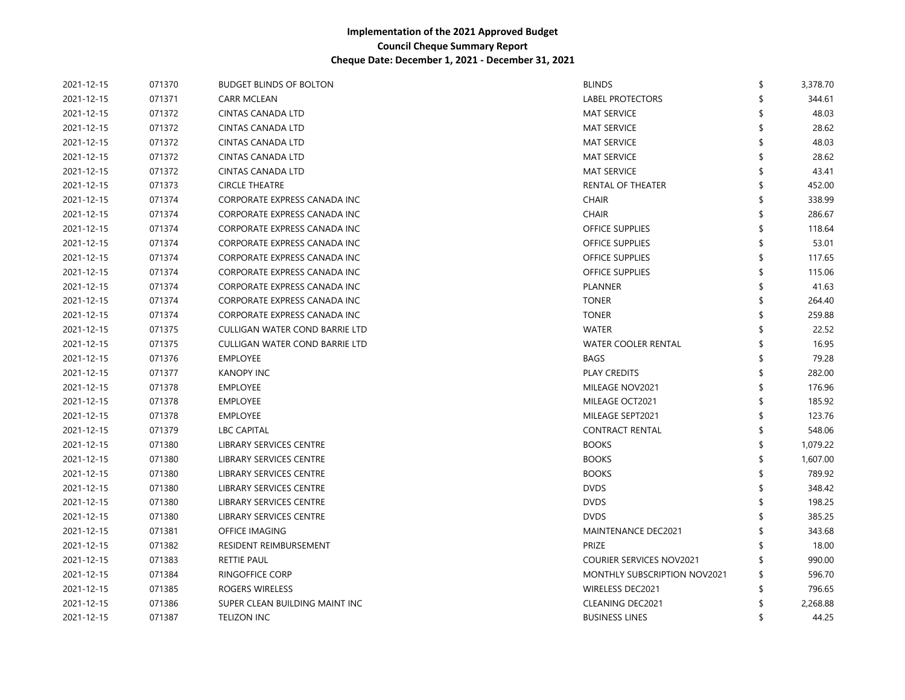| 2021-12-15 | 071370 | <b>BUDGET BLINDS OF BOLTON</b><br><b>BLINDS</b>              | \$<br>3,378.70 |
|------------|--------|--------------------------------------------------------------|----------------|
| 2021-12-15 | 071371 | <b>LABEL PROTECTORS</b><br><b>CARR MCLEAN</b>                | 344.61         |
| 2021-12-15 | 071372 | <b>MAT SERVICE</b><br>CINTAS CANADA LTD                      | 48.03          |
| 2021-12-15 | 071372 | <b>CINTAS CANADA LTD</b><br><b>MAT SERVICE</b>               | 28.62          |
| 2021-12-15 | 071372 | <b>CINTAS CANADA LTD</b><br><b>MAT SERVICE</b>               | 48.03          |
| 2021-12-15 | 071372 | <b>CINTAS CANADA LTD</b><br><b>MAT SERVICE</b>               | 28.62          |
| 2021-12-15 | 071372 | <b>CINTAS CANADA LTD</b><br><b>MAT SERVICE</b>               | 43.41          |
| 2021-12-15 | 071373 | <b>CIRCLE THEATRE</b><br>RENTAL OF THEATER                   | 452.00         |
| 2021-12-15 | 071374 | CORPORATE EXPRESS CANADA INC<br><b>CHAIR</b>                 | 338.99         |
| 2021-12-15 | 071374 | CORPORATE EXPRESS CANADA INC<br><b>CHAIR</b>                 | 286.67         |
| 2021-12-15 | 071374 | CORPORATE EXPRESS CANADA INC<br><b>OFFICE SUPPLIES</b>       | 118.64         |
| 2021-12-15 | 071374 | CORPORATE EXPRESS CANADA INC<br><b>OFFICE SUPPLIES</b>       | 53.01          |
| 2021-12-15 | 071374 | CORPORATE EXPRESS CANADA INC<br><b>OFFICE SUPPLIES</b>       | 117.65         |
| 2021-12-15 | 071374 | CORPORATE EXPRESS CANADA INC<br><b>OFFICE SUPPLIES</b>       | 115.06         |
| 2021-12-15 | 071374 | CORPORATE EXPRESS CANADA INC<br><b>PLANNER</b>               | 41.63          |
| 2021-12-15 | 071374 | CORPORATE EXPRESS CANADA INC<br><b>TONER</b>                 | 264.40         |
| 2021-12-15 | 071374 | CORPORATE EXPRESS CANADA INC<br><b>TONER</b>                 | 259.88         |
| 2021-12-15 | 071375 | CULLIGAN WATER COND BARRIE LTD<br><b>WATER</b>               | 22.52          |
| 2021-12-15 | 071375 | CULLIGAN WATER COND BARRIE LTD<br><b>WATER COOLER RENTAL</b> | 16.95          |
| 2021-12-15 | 071376 | <b>EMPLOYEE</b><br><b>BAGS</b>                               | 79.28          |
| 2021-12-15 | 071377 | <b>KANOPY INC</b><br>PLAY CREDITS                            | 282.00         |
| 2021-12-15 | 071378 | <b>EMPLOYEE</b><br>MILEAGE NOV2021                           | 176.96         |
| 2021-12-15 | 071378 | <b>EMPLOYEE</b><br>MILEAGE OCT2021                           | 185.92         |
| 2021-12-15 | 071378 | <b>EMPLOYEE</b><br>MILEAGE SEPT2021                          | 123.76         |
| 2021-12-15 | 071379 | <b>CONTRACT RENTAL</b><br><b>LBC CAPITAL</b>                 | 548.06         |
| 2021-12-15 | 071380 | LIBRARY SERVICES CENTRE<br><b>BOOKS</b>                      | 1,079.22       |
| 2021-12-15 | 071380 | <b>BOOKS</b><br>LIBRARY SERVICES CENTRE                      | 1,607.00       |
| 2021-12-15 | 071380 | LIBRARY SERVICES CENTRE<br><b>BOOKS</b>                      | 789.92         |
| 2021-12-15 | 071380 | <b>DVDS</b><br>LIBRARY SERVICES CENTRE                       | 348.42         |
| 2021-12-15 | 071380 | <b>DVDS</b><br>LIBRARY SERVICES CENTRE                       | 198.25         |
| 2021-12-15 | 071380 | LIBRARY SERVICES CENTRE<br><b>DVDS</b>                       | 385.25         |
| 2021-12-15 | 071381 | MAINTENANCE DEC2021<br>OFFICE IMAGING                        | 343.68         |
| 2021-12-15 | 071382 | RESIDENT REIMBURSEMENT<br>PRIZE                              | 18.00          |
| 2021-12-15 | 071383 | RETTIE PAUL<br><b>COURIER SERVICES NOV2021</b>               | 990.00         |
| 2021-12-15 | 071384 | <b>RINGOFFICE CORP</b><br>MONTHLY SUBSCRIPTION NOV2021       | 596.70         |
| 2021-12-15 | 071385 | ROGERS WIRELESS<br>WIRELESS DEC2021                          | 796.65         |
| 2021-12-15 | 071386 | <b>CLEANING DEC2021</b><br>SUPER CLEAN BUILDING MAINT INC    | 2,268.88       |
| 2021-12-15 | 071387 | <b>BUSINESS LINES</b><br><b>TELIZON INC</b>                  | 44.25          |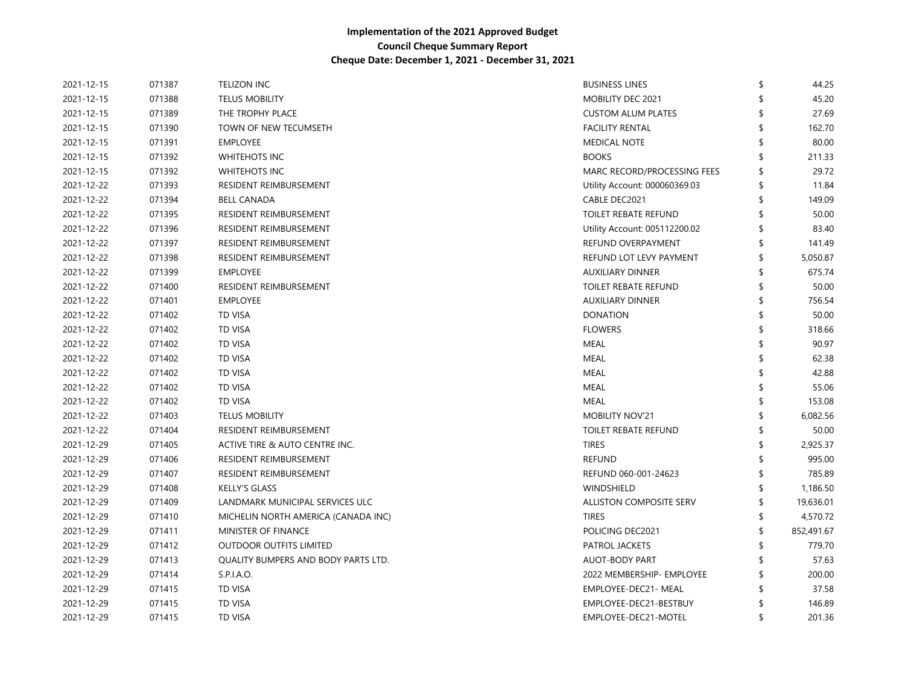| 2021-12-15 | 071387 | <b>TELIZON INC</b>                  | <b>BUSINESS LINES</b>         | 44.25      |
|------------|--------|-------------------------------------|-------------------------------|------------|
| 2021-12-15 | 071388 | <b>TELUS MOBILITY</b>               | MOBILITY DEC 2021             | 45.20      |
| 2021-12-15 | 071389 | THE TROPHY PLACE                    | <b>CUSTOM ALUM PLATES</b>     | 27.69      |
| 2021-12-15 | 071390 | TOWN OF NEW TECUMSETH               | <b>FACILITY RENTAL</b>        | 162.70     |
| 2021-12-15 | 071391 | <b>EMPLOYEE</b>                     | <b>MEDICAL NOTE</b>           | 80.00      |
| 2021-12-15 | 071392 | WHITEHOTS INC                       | <b>BOOKS</b>                  | 211.33     |
| 2021-12-15 | 071392 | WHITEHOTS INC                       | MARC RECORD/PROCESSING FEES   | 29.72      |
| 2021-12-22 | 071393 | RESIDENT REIMBURSEMENT              | Utility Account: 000060369.03 | 11.84      |
| 2021-12-22 | 071394 | <b>BELL CANADA</b>                  | CABLE DEC2021                 | 149.09     |
| 2021-12-22 | 071395 | RESIDENT REIMBURSEMENT              | <b>TOILET REBATE REFUND</b>   | 50.00      |
| 2021-12-22 | 071396 | RESIDENT REIMBURSEMENT              | Utility Account: 005112200.02 | 83.40      |
| 2021-12-22 | 071397 | <b>RESIDENT REIMBURSEMENT</b>       | REFUND OVERPAYMENT            | 141.49     |
| 2021-12-22 | 071398 | <b>RESIDENT REIMBURSEMENT</b>       | REFUND LOT LEVY PAYMENT       | 5,050.87   |
| 2021-12-22 | 071399 | <b>EMPLOYEE</b>                     | <b>AUXILIARY DINNER</b>       | 675.74     |
| 2021-12-22 | 071400 | <b>RESIDENT REIMBURSEMENT</b>       | <b>TOILET REBATE REFUND</b>   | 50.00      |
| 2021-12-22 | 071401 | <b>EMPLOYEE</b>                     | <b>AUXILIARY DINNER</b>       | 756.54     |
| 2021-12-22 | 071402 | <b>TD VISA</b>                      | <b>DONATION</b>               | 50.00      |
| 2021-12-22 | 071402 | <b>TD VISA</b>                      | <b>FLOWERS</b>                | 318.66     |
| 2021-12-22 | 071402 | <b>TD VISA</b>                      | <b>MEAL</b>                   | 90.97      |
| 2021-12-22 | 071402 | <b>TD VISA</b>                      | MEAL                          | 62.38      |
| 2021-12-22 | 071402 | <b>TD VISA</b>                      | <b>MEAL</b>                   | 42.88      |
| 2021-12-22 | 071402 | <b>TD VISA</b>                      | <b>MEAL</b>                   | 55.06      |
| 2021-12-22 | 071402 | <b>TD VISA</b>                      | <b>MEAL</b>                   | 153.08     |
| 2021-12-22 | 071403 | <b>TELUS MOBILITY</b>               | <b>MOBILITY NOV'21</b>        | 6,082.56   |
| 2021-12-22 | 071404 | RESIDENT REIMBURSEMENT              | <b>TOILET REBATE REFUND</b>   | 50.00      |
| 2021-12-29 | 071405 | ACTIVE TIRE & AUTO CENTRE INC.      | <b>TIRES</b>                  | 2,925.37   |
| 2021-12-29 | 071406 | RESIDENT REIMBURSEMENT              | <b>REFUND</b>                 | 995.00     |
| 2021-12-29 | 071407 | RESIDENT REIMBURSEMENT              | REFUND 060-001-24623          | 785.89     |
| 2021-12-29 | 071408 | <b>KELLY'S GLASS</b>                | <b>WINDSHIELD</b>             | 1,186.50   |
| 2021-12-29 | 071409 | LANDMARK MUNICIPAL SERVICES ULC     | ALLISTON COMPOSITE SERV       | 19,636.01  |
| 2021-12-29 | 071410 | MICHELIN NORTH AMERICA (CANADA INC) | <b>TIRES</b>                  | 4,570.72   |
| 2021-12-29 | 071411 | MINISTER OF FINANCE                 | POLICING DEC2021              | 852,491.67 |
| 2021-12-29 | 071412 | <b>OUTDOOR OUTFITS LIMITED</b>      | PATROL JACKETS                | 779.70     |
| 2021-12-29 | 071413 | QUALITY BUMPERS AND BODY PARTS LTD. | <b>AUOT-BODY PART</b>         | 57.63      |
| 2021-12-29 | 071414 | S.P.I.A.O.                          | 2022 MEMBERSHIP- EMPLOYEE     | 200.00     |
| 2021-12-29 | 071415 | <b>TD VISA</b>                      | EMPLOYEE-DEC21- MEAL          | 37.58      |
| 2021-12-29 | 071415 | <b>TD VISA</b>                      | EMPLOYEE-DEC21-BESTBUY        | 146.89     |
| 2021-12-29 | 071415 | <b>TD VISA</b>                      | EMPLOYEE-DEC21-MOTEL          | 201.36     |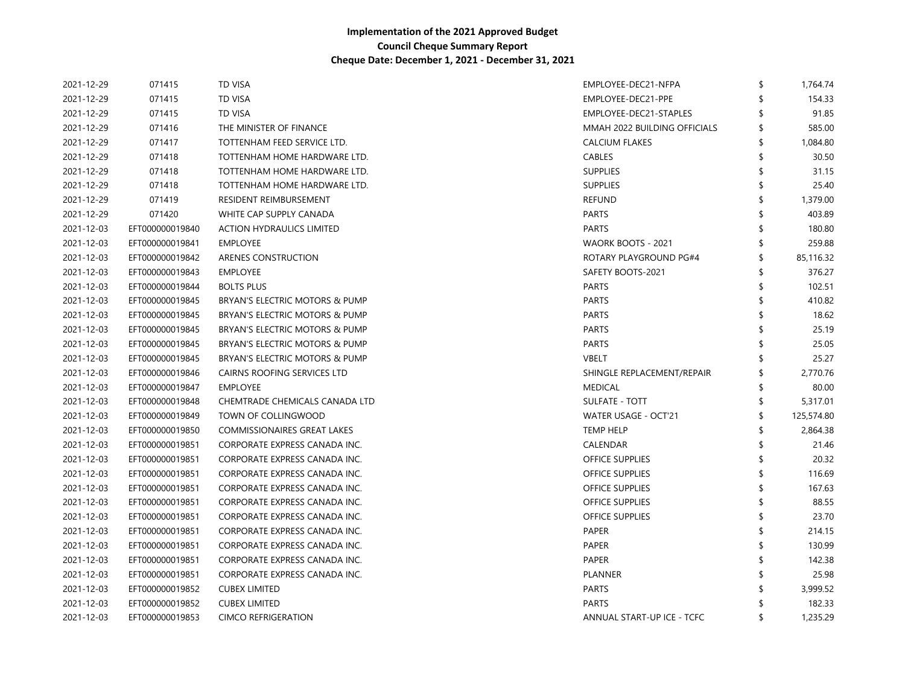| 2021-12-29 | 071415          | <b>TD VISA</b>                     | EMPLOYEE-DEC21-NFPA          | \$<br>1,764.74 |
|------------|-----------------|------------------------------------|------------------------------|----------------|
| 2021-12-29 | 071415          | <b>TD VISA</b>                     | EMPLOYEE-DEC21-PPE           | 154.33         |
| 2021-12-29 | 071415          | <b>TD VISA</b>                     | EMPLOYEE-DEC21-STAPLES       | 91.85          |
| 2021-12-29 | 071416          | THE MINISTER OF FINANCE            | MMAH 2022 BUILDING OFFICIALS | 585.00         |
| 2021-12-29 | 071417          | TOTTENHAM FEED SERVICE LTD.        | <b>CALCIUM FLAKES</b>        | 1,084.80       |
| 2021-12-29 | 071418          | TOTTENHAM HOME HARDWARE LTD.       | <b>CABLES</b>                | 30.50          |
| 2021-12-29 | 071418          | TOTTENHAM HOME HARDWARE LTD.       | <b>SUPPLIES</b>              | 31.15          |
| 2021-12-29 | 071418          | TOTTENHAM HOME HARDWARE LTD.       | <b>SUPPLIES</b>              | 25.40          |
| 2021-12-29 | 071419          | RESIDENT REIMBURSEMENT             | <b>REFUND</b>                | 1,379.00       |
| 2021-12-29 | 071420          | WHITE CAP SUPPLY CANADA            | PARTS                        | 403.89         |
| 2021-12-03 | EFT000000019840 | <b>ACTION HYDRAULICS LIMITED</b>   | <b>PARTS</b>                 | 180.80         |
| 2021-12-03 | EFT000000019841 | <b>EMPLOYEE</b>                    | WAORK BOOTS - 2021           | 259.88         |
| 2021-12-03 | EFT000000019842 | ARENES CONSTRUCTION                | ROTARY PLAYGROUND PG#4       | 85,116.32      |
| 2021-12-03 | EFT000000019843 | <b>EMPLOYEE</b>                    | SAFETY BOOTS-2021            | 376.27         |
| 2021-12-03 | EFT000000019844 | <b>BOLTS PLUS</b>                  | <b>PARTS</b>                 | 102.51         |
| 2021-12-03 | EFT000000019845 | BRYAN'S ELECTRIC MOTORS & PUMP     | <b>PARTS</b>                 | 410.82         |
| 2021-12-03 | EFT000000019845 | BRYAN'S ELECTRIC MOTORS & PUMP     | <b>PARTS</b>                 | 18.62          |
| 2021-12-03 | EFT000000019845 | BRYAN'S ELECTRIC MOTORS & PUMP     | <b>PARTS</b>                 | 25.19          |
| 2021-12-03 | EFT000000019845 | BRYAN'S ELECTRIC MOTORS & PUMP     | <b>PARTS</b>                 | 25.05          |
| 2021-12-03 | EFT000000019845 | BRYAN'S ELECTRIC MOTORS & PUMP     | <b>VBELT</b>                 | 25.27          |
| 2021-12-03 | EFT000000019846 | CAIRNS ROOFING SERVICES LTD        | SHINGLE REPLACEMENT/REPAIR   | 2,770.76       |
| 2021-12-03 | EFT000000019847 | <b>EMPLOYEE</b>                    | <b>MEDICAL</b>               | 80.00          |
| 2021-12-03 | EFT000000019848 | CHEMTRADE CHEMICALS CANADA LTD     | <b>SULFATE - TOTT</b>        | 5,317.01       |
| 2021-12-03 | EFT000000019849 | TOWN OF COLLINGWOOD                | WATER USAGE - OCT'21         | 125,574.80     |
| 2021-12-03 | EFT000000019850 | <b>COMMISSIONAIRES GREAT LAKES</b> | <b>TEMP HELP</b>             | 2,864.38       |
| 2021-12-03 | EFT000000019851 | CORPORATE EXPRESS CANADA INC.      | CALENDAR                     | 21.46          |
| 2021-12-03 | EFT000000019851 | CORPORATE EXPRESS CANADA INC.      | <b>OFFICE SUPPLIES</b>       | 20.32          |
| 2021-12-03 | EFT000000019851 | CORPORATE EXPRESS CANADA INC.      | <b>OFFICE SUPPLIES</b>       | 116.69         |
| 2021-12-03 | EFT000000019851 | CORPORATE EXPRESS CANADA INC.      | <b>OFFICE SUPPLIES</b>       | 167.63         |
| 2021-12-03 | EFT000000019851 | CORPORATE EXPRESS CANADA INC.      | <b>OFFICE SUPPLIES</b>       | 88.55          |
| 2021-12-03 | EFT000000019851 | CORPORATE EXPRESS CANADA INC.      | <b>OFFICE SUPPLIES</b>       | 23.70          |
| 2021-12-03 | EFT000000019851 | CORPORATE EXPRESS CANADA INC.      | PAPER                        | 214.15         |
| 2021-12-03 | EFT000000019851 | CORPORATE EXPRESS CANADA INC.      | <b>PAPER</b>                 | 130.99         |
| 2021-12-03 | EFT000000019851 | CORPORATE EXPRESS CANADA INC.      | <b>PAPER</b>                 | 142.38         |
| 2021-12-03 | EFT000000019851 | CORPORATE EXPRESS CANADA INC.      | PLANNER                      | 25.98          |
| 2021-12-03 | EFT000000019852 | <b>CUBEX LIMITED</b>               | PARTS                        | 3,999.52       |
| 2021-12-03 | EFT000000019852 | <b>CUBEX LIMITED</b>               | <b>PARTS</b>                 | 182.33         |
| 2021-12-03 | EFT000000019853 | <b>CIMCO REFRIGERATION</b>         | ANNUAL START-UP ICE - TCFC   | 1,235.29       |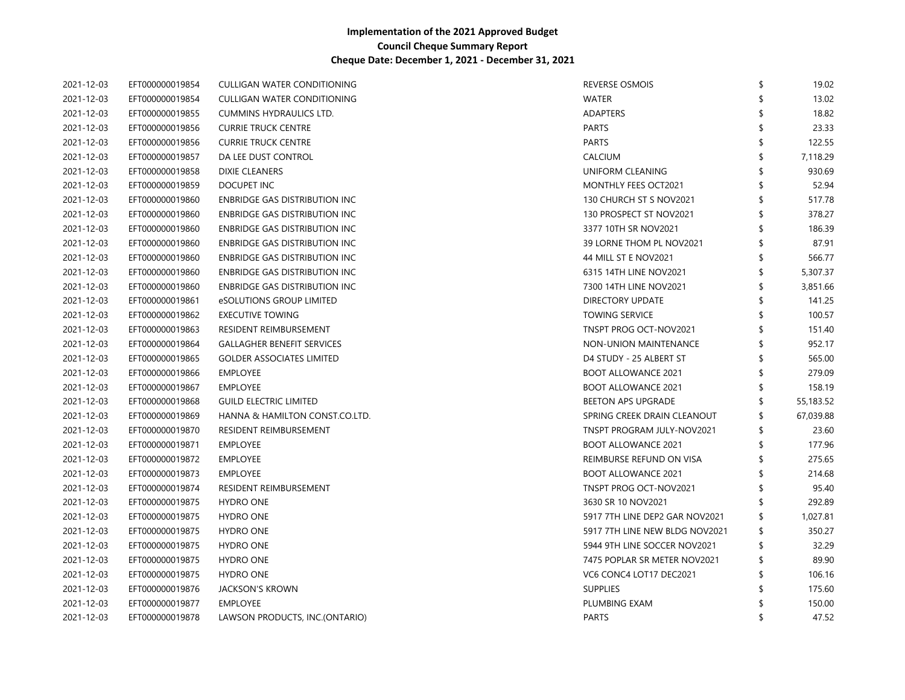| 2021-12-03 | EFT000000019854 | CULLIGAN WATER CONDITIONING<br><b>REVERSE OSMOIS</b>            |    | 19.02     |
|------------|-----------------|-----------------------------------------------------------------|----|-----------|
| 2021-12-03 | EFT000000019854 | CULLIGAN WATER CONDITIONING<br><b>WATER</b>                     |    | 13.02     |
| 2021-12-03 | EFT000000019855 | CUMMINS HYDRAULICS LTD.<br><b>ADAPTERS</b>                      |    | 18.82     |
| 2021-12-03 | EFT000000019856 | <b>CURRIE TRUCK CENTRE</b><br><b>PARTS</b>                      |    | 23.33     |
| 2021-12-03 | EFT000000019856 | <b>CURRIE TRUCK CENTRE</b><br><b>PARTS</b>                      |    | 122.55    |
| 2021-12-03 | EFT000000019857 | CALCIUM<br>DA LEE DUST CONTROL                                  |    | 7,118.29  |
| 2021-12-03 | EFT000000019858 | UNIFORM CLEANING<br>DIXIE CLEANERS                              |    | 930.69    |
| 2021-12-03 | EFT000000019859 | DOCUPET INC<br>MONTHLY FEES OCT2021                             |    | 52.94     |
| 2021-12-03 | EFT000000019860 | <b>ENBRIDGE GAS DISTRIBUTION INC</b><br>130 CHURCH ST S NOV2021 |    | 517.78    |
| 2021-12-03 | EFT000000019860 | 130 PROSPECT ST NOV2021<br>ENBRIDGE GAS DISTRIBUTION INC        |    | 378.27    |
| 2021-12-03 | EFT000000019860 | ENBRIDGE GAS DISTRIBUTION INC<br>3377 10TH SR NOV2021           |    | 186.39    |
| 2021-12-03 | EFT000000019860 | ENBRIDGE GAS DISTRIBUTION INC<br>39 LORNE THOM PL NOV2021       |    | 87.91     |
| 2021-12-03 | EFT000000019860 | <b>ENBRIDGE GAS DISTRIBUTION INC.</b><br>44 MILL ST E NOV2021   |    | 566.77    |
| 2021-12-03 | EFT000000019860 | <b>ENBRIDGE GAS DISTRIBUTION INC.</b><br>6315 14TH LINE NOV2021 |    | 5,307.37  |
| 2021-12-03 | EFT000000019860 | <b>ENBRIDGE GAS DISTRIBUTION INC.</b><br>7300 14TH LINE NOV2021 |    | 3,851.66  |
| 2021-12-03 | EFT000000019861 | eSOLUTIONS GROUP LIMITED<br><b>DIRECTORY UPDATE</b>             |    | 141.25    |
| 2021-12-03 | EFT000000019862 | <b>EXECUTIVE TOWING</b><br><b>TOWING SERVICE</b>                |    | 100.57    |
| 2021-12-03 | EFT000000019863 | TNSPT PROG OCT-NOV2021<br>RESIDENT REIMBURSEMENT                |    | 151.40    |
| 2021-12-03 | EFT000000019864 | <b>GALLAGHER BENEFIT SERVICES</b><br>NON-UNION MAINTENANCE      |    | 952.17    |
| 2021-12-03 | EFT000000019865 | <b>GOLDER ASSOCIATES LIMITED</b><br>D4 STUDY - 25 ALBERT ST     |    | 565.00    |
| 2021-12-03 | EFT000000019866 | <b>EMPLOYEE</b><br><b>BOOT ALLOWANCE 2021</b>                   |    | 279.09    |
| 2021-12-03 | EFT000000019867 | <b>BOOT ALLOWANCE 2021</b><br><b>EMPLOYEE</b>                   |    | 158.19    |
| 2021-12-03 | EFT000000019868 | <b>GUILD ELECTRIC LIMITED</b><br>BEETON APS UPGRADE             |    | 55,183.52 |
| 2021-12-03 | EFT000000019869 | SPRING CREEK DRAIN CLEANOUT<br>HANNA & HAMILTON CONST.CO.LTD.   |    | 67,039.88 |
| 2021-12-03 | EFT000000019870 | RESIDENT REIMBURSEMENT<br>TNSPT PROGRAM JULY-NOV2021            |    | 23.60     |
| 2021-12-03 | EFT000000019871 | <b>EMPLOYEE</b><br><b>BOOT ALLOWANCE 2021</b>                   |    | 177.96    |
| 2021-12-03 | EFT000000019872 | REIMBURSE REFUND ON VISA<br><b>EMPLOYEE</b>                     |    | 275.65    |
| 2021-12-03 | EFT000000019873 | <b>EMPLOYEE</b><br><b>BOOT ALLOWANCE 2021</b>                   |    | 214.68    |
| 2021-12-03 | EFT000000019874 | <b>RESIDENT REIMBURSEMENT</b><br><b>TNSPT PROG OCT-NOV2021</b>  |    | 95.40     |
| 2021-12-03 | EFT000000019875 | <b>HYDRO ONE</b><br>3630 SR 10 NOV2021                          |    | 292.89    |
| 2021-12-03 | EFT000000019875 | 5917 7TH LINE DEP2 GAR NOV2021<br><b>HYDRO ONE</b>              | \$ | 1,027.81  |
| 2021-12-03 | EFT000000019875 | 5917 7TH LINE NEW BLDG NOV2021<br><b>HYDRO ONE</b>              | \$ | 350.27    |
| 2021-12-03 | EFT000000019875 | <b>HYDRO ONE</b><br>5944 9TH LINE SOCCER NOV2021                | \$ | 32.29     |
| 2021-12-03 | EFT000000019875 | <b>HYDRO ONE</b><br>7475 POPLAR SR METER NOV2021                | S  | 89.90     |
| 2021-12-03 | EFT000000019875 | <b>HYDRO ONE</b><br>VC6 CONC4 LOT17 DEC2021                     |    | 106.16    |
| 2021-12-03 | EFT000000019876 | <b>JACKSON'S KROWN</b><br><b>SUPPLIES</b>                       |    | 175.60    |
| 2021-12-03 | EFT000000019877 | <b>EMPLOYEE</b><br>PLUMBING EXAM                                |    | 150.00    |
| 2021-12-03 | EFT000000019878 | <b>PARTS</b><br>LAWSON PRODUCTS, INC.(ONTARIO)                  |    | 47.52     |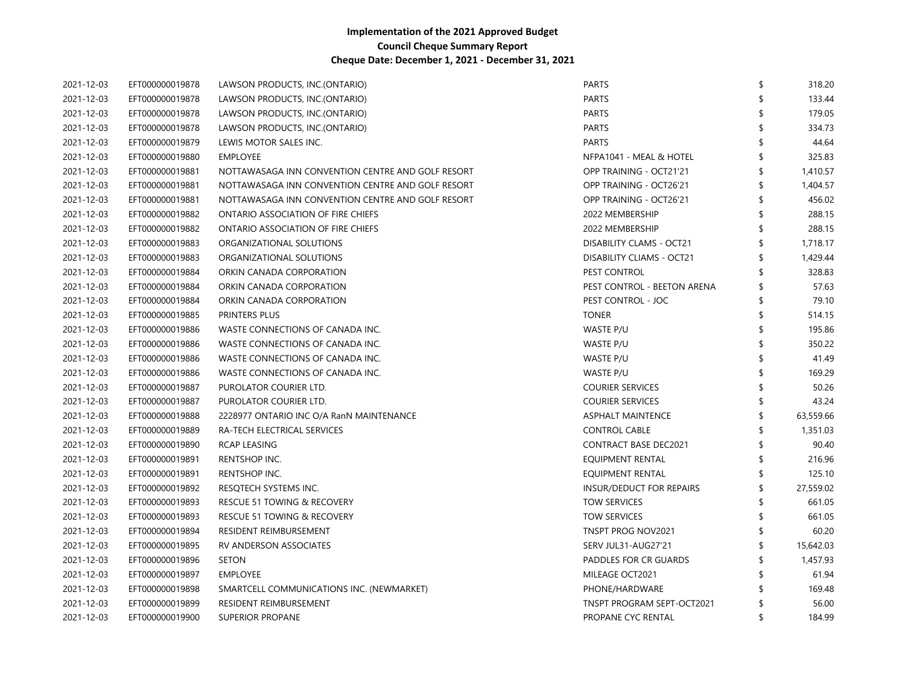| 2021-12-03 | EFT000000019878 | LAWSON PRODUCTS, INC.(ONTARIO)                    | PARTS                            | 318.20       |
|------------|-----------------|---------------------------------------------------|----------------------------------|--------------|
| 2021-12-03 | EFT000000019878 | LAWSON PRODUCTS, INC.(ONTARIO)                    | PARTS                            | 133.44       |
| 2021-12-03 | EFT000000019878 | LAWSON PRODUCTS, INC.(ONTARIO)                    | PARTS                            | 179.05       |
| 2021-12-03 | EFT000000019878 | LAWSON PRODUCTS, INC.(ONTARIO)                    | <b>PARTS</b>                     | 334.73       |
| 2021-12-03 | EFT000000019879 | LEWIS MOTOR SALES INC.                            | <b>PARTS</b>                     | 44.64        |
| 2021-12-03 | EFT000000019880 | <b>EMPLOYEE</b>                                   | NFPA1041 - MEAL & HOTEL          | 325.83       |
| 2021-12-03 | EFT000000019881 | NOTTAWASAGA INN CONVENTION CENTRE AND GOLF RESORT | OPP TRAINING - OCT21'21          | 1,410.57     |
| 2021-12-03 | EFT000000019881 | NOTTAWASAGA INN CONVENTION CENTRE AND GOLF RESORT | OPP TRAINING - OCT26'21          | 1,404.57     |
| 2021-12-03 | EFT000000019881 | NOTTAWASAGA INN CONVENTION CENTRE AND GOLF RESORT | OPP TRAINING - OCT26'21          | 456.02       |
| 2021-12-03 | EFT000000019882 | ONTARIO ASSOCIATION OF FIRE CHIEFS                | 2022 MEMBERSHIP                  | 288.15       |
| 2021-12-03 | EFT000000019882 | ONTARIO ASSOCIATION OF FIRE CHIEFS                | 2022 MEMBERSHIP                  | 288.15       |
| 2021-12-03 | EFT000000019883 | ORGANIZATIONAL SOLUTIONS                          | <b>DISABILITY CLAMS - OCT21</b>  | 1,718.17     |
| 2021-12-03 | EFT000000019883 | ORGANIZATIONAL SOLUTIONS                          | <b>DISABILITY CLIAMS - OCT21</b> | 1,429.44     |
| 2021-12-03 | EFT000000019884 | ORKIN CANADA CORPORATION                          | PEST CONTROL                     | 328.83       |
| 2021-12-03 | EFT000000019884 | ORKIN CANADA CORPORATION                          | PEST CONTROL - BEETON ARENA      | 57.63        |
| 2021-12-03 | EFT000000019884 | ORKIN CANADA CORPORATION                          | PEST CONTROL - JOC               | 79.10        |
| 2021-12-03 | EFT000000019885 | PRINTERS PLUS                                     | <b>TONER</b>                     | 514.15       |
| 2021-12-03 | EFT000000019886 | WASTE CONNECTIONS OF CANADA INC.                  | WASTE P/U                        | 195.86       |
| 2021-12-03 | EFT000000019886 | WASTE CONNECTIONS OF CANADA INC.                  | WASTE P/U                        | 350.22       |
| 2021-12-03 | EFT000000019886 | WASTE CONNECTIONS OF CANADA INC.                  | WASTE P/U                        | 41.49        |
| 2021-12-03 | EFT000000019886 | WASTE CONNECTIONS OF CANADA INC.                  | WASTE P/U                        | 169.29       |
| 2021-12-03 | EFT000000019887 | PUROLATOR COURIER LTD.                            | <b>COURIER SERVICES</b>          | 50.26        |
| 2021-12-03 | EFT000000019887 | PUROLATOR COURIER LTD.                            | <b>COURIER SERVICES</b>          | 43.24        |
| 2021-12-03 | EFT000000019888 | 2228977 ONTARIO INC O/A RanN MAINTENANCE          | <b>ASPHALT MAINTENCE</b>         | 63,559.66    |
| 2021-12-03 | EFT000000019889 | RA-TECH ELECTRICAL SERVICES                       | <b>CONTROL CABLE</b>             | 1,351.03     |
| 2021-12-03 | EFT000000019890 | <b>RCAP LEASING</b>                               | <b>CONTRACT BASE DEC2021</b>     | 90.40        |
| 2021-12-03 | EFT000000019891 | RENTSHOP INC.                                     | EQUIPMENT RENTAL                 | 216.96       |
| 2021-12-03 | EFT000000019891 | RENTSHOP INC.                                     | EQUIPMENT RENTAL                 | 125.10       |
| 2021-12-03 | EFT000000019892 | RESQTECH SYSTEMS INC.                             | INSUR/DEDUCT FOR REPAIRS         | 27,559.02    |
| 2021-12-03 | EFT000000019893 | <b>RESCUE 51 TOWING &amp; RECOVERY</b>            | <b>TOW SERVICES</b>              | 661.05       |
| 2021-12-03 | EFT000000019893 | <b>RESCUE 51 TOWING &amp; RECOVERY</b>            | <b>TOW SERVICES</b>              | 661.05       |
| 2021-12-03 | EFT000000019894 | RESIDENT REIMBURSEMENT                            | TNSPT PROG NOV2021               | 60.20        |
| 2021-12-03 | EFT000000019895 | RV ANDERSON ASSOCIATES                            | SERV JUL31-AUG27'21              | 15,642.03    |
| 2021-12-03 | EFT000000019896 | <b>SETON</b>                                      | PADDLES FOR CR GUARDS            | 1,457.93     |
| 2021-12-03 | EFT000000019897 | <b>EMPLOYEE</b>                                   | MILEAGE OCT2021                  | 61.94        |
| 2021-12-03 | EFT000000019898 | SMARTCELL COMMUNICATIONS INC. (NEWMARKET)         | PHONE/HARDWARE                   | 169.48       |
| 2021-12-03 | EFT000000019899 | RESIDENT REIMBURSEMENT                            | TNSPT PROGRAM SEPT-OCT2021       | 56.00        |
| 2021-12-03 | EFT000000019900 | <b>SUPERIOR PROPANE</b>                           | PROPANE CYC RENTAL               | \$<br>184.99 |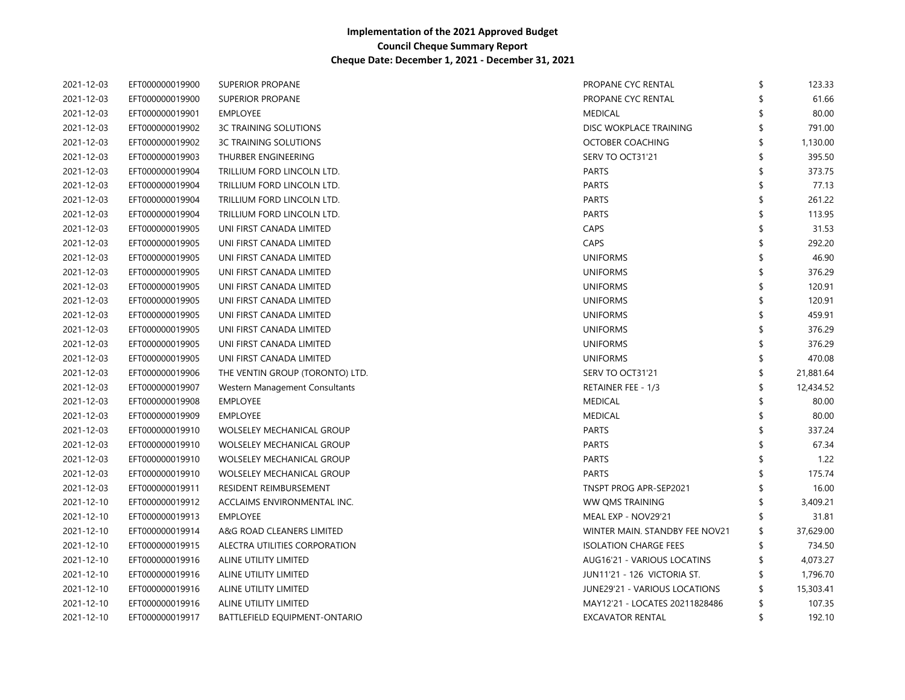| 2021-12-03 | EFT000000019900 | SUPERIOR PROPANE                 | PROPANE CYC RENTAL                   | \$<br>123.33    |
|------------|-----------------|----------------------------------|--------------------------------------|-----------------|
| 2021-12-03 | EFT000000019900 | <b>SUPERIOR PROPANE</b>          | PROPANE CYC RENTAL                   | 61.66           |
| 2021-12-03 | EFT000000019901 | EMPLOYEE                         | <b>MEDICAL</b>                       | 80.00           |
| 2021-12-03 | EFT000000019902 | <b>3C TRAINING SOLUTIONS</b>     | DISC WOKPLACE TRAINING               | 791.00          |
| 2021-12-03 | EFT000000019902 | <b>3C TRAINING SOLUTIONS</b>     | OCTOBER COACHING                     | 1,130.00        |
| 2021-12-03 | EFT000000019903 | THURBER ENGINEERING              | SERV TO OCT31'21                     | 395.50          |
| 2021-12-03 | EFT000000019904 | TRILLIUM FORD LINCOLN LTD.       | <b>PARTS</b>                         | 373.75          |
| 2021-12-03 | EFT000000019904 | TRILLIUM FORD LINCOLN LTD.       | <b>PARTS</b>                         | 77.13           |
| 2021-12-03 | EFT000000019904 | TRILLIUM FORD LINCOLN LTD.       | <b>PARTS</b>                         | 261.22          |
| 2021-12-03 | EFT000000019904 | TRILLIUM FORD LINCOLN LTD.       | <b>PARTS</b>                         | 113.95          |
| 2021-12-03 | EFT000000019905 | UNI FIRST CANADA LIMITED         | CAPS                                 | 31.53           |
| 2021-12-03 | EFT000000019905 | UNI FIRST CANADA LIMITED         | <b>CAPS</b>                          | 292.20          |
| 2021-12-03 | EFT000000019905 | UNI FIRST CANADA LIMITED         | <b>UNIFORMS</b>                      | 46.90           |
| 2021-12-03 | EFT000000019905 | UNI FIRST CANADA LIMITED         | <b>UNIFORMS</b>                      | \$<br>376.29    |
| 2021-12-03 | EFT000000019905 | UNI FIRST CANADA LIMITED         | <b>UNIFORMS</b>                      | 120.91          |
| 2021-12-03 | EFT000000019905 | UNI FIRST CANADA LIMITED         | <b>UNIFORMS</b>                      | \$<br>120.91    |
| 2021-12-03 | EFT000000019905 | UNI FIRST CANADA LIMITED         | <b>UNIFORMS</b>                      | \$<br>459.91    |
| 2021-12-03 | EFT000000019905 | UNI FIRST CANADA LIMITED         | <b>UNIFORMS</b>                      | \$<br>376.29    |
| 2021-12-03 | EFT000000019905 | UNI FIRST CANADA LIMITED         | <b>UNIFORMS</b>                      | \$<br>376.29    |
| 2021-12-03 | EFT000000019905 | UNI FIRST CANADA LIMITED         | <b>UNIFORMS</b>                      | 470.08          |
| 2021-12-03 | EFT000000019906 | THE VENTIN GROUP (TORONTO) LTD.  | SERV TO OCT31'21                     | 21,881.64       |
| 2021-12-03 | EFT000000019907 | Western Management Consultants   | <b>RETAINER FEE - 1/3</b>            | 12,434.52       |
| 2021-12-03 | EFT000000019908 | <b>EMPLOYEE</b>                  | <b>MEDICAL</b>                       | 80.00           |
| 2021-12-03 | EFT000000019909 | <b>EMPLOYEE</b>                  | <b>MEDICAL</b>                       | 80.00           |
| 2021-12-03 | EFT000000019910 | <b>WOLSELEY MECHANICAL GROUP</b> | <b>PARTS</b>                         | 337.24          |
| 2021-12-03 | EFT000000019910 | <b>WOLSELEY MECHANICAL GROUP</b> | <b>PARTS</b>                         | 67.34           |
| 2021-12-03 | EFT000000019910 | <b>WOLSELEY MECHANICAL GROUP</b> | <b>PARTS</b>                         | 1.22            |
| 2021-12-03 | EFT000000019910 | <b>WOLSELEY MECHANICAL GROUP</b> | <b>PARTS</b>                         | 175.74          |
| 2021-12-03 | EFT000000019911 | <b>RESIDENT REIMBURSEMENT</b>    | <b>TNSPT PROG APR-SEP2021</b>        | 16.00           |
| 2021-12-10 | EFT000000019912 | ACCLAIMS ENVIRONMENTAL INC.      | WW QMS TRAINING                      | 3,409.21        |
| 2021-12-10 | EFT000000019913 | EMPLOYEE                         | MEAL EXP - NOV29'21                  | 31.81           |
| 2021-12-10 | EFT000000019914 | A&G ROAD CLEANERS LIMITED        | WINTER MAIN. STANDBY FEE NOV21       | \$<br>37,629.00 |
| 2021-12-10 | EFT000000019915 | ALECTRA UTILITIES CORPORATION    | <b>ISOLATION CHARGE FEES</b>         | 734.50          |
| 2021-12-10 | EFT000000019916 | ALINE UTILITY LIMITED            | AUG16'21 - VARIOUS LOCATINS          | \$<br>4,073.27  |
| 2021-12-10 | EFT000000019916 | ALINE UTILITY LIMITED            | JUN11'21 - 126 VICTORIA ST.          | \$<br>1,796.70  |
| 2021-12-10 | EFT000000019916 | ALINE UTILITY LIMITED            | <b>JUNE29'21 - VARIOUS LOCATIONS</b> | 15,303.41       |
| 2021-12-10 | EFT000000019916 | ALINE UTILITY LIMITED            | MAY12'21 - LOCATES 20211828486       | \$<br>107.35    |
| 2021-12-10 | EFT000000019917 | BATTLEFIELD EQUIPMENT-ONTARIO    | <b>EXCAVATOR RENTAL</b>              | \$<br>192.10    |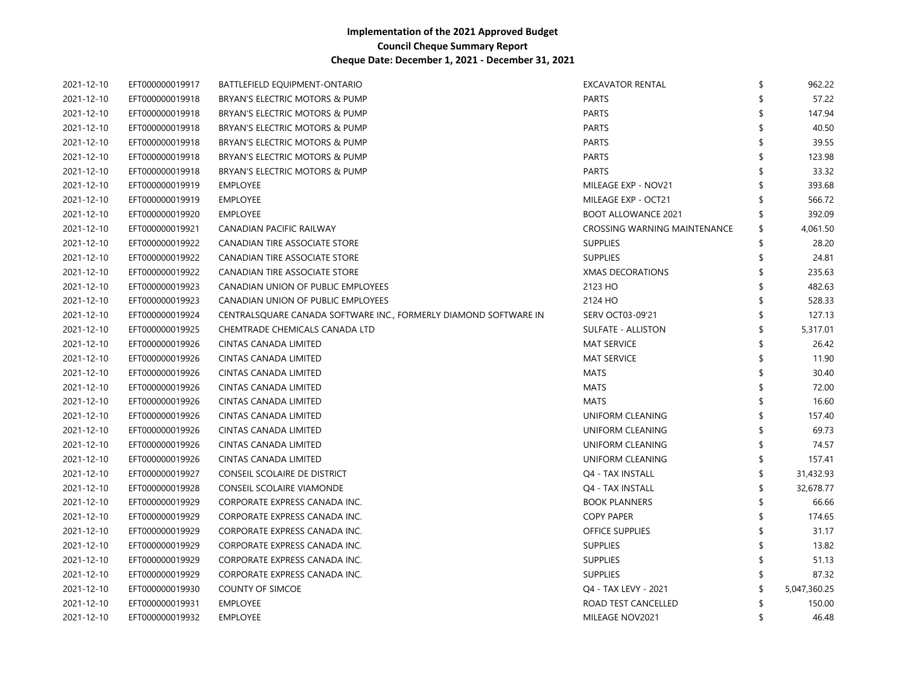| 2021-12-10 | EFT000000019917 | BATTLEFIELD EQUIPMENT-ONTARIO                                    | <b>EXCAVATOR RENTAL</b>      | \$<br>962.22   |
|------------|-----------------|------------------------------------------------------------------|------------------------------|----------------|
| 2021-12-10 | EFT000000019918 | BRYAN'S ELECTRIC MOTORS & PUMP                                   | <b>PARTS</b>                 | 57.22          |
| 2021-12-10 | EFT000000019918 | BRYAN'S ELECTRIC MOTORS & PUMP                                   | <b>PARTS</b>                 | 147.94         |
| 2021-12-10 | EFT000000019918 | BRYAN'S ELECTRIC MOTORS & PUMP                                   | <b>PARTS</b>                 | 40.50          |
| 2021-12-10 | EFT000000019918 | BRYAN'S ELECTRIC MOTORS & PUMP                                   | <b>PARTS</b>                 | 39.55          |
| 2021-12-10 | EFT000000019918 | BRYAN'S ELECTRIC MOTORS & PUMP                                   | <b>PARTS</b>                 | 123.98         |
| 2021-12-10 | EFT000000019918 | BRYAN'S ELECTRIC MOTORS & PUMP                                   | <b>PARTS</b>                 | 33.32          |
| 2021-12-10 | EFT000000019919 | <b>EMPLOYEE</b>                                                  | MILEAGE EXP - NOV21          | 393.68         |
| 2021-12-10 | EFT000000019919 | <b>EMPLOYEE</b>                                                  | MILEAGE EXP - OCT21          | 566.72         |
| 2021-12-10 | EFT000000019920 | <b>EMPLOYEE</b>                                                  | <b>BOOT ALLOWANCE 2021</b>   | 392.09         |
| 2021-12-10 | EFT000000019921 | CANADIAN PACIFIC RAILWAY                                         | CROSSING WARNING MAINTENANCE | \$<br>4,061.50 |
| 2021-12-10 | EFT000000019922 | CANADIAN TIRE ASSOCIATE STORE                                    | SUPPLIES                     | 28.20          |
| 2021-12-10 | EFT000000019922 | CANADIAN TIRE ASSOCIATE STORE                                    | <b>SUPPLIES</b>              | 24.81          |
| 2021-12-10 | EFT000000019922 | CANADIAN TIRE ASSOCIATE STORE                                    | <b>XMAS DECORATIONS</b>      | 235.63         |
| 2021-12-10 | EFT000000019923 | CANADIAN UNION OF PUBLIC EMPLOYEES                               | 2123 HO                      | 482.63         |
| 2021-12-10 | EFT000000019923 | CANADIAN UNION OF PUBLIC EMPLOYEES                               | 2124 HO                      | 528.33         |
| 2021-12-10 | EFT000000019924 | CENTRALSQUARE CANADA SOFTWARE INC., FORMERLY DIAMOND SOFTWARE IN | SERV OCT03-09'21             | 127.13         |
| 2021-12-10 | EFT000000019925 | CHEMTRADE CHEMICALS CANADA LTD                                   | <b>SULFATE - ALLISTON</b>    | 5,317.01       |
| 2021-12-10 | EFT000000019926 | CINTAS CANADA LIMITED                                            | <b>MAT SERVICE</b>           | 26.42          |
| 2021-12-10 | EFT000000019926 | CINTAS CANADA LIMITED                                            | <b>MAT SERVICE</b>           | 11.90          |
| 2021-12-10 | EFT000000019926 | <b>CINTAS CANADA LIMITED</b>                                     | <b>MATS</b>                  | 30.40          |
| 2021-12-10 | EFT000000019926 | <b>CINTAS CANADA LIMITED</b>                                     | <b>MATS</b>                  | 72.00          |
| 2021-12-10 | EFT000000019926 | <b>CINTAS CANADA LIMITED</b>                                     | <b>MATS</b>                  | 16.60          |
| 2021-12-10 | EFT000000019926 | <b>CINTAS CANADA LIMITED</b>                                     | UNIFORM CLEANING             | 157.40         |
| 2021-12-10 | EFT000000019926 | CINTAS CANADA LIMITED                                            | UNIFORM CLEANING             | 69.73          |
| 2021-12-10 | EFT000000019926 | CINTAS CANADA LIMITED                                            | UNIFORM CLEANING             | 74.57          |
| 2021-12-10 | EFT000000019926 | CINTAS CANADA LIMITED                                            | UNIFORM CLEANING             | 157.41         |
| 2021-12-10 | EFT000000019927 | CONSEIL SCOLAIRE DE DISTRICT                                     | Q4 - TAX INSTALL             | 31,432.93      |
| 2021-12-10 | EFT000000019928 | CONSEIL SCOLAIRE VIAMONDE                                        | Q4 - TAX INSTALL             | 32,678.77      |
| 2021-12-10 | EFT000000019929 | CORPORATE EXPRESS CANADA INC.                                    | <b>BOOK PLANNERS</b>         | 66.66          |
| 2021-12-10 | EFT000000019929 | CORPORATE EXPRESS CANADA INC.                                    | <b>COPY PAPER</b>            | 174.65         |
| 2021-12-10 | EFT000000019929 | CORPORATE EXPRESS CANADA INC.                                    | OFFICE SUPPLIES              | 31.17          |
| 2021-12-10 | EFT000000019929 | CORPORATE EXPRESS CANADA INC.                                    | <b>SUPPLIES</b>              | 13.82          |
| 2021-12-10 | EFT000000019929 | CORPORATE EXPRESS CANADA INC.                                    | <b>SUPPLIES</b>              | 51.13          |
| 2021-12-10 | EFT000000019929 | CORPORATE EXPRESS CANADA INC.                                    | <b>SUPPLIES</b>              | 87.32          |
| 2021-12-10 | EFT000000019930 | <b>COUNTY OF SIMCOE</b>                                          | Q4 - TAX LEVY - 2021         | 5,047,360.25   |
| 2021-12-10 | EFT000000019931 | <b>EMPLOYEE</b>                                                  | ROAD TEST CANCELLED          | 150.00         |
| 2021-12-10 | EFT000000019932 | <b>EMPLOYEE</b>                                                  | MILEAGE NOV2021              | 46.48          |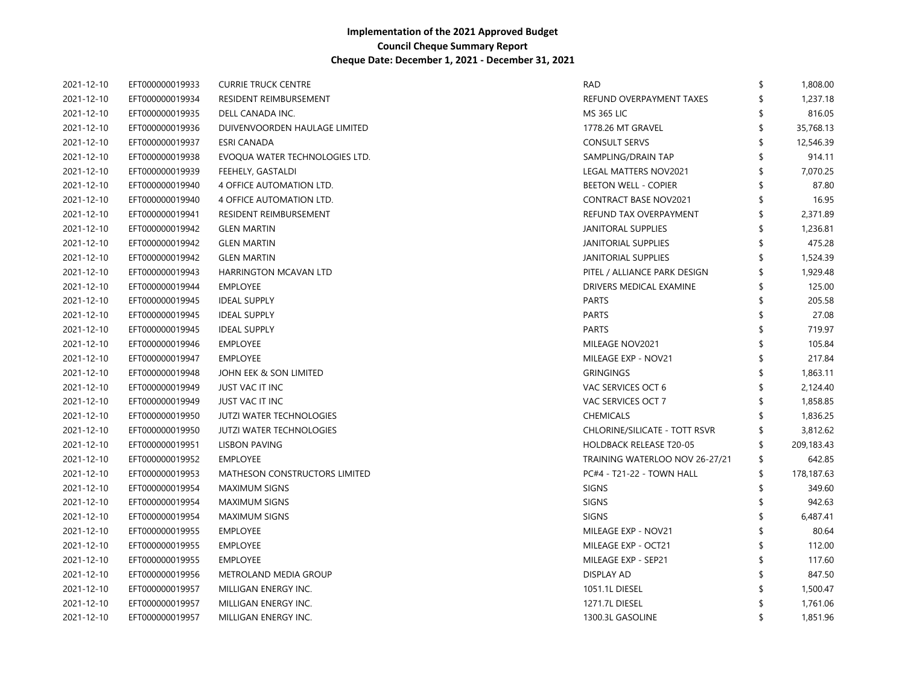| 2021-12-10 | EFT000000019933 | <b>CURRIE TRUCK CENTRE</b>      | <b>RAD</b>                     | \$<br>1,808.00   |
|------------|-----------------|---------------------------------|--------------------------------|------------------|
| 2021-12-10 | EFT000000019934 | RESIDENT REIMBURSEMENT          | REFUND OVERPAYMENT TAXES       | \$<br>1,237.18   |
| 2021-12-10 | EFT000000019935 | DELL CANADA INC.                | <b>MS 365 LIC</b>              | 816.05           |
| 2021-12-10 | EFT000000019936 | DUIVENVOORDEN HAULAGE LIMITED   | 1778.26 MT GRAVEL              | \$<br>35,768.13  |
| 2021-12-10 | EFT000000019937 | <b>ESRI CANADA</b>              | <b>CONSULT SERVS</b>           | 12,546.39        |
| 2021-12-10 | EFT000000019938 | EVOQUA WATER TECHNOLOGIES LTD.  | SAMPLING/DRAIN TAP             | 914.11           |
| 2021-12-10 | EFT000000019939 | FEEHELY, GASTALDI               | LEGAL MATTERS NOV2021          | \$<br>7,070.25   |
| 2021-12-10 | EFT000000019940 | 4 OFFICE AUTOMATION LTD.        | <b>BEETON WELL - COPIER</b>    | 87.80            |
| 2021-12-10 | EFT000000019940 | 4 OFFICE AUTOMATION LTD.        | <b>CONTRACT BASE NOV2021</b>   | 16.95            |
| 2021-12-10 | EFT000000019941 | RESIDENT REIMBURSEMENT          | REFUND TAX OVERPAYMENT         | \$<br>2,371.89   |
| 2021-12-10 | EFT000000019942 | <b>GLEN MARTIN</b>              | JANITORAL SUPPLIES             | \$<br>1,236.81   |
| 2021-12-10 | EFT000000019942 | <b>GLEN MARTIN</b>              | <b>JANITORIAL SUPPLIES</b>     | 475.28           |
| 2021-12-10 | EFT000000019942 | <b>GLEN MARTIN</b>              | <b>JANITORIAL SUPPLIES</b>     | 1,524.39         |
| 2021-12-10 | EFT000000019943 | <b>HARRINGTON MCAVAN LTD</b>    | PITEL / ALLIANCE PARK DESIGN   | \$<br>1,929.48   |
| 2021-12-10 | EFT000000019944 | <b>EMPLOYEE</b>                 | DRIVERS MEDICAL EXAMINE        | \$<br>125.00     |
| 2021-12-10 | EFT000000019945 | <b>IDEAL SUPPLY</b>             | <b>PARTS</b>                   | 205.58           |
| 2021-12-10 | EFT000000019945 | <b>IDEAL SUPPLY</b>             | <b>PARTS</b>                   | 27.08            |
| 2021-12-10 | EFT000000019945 | <b>IDEAL SUPPLY</b>             | <b>PARTS</b>                   | 719.97           |
| 2021-12-10 | EFT000000019946 | <b>EMPLOYEE</b>                 | MILEAGE NOV2021                | 105.84           |
| 2021-12-10 | EFT000000019947 | <b>EMPLOYEE</b>                 | MILEAGE EXP - NOV21            | 217.84           |
| 2021-12-10 | EFT000000019948 | JOHN EEK & SON LIMITED          | <b>GRINGINGS</b>               | 1,863.11         |
| 2021-12-10 | EFT000000019949 | JUST VAC IT INC                 | VAC SERVICES OCT 6             | 2,124.40         |
| 2021-12-10 | EFT000000019949 | JUST VAC IT INC                 | VAC SERVICES OCT 7             | 1,858.85         |
| 2021-12-10 | EFT000000019950 | <b>JUTZI WATER TECHNOLOGIES</b> | <b>CHEMICALS</b>               | 1,836.25         |
| 2021-12-10 | EFT000000019950 | <b>JUTZI WATER TECHNOLOGIES</b> | CHLORINE/SILICATE - TOTT RSVR  | 3,812.62         |
| 2021-12-10 | EFT000000019951 | LISBON PAVING                   | <b>HOLDBACK RELEASE T20-05</b> | \$<br>209,183.43 |
| 2021-12-10 | EFT000000019952 | <b>EMPLOYEE</b>                 | TRAINING WATERLOO NOV 26-27/21 | \$<br>642.85     |
| 2021-12-10 | EFT000000019953 | MATHESON CONSTRUCTORS LIMITED   | PC#4 - T21-22 - TOWN HALL      | \$<br>178,187.63 |
| 2021-12-10 | EFT000000019954 | <b>MAXIMUM SIGNS</b>            | <b>SIGNS</b>                   | \$<br>349.60     |
| 2021-12-10 | EFT000000019954 | <b>MAXIMUM SIGNS</b>            | <b>SIGNS</b>                   | \$<br>942.63     |
| 2021-12-10 | EFT000000019954 | <b>MAXIMUM SIGNS</b>            | <b>SIGNS</b>                   | \$<br>6,487.41   |
| 2021-12-10 | EFT000000019955 | <b>EMPLOYEE</b>                 | MILEAGE EXP - NOV21            | 80.64            |
| 2021-12-10 | EFT000000019955 | <b>EMPLOYEE</b>                 | MILEAGE EXP - OCT21            | 112.00           |
| 2021-12-10 | EFT000000019955 | <b>EMPLOYEE</b>                 | MILEAGE EXP - SEP21            | 117.60           |
| 2021-12-10 | EFT000000019956 | METROLAND MEDIA GROUP           | DISPLAY AD                     | 847.50           |
| 2021-12-10 | EFT000000019957 | MILLIGAN ENERGY INC.            | 1051.1L DIESEL                 | 1,500.47         |
| 2021-12-10 | EFT000000019957 | MILLIGAN ENERGY INC.            | 1271.7L DIESEL                 | 1,761.06         |
| 2021-12-10 | EFT000000019957 | MILLIGAN ENERGY INC.            | 1300.3L GASOLINE               | \$<br>1,851.96   |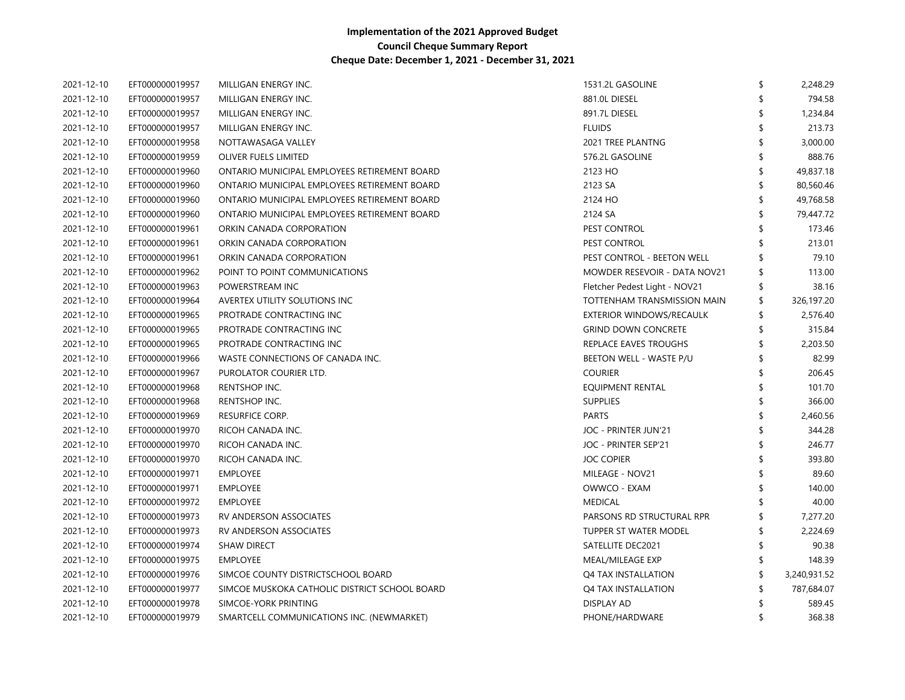| 2021-12-10 | EFT000000019957 | MILLIGAN ENERGY INC.                          | 1531.2L GASOLINE                    | \$<br>2,248.29 |
|------------|-----------------|-----------------------------------------------|-------------------------------------|----------------|
| 2021-12-10 | EFT000000019957 | MILLIGAN ENERGY INC.                          | 881.0L DIESEL                       | 794.58         |
| 2021-12-10 | EFT000000019957 | MILLIGAN ENERGY INC.                          | 891.7L DIESEL                       | 1,234.84       |
| 2021-12-10 | EFT000000019957 | MILLIGAN ENERGY INC.                          | <b>FLUIDS</b>                       | 213.73         |
| 2021-12-10 | EFT000000019958 | NOTTAWASAGA VALLEY                            | 2021 TREE PLANTNG                   | 3,000.00       |
| 2021-12-10 | EFT000000019959 | OLIVER FUELS LIMITED                          | 576.2L GASOLINE                     | 888.76         |
| 2021-12-10 | EFT000000019960 | ONTARIO MUNICIPAL EMPLOYEES RETIREMENT BOARD  | 2123 HO                             | 49,837.18      |
| 2021-12-10 | EFT000000019960 | ONTARIO MUNICIPAL EMPLOYEES RETIREMENT BOARD  | 2123 SA                             | 80,560.46      |
| 2021-12-10 | EFT000000019960 | ONTARIO MUNICIPAL EMPLOYEES RETIREMENT BOARD  | 2124 HO                             | 49,768.58      |
| 2021-12-10 | EFT000000019960 | ONTARIO MUNICIPAL EMPLOYEES RETIREMENT BOARD  | 2124 SA                             | 79,447.72      |
| 2021-12-10 | EFT000000019961 | ORKIN CANADA CORPORATION                      | PEST CONTROL                        | 173.46         |
| 2021-12-10 | EFT000000019961 | ORKIN CANADA CORPORATION                      | PEST CONTROL                        | 213.01         |
| 2021-12-10 | EFT000000019961 | ORKIN CANADA CORPORATION                      | PEST CONTROL - BEETON WELL          | 79.10          |
| 2021-12-10 | EFT000000019962 | POINT TO POINT COMMUNICATIONS                 | <b>MOWDER RESEVOIR - DATA NOV21</b> | 113.00         |
| 2021-12-10 | EFT000000019963 | POWERSTREAM INC                               | Fletcher Pedest Light - NOV21       | 38.16          |
| 2021-12-10 | EFT000000019964 | AVERTEX UTILITY SOLUTIONS INC                 | TOTTENHAM TRANSMISSION MAIN         | 326,197.20     |
| 2021-12-10 | EFT000000019965 | PROTRADE CONTRACTING INC                      | EXTERIOR WINDOWS/RECAULK            | 2,576.40       |
| 2021-12-10 | EFT000000019965 | PROTRADE CONTRACTING INC                      | <b>GRIND DOWN CONCRETE</b>          | 315.84         |
| 2021-12-10 | EFT000000019965 | PROTRADE CONTRACTING INC                      | REPLACE EAVES TROUGHS               | 2,203.50       |
| 2021-12-10 | EFT000000019966 | WASTE CONNECTIONS OF CANADA INC.              | BEETON WELL - WASTE P/U             | 82.99          |
| 2021-12-10 | EFT000000019967 | PUROLATOR COURIER LTD.                        | <b>COURIER</b>                      | 206.45         |
| 2021-12-10 | EFT000000019968 | RENTSHOP INC.                                 | <b>EQUIPMENT RENTAL</b>             | 101.70         |
| 2021-12-10 | EFT000000019968 | RENTSHOP INC.                                 | <b>SUPPLIES</b>                     | 366.00         |
| 2021-12-10 | EFT000000019969 | <b>RESURFICE CORP.</b>                        | <b>PARTS</b>                        | 2,460.56       |
| 2021-12-10 | EFT000000019970 | RICOH CANADA INC.                             | JOC - PRINTER JUN'21                | 344.28         |
| 2021-12-10 | EFT000000019970 | RICOH CANADA INC.                             | JOC - PRINTER SEP'21                | 246.77         |
| 2021-12-10 | EFT000000019970 | RICOH CANADA INC.                             | <b>JOC COPIER</b>                   | 393.80         |
| 2021-12-10 | EFT000000019971 | <b>EMPLOYEE</b>                               | MILEAGE - NOV21                     | 89.60          |
| 2021-12-10 | EFT000000019971 | <b>EMPLOYEE</b>                               | OWWCO - EXAM                        | 140.00         |
| 2021-12-10 | EFT000000019972 | <b>EMPLOYEE</b>                               | <b>MEDICAL</b>                      | 40.00          |
| 2021-12-10 | EFT000000019973 | RV ANDERSON ASSOCIATES                        | PARSONS RD STRUCTURAL RPR           | 7,277.20       |
| 2021-12-10 | EFT000000019973 | RV ANDERSON ASSOCIATES                        | TUPPER ST WATER MODEL               | 2,224.69       |
| 2021-12-10 | EFT000000019974 | <b>SHAW DIRECT</b>                            | SATELLITE DEC2021                   | 90.38          |
| 2021-12-10 | EFT000000019975 | <b>EMPLOYEE</b>                               | MEAL/MILEAGE EXP                    | 148.39         |
| 2021-12-10 | EFT000000019976 | SIMCOE COUNTY DISTRICTSCHOOL BOARD            | Q4 TAX INSTALLATION                 | 3,240,931.52   |
| 2021-12-10 | EFT000000019977 | SIMCOE MUSKOKA CATHOLIC DISTRICT SCHOOL BOARD | Q4 TAX INSTALLATION                 | 787,684.07     |
| 2021-12-10 | EFT000000019978 | SIMCOE-YORK PRINTING                          | <b>DISPLAY AD</b>                   | 589.45         |
| 2021-12-10 | EFT000000019979 | SMARTCELL COMMUNICATIONS INC. (NEWMARKET)     | PHONE/HARDWARE                      | 368.38         |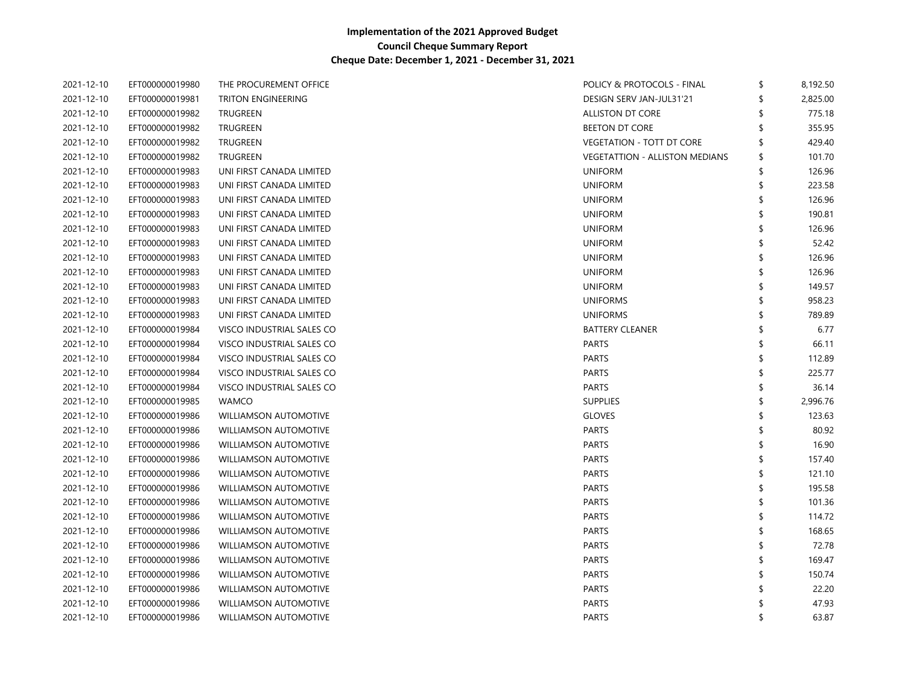| 2021-12-10 | EFT000000019980 | THE PROCUREMENT OFFICE       | POLICY & PROTOCOLS - FINAL            | \$<br>8,192.50 |
|------------|-----------------|------------------------------|---------------------------------------|----------------|
| 2021-12-10 | EFT000000019981 | TRITON ENGINEERING           | DESIGN SERV JAN-JUL31'21              | \$<br>2,825.00 |
| 2021-12-10 | EFT000000019982 | TRUGREEN                     | ALLISTON DT CORE                      | 775.18         |
| 2021-12-10 | EFT000000019982 | <b>TRUGREEN</b>              | <b>BEETON DT CORE</b>                 | 355.95         |
| 2021-12-10 | EFT000000019982 | <b>TRUGREEN</b>              | <b>VEGETATION - TOTT DT CORE</b>      | \$<br>429.40   |
| 2021-12-10 | EFT000000019982 | <b>TRUGREEN</b>              | <b>VEGETATTION - ALLISTON MEDIANS</b> | \$<br>101.70   |
| 2021-12-10 | EFT000000019983 | UNI FIRST CANADA LIMITED     | <b>UNIFORM</b>                        | \$<br>126.96   |
| 2021-12-10 | EFT000000019983 | UNI FIRST CANADA LIMITED     | <b>UNIFORM</b>                        | \$<br>223.58   |
| 2021-12-10 | EFT000000019983 | UNI FIRST CANADA LIMITED     | <b>UNIFORM</b>                        | \$<br>126.96   |
| 2021-12-10 | EFT000000019983 | UNI FIRST CANADA LIMITED     | <b>UNIFORM</b>                        | \$<br>190.81   |
| 2021-12-10 | EFT000000019983 | UNI FIRST CANADA LIMITED     | <b>UNIFORM</b>                        | \$<br>126.96   |
| 2021-12-10 | EFT000000019983 | UNI FIRST CANADA LIMITED     | <b>UNIFORM</b>                        | \$<br>52.42    |
| 2021-12-10 | EFT000000019983 | UNI FIRST CANADA LIMITED     | <b>UNIFORM</b>                        | \$<br>126.96   |
| 2021-12-10 | EFT000000019983 | UNI FIRST CANADA LIMITED     | <b>UNIFORM</b>                        | \$<br>126.96   |
| 2021-12-10 | EFT000000019983 | UNI FIRST CANADA LIMITED     | <b>UNIFORM</b>                        | \$<br>149.57   |
| 2021-12-10 | EFT000000019983 | UNI FIRST CANADA LIMITED     | <b>UNIFORMS</b>                       | \$<br>958.23   |
| 2021-12-10 | EFT000000019983 | UNI FIRST CANADA LIMITED     | <b>UNIFORMS</b>                       | \$<br>789.89   |
| 2021-12-10 | EFT000000019984 | VISCO INDUSTRIAL SALES CO    | <b>BATTERY CLEANER</b>                | \$<br>6.77     |
| 2021-12-10 | EFT000000019984 | VISCO INDUSTRIAL SALES CO    | <b>PARTS</b>                          | \$<br>66.11    |
| 2021-12-10 | EFT000000019984 | VISCO INDUSTRIAL SALES CO    | <b>PARTS</b>                          | \$<br>112.89   |
| 2021-12-10 | EFT000000019984 | VISCO INDUSTRIAL SALES CO    | <b>PARTS</b>                          | \$<br>225.77   |
| 2021-12-10 | EFT000000019984 | VISCO INDUSTRIAL SALES CO    | <b>PARTS</b>                          | \$<br>36.14    |
| 2021-12-10 | EFT000000019985 | <b>WAMCO</b>                 | <b>SUPPLIES</b>                       | \$<br>2,996.76 |
| 2021-12-10 | EFT000000019986 | <b>WILLIAMSON AUTOMOTIVE</b> | <b>GLOVES</b>                         | \$<br>123.63   |
| 2021-12-10 | EFT000000019986 | <b>WILLIAMSON AUTOMOTIVE</b> | <b>PARTS</b>                          | \$<br>80.92    |
| 2021-12-10 | EFT000000019986 | <b>WILLIAMSON AUTOMOTIVE</b> | <b>PARTS</b>                          | \$<br>16.90    |
| 2021-12-10 | EFT000000019986 | <b>WILLIAMSON AUTOMOTIVE</b> | <b>PARTS</b>                          | \$<br>157.40   |
| 2021-12-10 | EFT000000019986 | <b>WILLIAMSON AUTOMOTIVE</b> | <b>PARTS</b>                          | \$<br>121.10   |
| 2021-12-10 | EFT000000019986 | <b>WILLIAMSON AUTOMOTIVE</b> | <b>PARTS</b>                          | \$<br>195.58   |
| 2021-12-10 | EFT000000019986 | <b>WILLIAMSON AUTOMOTIVE</b> | <b>PARTS</b>                          | 101.36         |
| 2021-12-10 | EFT000000019986 | <b>WILLIAMSON AUTOMOTIVE</b> | <b>PARTS</b>                          | \$<br>114.72   |
| 2021-12-10 | EFT000000019986 | <b>WILLIAMSON AUTOMOTIVE</b> | <b>PARTS</b>                          | \$<br>168.65   |
| 2021-12-10 | EFT000000019986 | <b>WILLIAMSON AUTOMOTIVE</b> | <b>PARTS</b>                          | 72.78          |
| 2021-12-10 | EFT000000019986 | <b>WILLIAMSON AUTOMOTIVE</b> | <b>PARTS</b>                          | \$<br>169.47   |
| 2021-12-10 | EFT000000019986 | <b>WILLIAMSON AUTOMOTIVE</b> | <b>PARTS</b>                          | \$<br>150.74   |
| 2021-12-10 | EFT000000019986 | WILLIAMSON AUTOMOTIVE        | <b>PARTS</b>                          | 22.20          |
| 2021-12-10 | EFT000000019986 | <b>WILLIAMSON AUTOMOTIVE</b> | <b>PARTS</b>                          | 47.93          |
| 2021-12-10 | EFT000000019986 | <b>WILLIAMSON AUTOMOTIVE</b> | <b>PARTS</b>                          | \$<br>63.87    |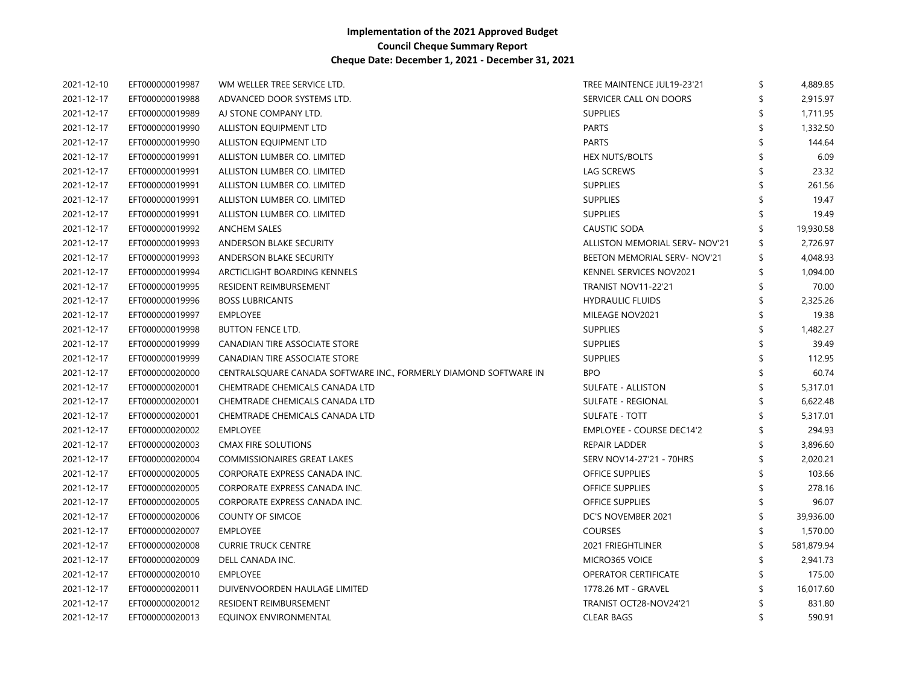| 2021-12-10 | EFT000000019987 | WM WELLER TREE SERVICE LTD.                                      | TREE MAINTENCE JUL19-23'21            | \$<br>4,889.85 |
|------------|-----------------|------------------------------------------------------------------|---------------------------------------|----------------|
| 2021-12-17 | EFT000000019988 | ADVANCED DOOR SYSTEMS LTD.                                       | SERVICER CALL ON DOORS                | 2,915.97       |
| 2021-12-17 | EFT000000019989 | AJ STONE COMPANY LTD.                                            | <b>SUPPLIES</b>                       | 1,711.95       |
| 2021-12-17 | EFT000000019990 | ALLISTON EQUIPMENT LTD                                           | <b>PARTS</b>                          | 1,332.50       |
| 2021-12-17 | EFT000000019990 | ALLISTON EQUIPMENT LTD                                           | <b>PARTS</b>                          | 144.64         |
| 2021-12-17 | EFT000000019991 | ALLISTON LUMBER CO. LIMITED                                      | <b>HEX NUTS/BOLTS</b>                 | 6.09           |
| 2021-12-17 | EFT000000019991 | ALLISTON LUMBER CO. LIMITED                                      | LAG SCREWS                            | 23.32          |
| 2021-12-17 | EFT000000019991 | ALLISTON LUMBER CO. LIMITED                                      | <b>SUPPLIES</b>                       | 261.56         |
| 2021-12-17 | EFT000000019991 | ALLISTON LUMBER CO. LIMITED                                      | <b>SUPPLIES</b>                       | 19.47          |
| 2021-12-17 | EFT000000019991 | ALLISTON LUMBER CO. LIMITED                                      | <b>SUPPLIES</b>                       | 19.49          |
| 2021-12-17 | EFT000000019992 | <b>ANCHEM SALES</b>                                              | CAUSTIC SODA                          | 19,930.58      |
| 2021-12-17 | EFT000000019993 | ANDERSON BLAKE SECURITY                                          | <b>ALLISTON MEMORIAL SERV- NOV'21</b> | \$<br>2,726.97 |
| 2021-12-17 | EFT000000019993 | ANDERSON BLAKE SECURITY                                          | BEETON MEMORIAL SERV-NOV'21           | \$<br>4,048.93 |
| 2021-12-17 | EFT000000019994 | ARCTICLIGHT BOARDING KENNELS                                     | KENNEL SERVICES NOV2021               | \$<br>1,094.00 |
| 2021-12-17 | EFT000000019995 | <b>RESIDENT REIMBURSEMENT</b>                                    | <b>TRANIST NOV11-22'21</b>            | 70.00          |
| 2021-12-17 | EFT000000019996 | <b>BOSS LUBRICANTS</b>                                           | <b>HYDRAULIC FLUIDS</b>               | 2,325.26       |
| 2021-12-17 | EFT000000019997 | <b>EMPLOYEE</b>                                                  | MILEAGE NOV2021                       | 19.38          |
| 2021-12-17 | EFT000000019998 | <b>BUTTON FENCE LTD.</b>                                         | <b>SUPPLIES</b>                       | 1,482.27       |
| 2021-12-17 | EFT000000019999 | CANADIAN TIRE ASSOCIATE STORE                                    | <b>SUPPLIES</b>                       | 39.49          |
| 2021-12-17 | EFT000000019999 | CANADIAN TIRE ASSOCIATE STORE                                    | <b>SUPPLIES</b>                       | 112.95         |
| 2021-12-17 | EFT000000020000 | CENTRALSQUARE CANADA SOFTWARE INC., FORMERLY DIAMOND SOFTWARE IN | <b>BPO</b>                            | 60.74          |
| 2021-12-17 | EFT000000020001 | CHEMTRADE CHEMICALS CANADA LTD                                   | <b>SULFATE - ALLISTON</b>             | 5,317.01       |
| 2021-12-17 | EFT000000020001 | CHEMTRADE CHEMICALS CANADA LTD                                   | SULFATE - REGIONAL                    | 6,622.48       |
| 2021-12-17 | EFT000000020001 | CHEMTRADE CHEMICALS CANADA LTD                                   | <b>SULFATE - TOTT</b>                 | 5,317.01       |
| 2021-12-17 | EFT000000020002 | <b>EMPLOYEE</b>                                                  | EMPLOYEE - COURSE DEC14'2             | 294.93         |
| 2021-12-17 | EFT000000020003 | CMAX FIRE SOLUTIONS                                              | REPAIR LADDER                         | 3,896.60       |
| 2021-12-17 | EFT000000020004 | <b>COMMISSIONAIRES GREAT LAKES</b>                               | SERV NOV14-27'21 - 70HRS              | 2,020.21       |
| 2021-12-17 | EFT000000020005 | CORPORATE EXPRESS CANADA INC.                                    | <b>OFFICE SUPPLIES</b>                | 103.66         |
| 2021-12-17 | EFT000000020005 | CORPORATE EXPRESS CANADA INC.                                    | <b>OFFICE SUPPLIES</b>                | 278.16         |
| 2021-12-17 | EFT000000020005 | CORPORATE EXPRESS CANADA INC.                                    | <b>OFFICE SUPPLIES</b>                | 96.07          |
| 2021-12-17 | EFT000000020006 | <b>COUNTY OF SIMCOE</b>                                          | DC'S NOVEMBER 2021                    | 39,936.00      |
| 2021-12-17 | EFT000000020007 | <b>EMPLOYEE</b>                                                  | <b>COURSES</b>                        | 1,570.00       |
| 2021-12-17 | EFT000000020008 | <b>CURRIE TRUCK CENTRE</b>                                       | 2021 FRIEGHTLINER                     | 581,879.94     |
| 2021-12-17 | EFT000000020009 | DELL CANADA INC.                                                 | MICRO365 VOICE                        | \$<br>2,941.73 |
| 2021-12-17 | EFT000000020010 | <b>EMPLOYEE</b>                                                  | <b>OPERATOR CERTIFICATE</b>           | 175.00         |
| 2021-12-17 | EFT000000020011 | DUIVENVOORDEN HAULAGE LIMITED                                    | 1778.26 MT - GRAVEL                   | 16,017.60      |
| 2021-12-17 | EFT000000020012 | <b>RESIDENT REIMBURSEMENT</b>                                    | TRANIST OCT28-NOV24'21                | 831.80         |
| 2021-12-17 | EFT000000020013 | EQUINOX ENVIRONMENTAL                                            | <b>CLEAR BAGS</b>                     | \$<br>590.91   |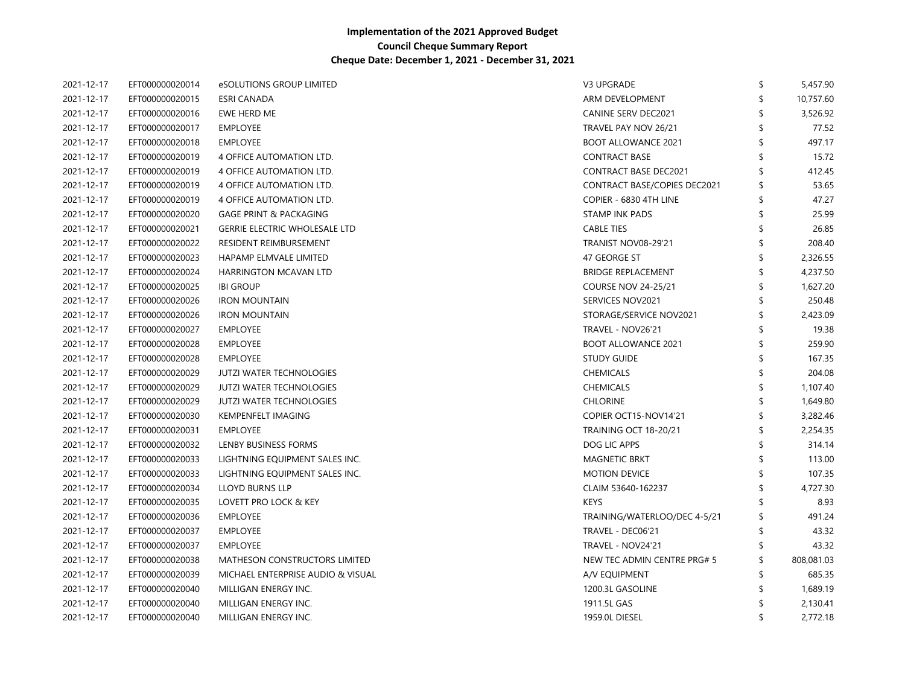| 2021-12-17 | EFT000000020014 | eSOLUTIONS GROUP LIMITED             | V3 UPGRADE                          | \$<br>5,457.90 |
|------------|-----------------|--------------------------------------|-------------------------------------|----------------|
| 2021-12-17 | EFT000000020015 | ESRI CANADA                          | ARM DEVELOPMENT                     | 10,757.60      |
| 2021-12-17 | EFT000000020016 | EWE HERD ME                          | <b>CANINE SERV DEC2021</b>          | 3,526.92       |
| 2021-12-17 | EFT000000020017 | <b>EMPLOYEE</b>                      | TRAVEL PAY NOV 26/21                | 77.52          |
| 2021-12-17 | EFT000000020018 | <b>EMPLOYEE</b>                      | <b>BOOT ALLOWANCE 2021</b>          | 497.17         |
| 2021-12-17 | EFT000000020019 | 4 OFFICE AUTOMATION LTD.             | <b>CONTRACT BASE</b>                | 15.72          |
| 2021-12-17 | EFT000000020019 | 4 OFFICE AUTOMATION LTD.             | <b>CONTRACT BASE DEC2021</b>        | 412.45         |
| 2021-12-17 | EFT000000020019 | 4 OFFICE AUTOMATION LTD.             | <b>CONTRACT BASE/COPIES DEC2021</b> | 53.65          |
| 2021-12-17 | EFT000000020019 | 4 OFFICE AUTOMATION LTD.             | COPIER - 6830 4TH LINE              | 47.27          |
| 2021-12-17 | EFT000000020020 | <b>GAGE PRINT &amp; PACKAGING</b>    | <b>STAMP INK PADS</b>               | 25.99          |
| 2021-12-17 | EFT000000020021 | <b>GERRIE ELECTRIC WHOLESALE LTD</b> | <b>CABLE TIES</b>                   | 26.85          |
| 2021-12-17 | EFT000000020022 | RESIDENT REIMBURSEMENT               | <b>TRANIST NOV08-29'21</b>          | 208.40         |
| 2021-12-17 | EFT000000020023 | HAPAMP ELMVALE LIMITED               | 47 GEORGE ST                        | 2,326.55       |
| 2021-12-17 | EFT000000020024 | HARRINGTON MCAVAN LTD                | <b>BRIDGE REPLACEMENT</b>           | 4,237.50       |
| 2021-12-17 | EFT000000020025 | <b>IBI GROUP</b>                     | <b>COURSE NOV 24-25/21</b>          | 1,627.20       |
| 2021-12-17 | EFT000000020026 | <b>IRON MOUNTAIN</b>                 | SERVICES NOV2021                    | 250.48         |
| 2021-12-17 | EFT000000020026 | <b>IRON MOUNTAIN</b>                 | STORAGE/SERVICE NOV2021             | 2,423.09       |
| 2021-12-17 | EFT000000020027 | <b>EMPLOYEE</b>                      | TRAVEL - NOV26'21                   | 19.38          |
| 2021-12-17 | EFT000000020028 | <b>EMPLOYEE</b>                      | <b>BOOT ALLOWANCE 2021</b>          | 259.90         |
| 2021-12-17 | EFT000000020028 | <b>EMPLOYEE</b>                      | <b>STUDY GUIDE</b>                  | 167.35         |
| 2021-12-17 | EFT000000020029 | <b>JUTZI WATER TECHNOLOGIES</b>      | <b>CHEMICALS</b>                    | 204.08         |
| 2021-12-17 | EFT000000020029 | <b>JUTZI WATER TECHNOLOGIES</b>      | <b>CHEMICALS</b>                    | 1,107.40       |
| 2021-12-17 | EFT000000020029 | <b>JUTZI WATER TECHNOLOGIES</b>      | <b>CHLORINE</b>                     | 1,649.80       |
| 2021-12-17 | EFT000000020030 | <b>KEMPENFELT IMAGING</b>            | COPIER OCT15-NOV14'21               | 3,282.46       |
| 2021-12-17 | EFT000000020031 | <b>EMPLOYEE</b>                      | <b>TRAINING OCT 18-20/21</b>        | 2,254.35       |
| 2021-12-17 | EFT000000020032 | LENBY BUSINESS FORMS                 | DOG LIC APPS                        | 314.14         |
| 2021-12-17 | EFT000000020033 | LIGHTNING EQUIPMENT SALES INC.       | <b>MAGNETIC BRKT</b>                | 113.00         |
| 2021-12-17 | EFT000000020033 | LIGHTNING EQUIPMENT SALES INC.       | <b>MOTION DEVICE</b>                | 107.35         |
| 2021-12-17 | EFT000000020034 | <b>LLOYD BURNS LLP</b>               | CLAIM 53640-162237                  | 4,727.30       |
| 2021-12-17 | EFT000000020035 | LOVETT PRO LOCK & KEY                | <b>KEYS</b>                         | 8.93           |
| 2021-12-17 | EFT000000020036 | <b>EMPLOYEE</b>                      | TRAINING/WATERLOO/DEC 4-5/21        | 491.24         |
| 2021-12-17 | EFT000000020037 | <b>EMPLOYEE</b>                      | TRAVEL - DEC06'21                   | 43.32          |
| 2021-12-17 | EFT000000020037 | <b>EMPLOYEE</b>                      | TRAVEL - NOV24'21                   | 43.32          |
| 2021-12-17 | EFT000000020038 | MATHESON CONSTRUCTORS LIMITED        | NEW TEC ADMIN CENTRE PRG# 5         | 808,081.03     |
| 2021-12-17 | EFT000000020039 | MICHAEL ENTERPRISE AUDIO & VISUAL    | A/V EQUIPMENT                       | 685.35         |
| 2021-12-17 | EFT000000020040 | MILLIGAN ENERGY INC.                 | 1200.3L GASOLINE                    | 1,689.19       |
| 2021-12-17 | EFT000000020040 | MILLIGAN ENERGY INC.                 | 1911.5L GAS                         | 2,130.41       |
| 2021-12-17 | EFT000000020040 | MILLIGAN ENERGY INC.                 | 1959.0L DIESEL                      | 2,772.18       |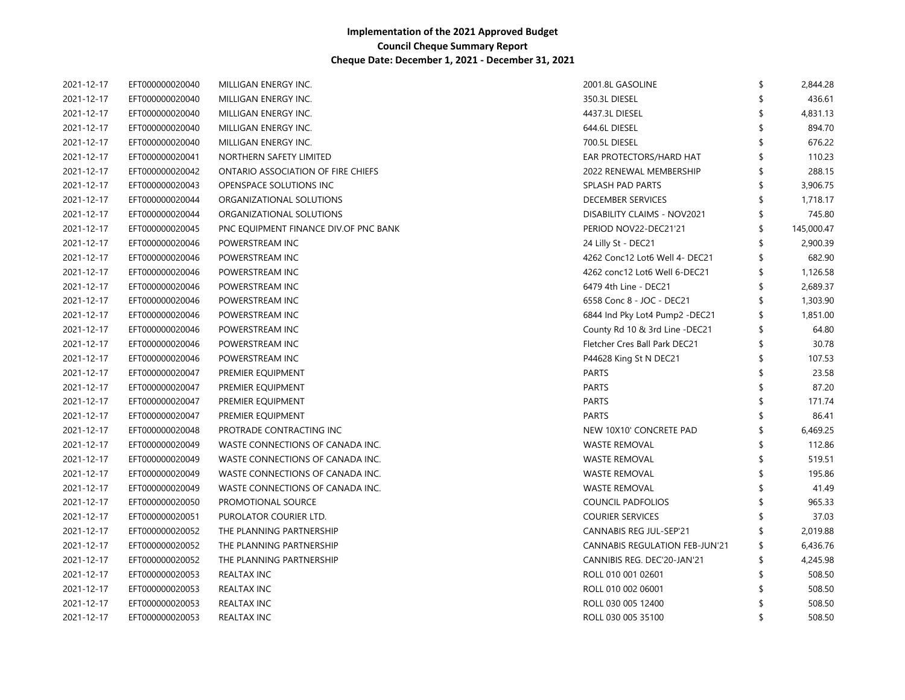| 2021-12-17 | EFT000000020040 | MILLIGAN ENERGY INC.                  | 2001.8L GASOLINE                      | \$<br>2,844.28   |
|------------|-----------------|---------------------------------------|---------------------------------------|------------------|
| 2021-12-17 | EFT000000020040 | MILLIGAN ENERGY INC.                  | 350.3L DIESEL                         | 436.61           |
| 2021-12-17 | EFT000000020040 | MILLIGAN ENERGY INC.                  | 4437.3L DIESEL                        | 4,831.13         |
| 2021-12-17 | EFT000000020040 | MILLIGAN ENERGY INC.                  | 644.6L DIESEL                         | 894.70           |
| 2021-12-17 | EFT000000020040 | MILLIGAN ENERGY INC.                  | 700.5L DIESEL                         | 676.22           |
| 2021-12-17 | EFT000000020041 | NORTHERN SAFETY LIMITED               | EAR PROTECTORS/HARD HAT               | 110.23           |
| 2021-12-17 | EFT000000020042 | ONTARIO ASSOCIATION OF FIRE CHIEFS    | 2022 RENEWAL MEMBERSHIP               | 288.15           |
| 2021-12-17 | EFT000000020043 | OPENSPACE SOLUTIONS INC               | SPLASH PAD PARTS                      | 3,906.75         |
| 2021-12-17 | EFT000000020044 | ORGANIZATIONAL SOLUTIONS              | <b>DECEMBER SERVICES</b>              | 1,718.17         |
| 2021-12-17 | EFT000000020044 | ORGANIZATIONAL SOLUTIONS              | DISABILITY CLAIMS - NOV2021           | 745.80           |
| 2021-12-17 | EFT000000020045 | PNC EQUIPMENT FINANCE DIV.OF PNC BANK | PERIOD NOV22-DEC21'21                 | \$<br>145,000.47 |
| 2021-12-17 | EFT000000020046 | POWERSTREAM INC                       | 24 Lilly St - DEC21                   | \$<br>2,900.39   |
| 2021-12-17 | EFT000000020046 | POWERSTREAM INC                       | 4262 Conc12 Lot6 Well 4- DEC21        | \$<br>682.90     |
| 2021-12-17 | EFT000000020046 | POWERSTREAM INC                       | 4262 conc12 Lot6 Well 6-DEC21         | \$<br>1,126.58   |
| 2021-12-17 | EFT000000020046 | POWERSTREAM INC                       | 6479 4th Line - DEC21                 | \$<br>2,689.37   |
| 2021-12-17 | EFT000000020046 | POWERSTREAM INC                       | 6558 Conc 8 - JOC - DEC21             | 1,303.90         |
| 2021-12-17 | EFT000000020046 | POWERSTREAM INC                       | 6844 Ind Pky Lot4 Pump2 -DEC21        | \$<br>1,851.00   |
| 2021-12-17 | EFT000000020046 | POWERSTREAM INC                       | County Rd 10 & 3rd Line -DEC21        | 64.80            |
| 2021-12-17 | EFT000000020046 | POWERSTREAM INC                       | Fletcher Cres Ball Park DEC21         | \$<br>30.78      |
| 2021-12-17 | EFT000000020046 | POWERSTREAM INC                       | P44628 King St N DEC21                | \$<br>107.53     |
| 2021-12-17 | EFT000000020047 | PREMIER EQUIPMENT                     | <b>PARTS</b>                          | 23.58            |
| 2021-12-17 | EFT000000020047 | PREMIER EQUIPMENT                     | <b>PARTS</b>                          | 87.20            |
| 2021-12-17 | EFT000000020047 | PREMIER EQUIPMENT                     | <b>PARTS</b>                          | 171.74           |
| 2021-12-17 | EFT000000020047 | PREMIER EQUIPMENT                     | <b>PARTS</b>                          | 86.41            |
| 2021-12-17 | EFT000000020048 | PROTRADE CONTRACTING INC              | NEW 10X10' CONCRETE PAD               | 6,469.25         |
| 2021-12-17 | EFT000000020049 | WASTE CONNECTIONS OF CANADA INC.      | <b>WASTE REMOVAL</b>                  | 112.86           |
| 2021-12-17 | EFT000000020049 | WASTE CONNECTIONS OF CANADA INC.      | <b>WASTE REMOVAL</b>                  | 519.51           |
| 2021-12-17 | EFT000000020049 | WASTE CONNECTIONS OF CANADA INC.      | WASTE REMOVAL                         | 195.86           |
| 2021-12-17 | EFT000000020049 | WASTE CONNECTIONS OF CANADA INC.      | <b>WASTE REMOVAL</b>                  | 41.49            |
| 2021-12-17 | EFT000000020050 | PROMOTIONAL SOURCE                    | COUNCIL PADFOLIOS                     | 965.33           |
| 2021-12-17 | EFT000000020051 | PUROLATOR COURIER LTD.                | <b>COURIER SERVICES</b>               | 37.03            |
| 2021-12-17 | EFT000000020052 | THE PLANNING PARTNERSHIP              | CANNABIS REG JUL-SEP'21               | 2,019.88         |
| 2021-12-17 | EFT000000020052 | THE PLANNING PARTNERSHIP              | <b>CANNABIS REGULATION FEB-JUN'21</b> | 6,436.76         |
| 2021-12-17 | EFT000000020052 | THE PLANNING PARTNERSHIP              | CANNIBIS REG. DEC'20-JAN'21           | 4,245.98         |
| 2021-12-17 | EFT000000020053 | <b>REALTAX INC</b>                    | ROLL 010 001 02601                    | 508.50           |
| 2021-12-17 | EFT000000020053 | REALTAX INC                           | ROLL 010 002 06001                    | 508.50           |
| 2021-12-17 | EFT000000020053 | REALTAX INC                           | ROLL 030 005 12400                    | 508.50           |
| 2021-12-17 | EFT000000020053 | <b>REALTAX INC</b>                    | ROLL 030 005 35100                    | 508.50           |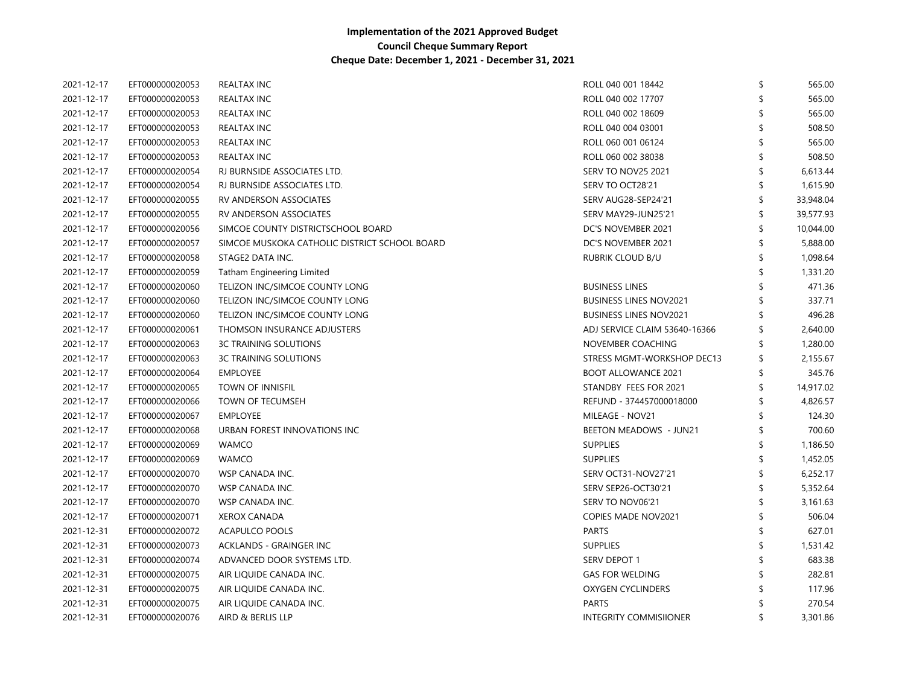| 2021-12-17 | EFT000000020053 | <b>REALTAX INC</b>                            | ROLL 040 001 18442            | \$<br>565.00 |
|------------|-----------------|-----------------------------------------------|-------------------------------|--------------|
| 2021-12-17 | EFT000000020053 | <b>REALTAX INC</b>                            | ROLL 040 002 17707            | 565.00       |
| 2021-12-17 | EFT000000020053 | <b>REALTAX INC</b>                            | ROLL 040 002 18609            | 565.00       |
| 2021-12-17 | EFT000000020053 | <b>REALTAX INC</b>                            | ROLL 040 004 03001            | 508.50       |
| 2021-12-17 | EFT000000020053 | <b>REALTAX INC</b>                            | ROLL 060 001 06124            | 565.00       |
| 2021-12-17 | EFT000000020053 | <b>REALTAX INC</b>                            | ROLL 060 002 38038            | 508.50       |
| 2021-12-17 | EFT000000020054 | RJ BURNSIDE ASSOCIATES LTD.                   | <b>SERV TO NOV25 2021</b>     | 6,613.44     |
| 2021-12-17 | EFT000000020054 | RJ BURNSIDE ASSOCIATES LTD.                   | SERV TO OCT28'21              | 1,615.90     |
| 2021-12-17 | EFT000000020055 | RV ANDERSON ASSOCIATES                        | SERV AUG28-SEP24'21           | 33,948.04    |
| 2021-12-17 | EFT000000020055 | RV ANDERSON ASSOCIATES                        | SERV MAY29-JUN25'21           | 39,577.93    |
| 2021-12-17 | EFT000000020056 | SIMCOE COUNTY DISTRICTSCHOOL BOARD            | DC'S NOVEMBER 2021            | 10,044.00    |
| 2021-12-17 | EFT000000020057 | SIMCOE MUSKOKA CATHOLIC DISTRICT SCHOOL BOARD | DC'S NOVEMBER 2021            | 5,888.00     |
| 2021-12-17 | EFT000000020058 | STAGE2 DATA INC.                              | RUBRIK CLOUD B/U              | 1,098.64     |
| 2021-12-17 | EFT000000020059 | Tatham Engineering Limited                    |                               | 1,331.20     |
| 2021-12-17 | EFT000000020060 | TELIZON INC/SIMCOE COUNTY LONG                | <b>BUSINESS LINES</b>         | 471.36       |
| 2021-12-17 | EFT000000020060 | TELIZON INC/SIMCOE COUNTY LONG                | <b>BUSINESS LINES NOV2021</b> | 337.71       |
| 2021-12-17 | EFT000000020060 | TELIZON INC/SIMCOE COUNTY LONG                | <b>BUSINESS LINES NOV2021</b> | 496.28       |
| 2021-12-17 | EFT000000020061 | THOMSON INSURANCE ADJUSTERS                   | ADJ SERVICE CLAIM 53640-16366 | 2,640.00     |
| 2021-12-17 | EFT000000020063 | <b>3C TRAINING SOLUTIONS</b>                  | NOVEMBER COACHING             | 1,280.00     |
| 2021-12-17 | EFT000000020063 | <b>3C TRAINING SOLUTIONS</b>                  | STRESS MGMT-WORKSHOP DEC13    | 2,155.67     |
| 2021-12-17 | EFT000000020064 | <b>EMPLOYEE</b>                               | <b>BOOT ALLOWANCE 2021</b>    | 345.76       |
| 2021-12-17 | EFT000000020065 | <b>TOWN OF INNISFIL</b>                       | STANDBY FEES FOR 2021         | 14,917.02    |
| 2021-12-17 | EFT000000020066 | TOWN OF TECUMSEH                              | REFUND - 374457000018000      | 4,826.57     |
| 2021-12-17 | EFT000000020067 | <b>EMPLOYEE</b>                               | MILEAGE - NOV21               | 124.30       |
| 2021-12-17 | EFT000000020068 | URBAN FOREST INNOVATIONS INC                  | BEETON MEADOWS - JUN21        | 700.60       |
| 2021-12-17 | EFT000000020069 | <b>WAMCO</b>                                  | <b>SUPPLIES</b>               | 1,186.50     |
| 2021-12-17 | EFT000000020069 | <b>WAMCO</b>                                  | <b>SUPPLIES</b>               | 1,452.05     |
| 2021-12-17 | EFT000000020070 | WSP CANADA INC.                               | SERV OCT31-NOV27'21           | 6,252.17     |
| 2021-12-17 | EFT000000020070 | WSP CANADA INC.                               | SERV SEP26-OCT30'21           | 5,352.64     |
| 2021-12-17 | EFT000000020070 | WSP CANADA INC.                               | SERV TO NOV06'21              | 3,161.63     |
| 2021-12-17 | EFT000000020071 | <b>XEROX CANADA</b>                           | COPIES MADE NOV2021           | 506.04       |
| 2021-12-31 | EFT000000020072 | ACAPULCO POOLS                                | <b>PARTS</b>                  | 627.01       |
| 2021-12-31 | EFT000000020073 | ACKLANDS - GRAINGER INC                       | <b>SUPPLIES</b>               | 1,531.42     |
| 2021-12-31 | EFT000000020074 | ADVANCED DOOR SYSTEMS LTD.                    | SERV DEPOT 1                  | 683.38       |
| 2021-12-31 | EFT000000020075 | AIR LIQUIDE CANADA INC.                       | <b>GAS FOR WELDING</b>        | 282.81       |
| 2021-12-31 | EFT000000020075 | AIR LIQUIDE CANADA INC.                       | <b>OXYGEN CYCLINDERS</b>      | 117.96       |
| 2021-12-31 | EFT000000020075 | AIR LIQUIDE CANADA INC.                       | <b>PARTS</b>                  | 270.54       |
| 2021-12-31 | EFT000000020076 | AIRD & BERLIS LLP                             | <b>INTEGRITY COMMISIIONER</b> | 3,301.86     |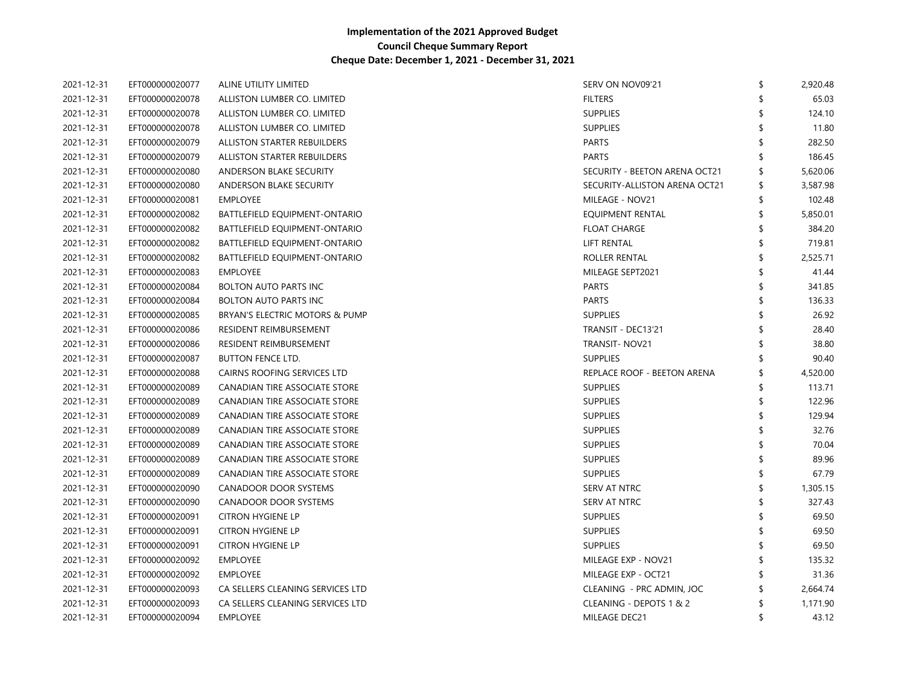| 2021-12-31 | EFT000000020077 | ALINE UTILITY LIMITED            | SERV ON NOV09'21              | \$<br>2,920.48 |
|------------|-----------------|----------------------------------|-------------------------------|----------------|
| 2021-12-31 | EFT000000020078 | ALLISTON LUMBER CO. LIMITED      | <b>FILTERS</b>                | 65.03          |
| 2021-12-31 | EFT000000020078 | ALLISTON LUMBER CO. LIMITED      | <b>SUPPLIES</b>               | 124.10         |
| 2021-12-31 | EFT000000020078 | ALLISTON LUMBER CO. LIMITED      | <b>SUPPLIES</b>               | 11.80          |
| 2021-12-31 | EFT000000020079 | ALLISTON STARTER REBUILDERS      | <b>PARTS</b>                  | 282.50         |
| 2021-12-31 | EFT000000020079 | ALLISTON STARTER REBUILDERS      | <b>PARTS</b>                  | 186.45         |
| 2021-12-31 | EFT000000020080 | ANDERSON BLAKE SECURITY          | SECURITY - BEETON ARENA OCT21 | 5,620.06       |
| 2021-12-31 | EFT000000020080 | ANDERSON BLAKE SECURITY          | SECURITY-ALLISTON ARENA OCT21 | \$<br>3,587.98 |
| 2021-12-31 | EFT000000020081 | <b>EMPLOYEE</b>                  | MILEAGE - NOV21               | 102.48         |
| 2021-12-31 | EFT000000020082 | BATTLEFIELD EQUIPMENT-ONTARIO    | <b>EQUIPMENT RENTAL</b>       | 5,850.01       |
| 2021-12-31 | EFT000000020082 | BATTLEFIELD EQUIPMENT-ONTARIO    | <b>FLOAT CHARGE</b>           | 384.20         |
| 2021-12-31 | EFT000000020082 | BATTLEFIELD EQUIPMENT-ONTARIO    | <b>LIFT RENTAL</b>            | 719.81         |
| 2021-12-31 | EFT000000020082 | BATTLEFIELD EQUIPMENT-ONTARIO    | ROLLER RENTAL                 | 2,525.71       |
| 2021-12-31 | EFT000000020083 | <b>EMPLOYEE</b>                  | MILEAGE SEPT2021              | 41.44          |
| 2021-12-31 | EFT000000020084 | <b>BOLTON AUTO PARTS INC</b>     | <b>PARTS</b>                  | 341.85         |
| 2021-12-31 | EFT000000020084 | <b>BOLTON AUTO PARTS INC</b>     | <b>PARTS</b>                  | 136.33         |
| 2021-12-31 | EFT000000020085 | BRYAN'S ELECTRIC MOTORS & PUMP   | <b>SUPPLIES</b>               | 26.92          |
| 2021-12-31 | EFT000000020086 | RESIDENT REIMBURSEMENT           | TRANSIT - DEC13'21            | 28.40          |
| 2021-12-31 | EFT000000020086 | RESIDENT REIMBURSEMENT           | TRANSIT-NOV21                 | 38.80          |
| 2021-12-31 | EFT000000020087 | <b>BUTTON FENCE LTD.</b>         | <b>SUPPLIES</b>               | 90.40          |
| 2021-12-31 | EFT000000020088 | CAIRNS ROOFING SERVICES LTD      | REPLACE ROOF - BEETON ARENA   | 4,520.00       |
| 2021-12-31 | EFT000000020089 | CANADIAN TIRE ASSOCIATE STORE    | <b>SUPPLIES</b>               | 113.71         |
| 2021-12-31 | EFT000000020089 | CANADIAN TIRE ASSOCIATE STORE    | <b>SUPPLIES</b>               | 122.96         |
| 2021-12-31 | EFT000000020089 | CANADIAN TIRE ASSOCIATE STORE    | <b>SUPPLIES</b>               | 129.94         |
| 2021-12-31 | EFT000000020089 | CANADIAN TIRE ASSOCIATE STORE    | <b>SUPPLIES</b>               | 32.76          |
| 2021-12-31 | EFT000000020089 | CANADIAN TIRE ASSOCIATE STORE    | <b>SUPPLIES</b>               | 70.04          |
| 2021-12-31 | EFT000000020089 | CANADIAN TIRE ASSOCIATE STORE    | <b>SUPPLIES</b>               | 89.96          |
| 2021-12-31 | EFT000000020089 | CANADIAN TIRE ASSOCIATE STORE    | <b>SUPPLIES</b>               | 67.79          |
| 2021-12-31 | EFT000000020090 | <b>CANADOOR DOOR SYSTEMS</b>     | SERV AT NTRC                  | 1,305.15       |
| 2021-12-31 | EFT000000020090 | <b>CANADOOR DOOR SYSTEMS</b>     | SERV AT NTRC                  | 327.43         |
| 2021-12-31 | EFT000000020091 | <b>CITRON HYGIENE LP</b>         | <b>SUPPLIES</b>               | 69.50          |
| 2021-12-31 | EFT000000020091 | <b>CITRON HYGIENE LP</b>         | <b>SUPPLIES</b>               | 69.50          |
| 2021-12-31 | EFT000000020091 | <b>CITRON HYGIENE LP</b>         | <b>SUPPLIES</b>               | 69.50          |
| 2021-12-31 | EFT000000020092 | EMPLOYEE                         | MILEAGE EXP - NOV21           | 135.32         |
| 2021-12-31 | EFT000000020092 | EMPLOYEE                         | MILEAGE EXP - OCT21           | 31.36          |
| 2021-12-31 | EFT000000020093 | CA SELLERS CLEANING SERVICES LTD | CLEANING - PRC ADMIN, JOC     | 2,664.74       |
| 2021-12-31 | EFT000000020093 | CA SELLERS CLEANING SERVICES LTD | CLEANING - DEPOTS 1 & 2       | 1,171.90       |
| 2021-12-31 | EFT000000020094 | <b>EMPLOYEE</b>                  | MILEAGE DEC21                 | \$<br>43.12    |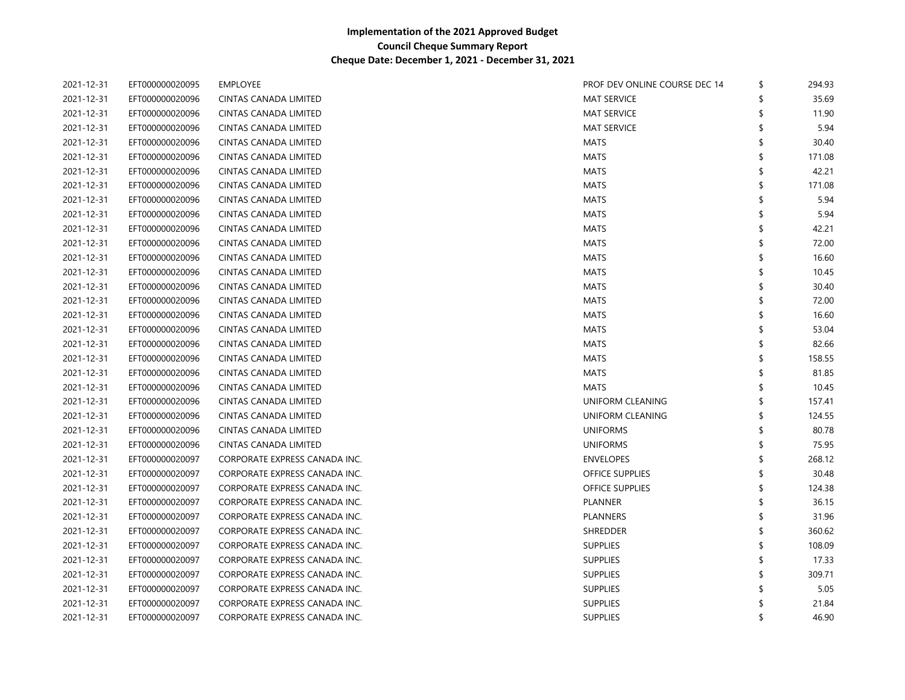| 2021-12-31 | EFT000000020095 | EMPLOYEE                      | PROF DEV ONLINE COURSE DEC 14 | \$<br>294.93 |
|------------|-----------------|-------------------------------|-------------------------------|--------------|
| 2021-12-31 | EFT000000020096 | CINTAS CANADA LIMITED         | <b>MAT SERVICE</b>            | \$<br>35.69  |
| 2021-12-31 | EFT000000020096 | CINTAS CANADA LIMITED         | <b>MAT SERVICE</b>            | 11.90        |
| 2021-12-31 | EFT000000020096 | CINTAS CANADA LIMITED         | <b>MAT SERVICE</b>            | 5.94         |
| 2021-12-31 | EFT000000020096 | <b>CINTAS CANADA LIMITED</b>  | <b>MATS</b>                   | 30.40        |
| 2021-12-31 | EFT000000020096 | CINTAS CANADA LIMITED         | <b>MATS</b>                   | 171.08       |
| 2021-12-31 | EFT000000020096 | CINTAS CANADA LIMITED         | <b>MATS</b>                   | 42.21        |
| 2021-12-31 | EFT000000020096 | CINTAS CANADA LIMITED         | <b>MATS</b>                   | 171.08       |
| 2021-12-31 | EFT000000020096 | CINTAS CANADA LIMITED         | <b>MATS</b>                   | 5.94         |
| 2021-12-31 | EFT000000020096 | CINTAS CANADA LIMITED         | <b>MATS</b>                   | 5.94         |
| 2021-12-31 | EFT000000020096 | CINTAS CANADA LIMITED         | <b>MATS</b>                   | 42.21        |
| 2021-12-31 | EFT000000020096 | CINTAS CANADA LIMITED         | <b>MATS</b>                   | 72.00        |
| 2021-12-31 | EFT000000020096 | <b>CINTAS CANADA LIMITED</b>  | <b>MATS</b>                   | 16.60        |
| 2021-12-31 | EFT000000020096 | <b>CINTAS CANADA LIMITED</b>  | <b>MATS</b>                   | \$<br>10.45  |
| 2021-12-31 | EFT000000020096 | <b>CINTAS CANADA LIMITED</b>  | <b>MATS</b>                   | \$<br>30.40  |
| 2021-12-31 | EFT000000020096 | CINTAS CANADA LIMITED         | <b>MATS</b>                   | \$<br>72.00  |
| 2021-12-31 | EFT000000020096 | CINTAS CANADA LIMITED         | <b>MATS</b>                   | \$<br>16.60  |
| 2021-12-31 | EFT000000020096 | CINTAS CANADA LIMITED         | <b>MATS</b>                   | \$<br>53.04  |
| 2021-12-31 | EFT000000020096 | CINTAS CANADA LIMITED         | <b>MATS</b>                   | \$<br>82.66  |
| 2021-12-31 | EFT000000020096 | CINTAS CANADA LIMITED         | <b>MATS</b>                   | \$<br>158.55 |
| 2021-12-31 | EFT000000020096 | CINTAS CANADA LIMITED         | <b>MATS</b>                   | \$<br>81.85  |
| 2021-12-31 | EFT000000020096 | <b>CINTAS CANADA LIMITED</b>  | <b>MATS</b>                   | \$<br>10.45  |
| 2021-12-31 | EFT000000020096 | <b>CINTAS CANADA LIMITED</b>  | UNIFORM CLEANING              | \$<br>157.41 |
| 2021-12-31 | EFT000000020096 | CINTAS CANADA LIMITED         | UNIFORM CLEANING              | \$<br>124.55 |
| 2021-12-31 | EFT000000020096 | CINTAS CANADA LIMITED         | <b>UNIFORMS</b>               | \$<br>80.78  |
| 2021-12-31 | EFT000000020096 | CINTAS CANADA LIMITED         | <b>UNIFORMS</b>               | \$<br>75.95  |
| 2021-12-31 | EFT000000020097 | CORPORATE EXPRESS CANADA INC. | <b>ENVELOPES</b>              | \$<br>268.12 |
| 2021-12-31 | EFT000000020097 | CORPORATE EXPRESS CANADA INC. | <b>OFFICE SUPPLIES</b>        | \$<br>30.48  |
| 2021-12-31 | EFT000000020097 | CORPORATE EXPRESS CANADA INC. | <b>OFFICE SUPPLIES</b>        | \$<br>124.38 |
| 2021-12-31 | EFT000000020097 | CORPORATE EXPRESS CANADA INC. | <b>PLANNER</b>                | \$<br>36.15  |
| 2021-12-31 | EFT000000020097 | CORPORATE EXPRESS CANADA INC. | <b>PLANNERS</b>               | \$<br>31.96  |
| 2021-12-31 | EFT000000020097 | CORPORATE EXPRESS CANADA INC. | <b>SHREDDER</b>               | \$<br>360.62 |
| 2021-12-31 | EFT000000020097 | CORPORATE EXPRESS CANADA INC. | <b>SUPPLIES</b>               | \$<br>108.09 |
| 2021-12-31 | EFT000000020097 | CORPORATE EXPRESS CANADA INC. | <b>SUPPLIES</b>               | \$<br>17.33  |
| 2021-12-31 | EFT000000020097 | CORPORATE EXPRESS CANADA INC. | <b>SUPPLIES</b>               | \$<br>309.71 |
| 2021-12-31 | EFT000000020097 | CORPORATE EXPRESS CANADA INC. | <b>SUPPLIES</b>               | 5.05         |
| 2021-12-31 | EFT000000020097 | CORPORATE EXPRESS CANADA INC. | <b>SUPPLIES</b>               | 21.84        |
| 2021-12-31 | EFT000000020097 | CORPORATE EXPRESS CANADA INC. | <b>SUPPLIES</b>               | \$<br>46.90  |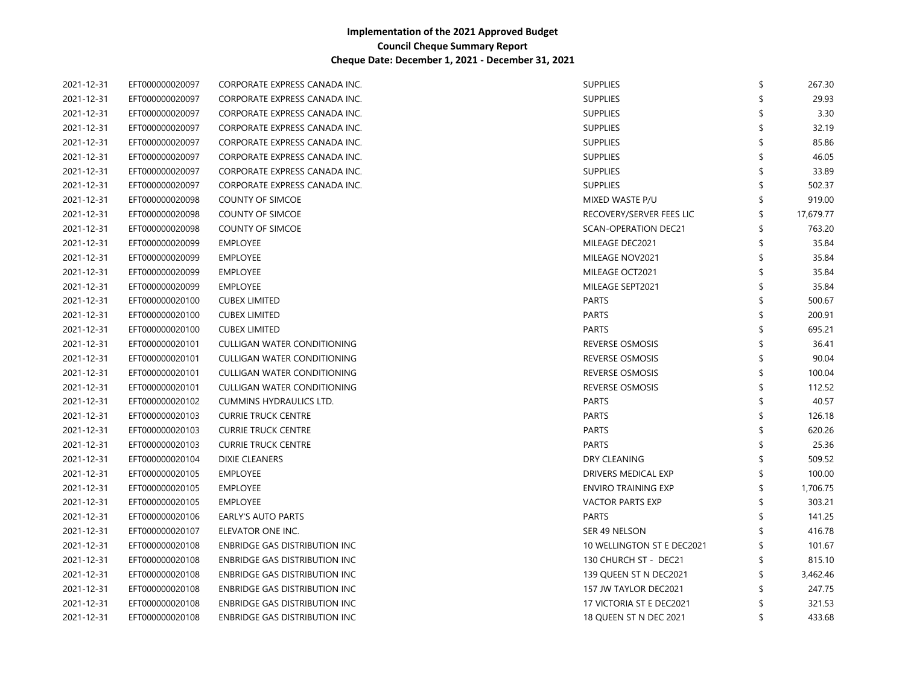| 2021-12-31 | EFT000000020097 | CORPORATE EXPRESS CANADA INC.        | <b>SUPPLIES</b>            | 267.30    |
|------------|-----------------|--------------------------------------|----------------------------|-----------|
| 2021-12-31 | EFT000000020097 | CORPORATE EXPRESS CANADA INC.        | <b>SUPPLIES</b>            | 29.93     |
| 2021-12-31 | EFT000000020097 | CORPORATE EXPRESS CANADA INC.        | <b>SUPPLIES</b>            | 3.30      |
| 2021-12-31 | EFT000000020097 | CORPORATE EXPRESS CANADA INC.        | <b>SUPPLIES</b>            | 32.19     |
| 2021-12-31 | EFT000000020097 | CORPORATE EXPRESS CANADA INC.        | <b>SUPPLIES</b>            | 85.86     |
| 2021-12-31 | EFT000000020097 | CORPORATE EXPRESS CANADA INC.        | <b>SUPPLIES</b>            | 46.05     |
| 2021-12-31 | EFT000000020097 | CORPORATE EXPRESS CANADA INC.        | <b>SUPPLIES</b>            | 33.89     |
| 2021-12-31 | EFT000000020097 | CORPORATE EXPRESS CANADA INC.        | <b>SUPPLIES</b>            | 502.37    |
| 2021-12-31 | EFT000000020098 | <b>COUNTY OF SIMCOE</b>              | MIXED WASTE P/U            | 919.00    |
| 2021-12-31 | EFT000000020098 | <b>COUNTY OF SIMCOE</b>              | RECOVERY/SERVER FEES LIC   | 17,679.77 |
| 2021-12-31 | EFT000000020098 | <b>COUNTY OF SIMCOE</b>              | SCAN-OPERATION DEC21       | 763.20    |
| 2021-12-31 | EFT000000020099 | <b>EMPLOYEE</b>                      | MILEAGE DEC2021            | 35.84     |
| 2021-12-31 | EFT000000020099 | <b>EMPLOYEE</b>                      | MILEAGE NOV2021            | 35.84     |
| 2021-12-31 | EFT000000020099 | <b>EMPLOYEE</b>                      | MILEAGE OCT2021            | 35.84     |
| 2021-12-31 | EFT000000020099 | <b>EMPLOYEE</b>                      | MILEAGE SEPT2021           | 35.84     |
| 2021-12-31 | EFT000000020100 | <b>CUBEX LIMITED</b>                 | <b>PARTS</b>               | 500.67    |
| 2021-12-31 | EFT000000020100 | <b>CUBEX LIMITED</b>                 | <b>PARTS</b>               | 200.91    |
| 2021-12-31 | EFT000000020100 | <b>CUBEX LIMITED</b>                 | <b>PARTS</b>               | 695.21    |
| 2021-12-31 | EFT000000020101 | CULLIGAN WATER CONDITIONING          | REVERSE OSMOSIS            | 36.41     |
| 2021-12-31 | EFT000000020101 | CULLIGAN WATER CONDITIONING          | REVERSE OSMOSIS            | 90.04     |
| 2021-12-31 | EFT000000020101 | CULLIGAN WATER CONDITIONING          | <b>REVERSE OSMOSIS</b>     | 100.04    |
| 2021-12-31 | EFT000000020101 | CULLIGAN WATER CONDITIONING          | <b>REVERSE OSMOSIS</b>     | 112.52    |
| 2021-12-31 | EFT000000020102 | CUMMINS HYDRAULICS LTD.              | <b>PARTS</b>               | 40.57     |
| 2021-12-31 | EFT000000020103 | <b>CURRIE TRUCK CENTRE</b>           | <b>PARTS</b>               | 126.18    |
| 2021-12-31 | EFT000000020103 | <b>CURRIE TRUCK CENTRE</b>           | <b>PARTS</b>               | 620.26    |
| 2021-12-31 | EFT000000020103 | <b>CURRIE TRUCK CENTRE</b>           | <b>PARTS</b>               | 25.36     |
| 2021-12-31 | EFT000000020104 | <b>DIXIE CLEANERS</b>                | DRY CLEANING               | 509.52    |
| 2021-12-31 | EFT000000020105 | <b>EMPLOYEE</b>                      | DRIVERS MEDICAL EXP        | 100.00    |
| 2021-12-31 | EFT000000020105 | EMPLOYEE                             | <b>ENVIRO TRAINING EXP</b> | 1,706.75  |
| 2021-12-31 | EFT000000020105 | <b>EMPLOYEE</b>                      | <b>VACTOR PARTS EXP</b>    | 303.21    |
| 2021-12-31 | EFT000000020106 | EARLY'S AUTO PARTS                   | <b>PARTS</b>               | 141.25    |
| 2021-12-31 | EFT000000020107 | ELEVATOR ONE INC.                    | SER 49 NELSON              | 416.78    |
| 2021-12-31 | EFT000000020108 | ENBRIDGE GAS DISTRIBUTION INC        | 10 WELLINGTON ST E DEC2021 | 101.67    |
| 2021-12-31 | EFT000000020108 | ENBRIDGE GAS DISTRIBUTION INC        | 130 CHURCH ST - DEC21      | 815.10    |
| 2021-12-31 | EFT000000020108 | ENBRIDGE GAS DISTRIBUTION INC        | 139 QUEEN ST N DEC2021     | 3,462.46  |
| 2021-12-31 | EFT000000020108 | <b>ENBRIDGE GAS DISTRIBUTION INC</b> | 157 JW TAYLOR DEC2021      | 247.75    |
| 2021-12-31 | EFT000000020108 | <b>ENBRIDGE GAS DISTRIBUTION INC</b> | 17 VICTORIA ST E DEC2021   | 321.53    |
| 2021-12-31 | EFT000000020108 | <b>ENBRIDGE GAS DISTRIBUTION INC</b> | 18 QUEEN ST N DEC 2021     | 433.68    |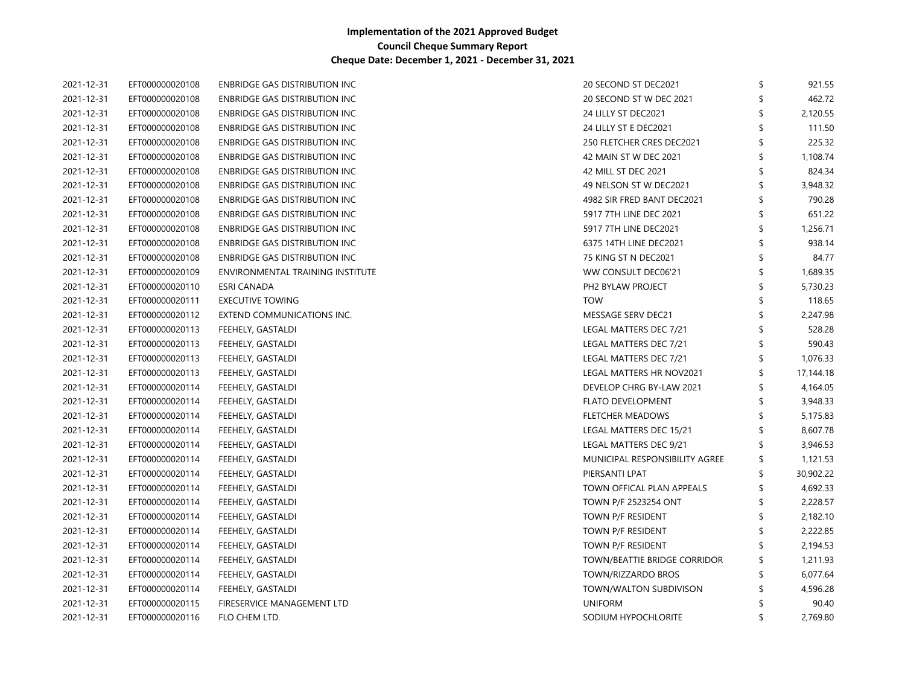| 2021-12-31 | EFT000000020108 | ENBRIDGE GAS DISTRIBUTION INC         | 20 SECOND ST DEC2021           | \$<br>921.55    |
|------------|-----------------|---------------------------------------|--------------------------------|-----------------|
| 2021-12-31 | EFT000000020108 | ENBRIDGE GAS DISTRIBUTION INC         | 20 SECOND ST W DEC 2021        | \$<br>462.72    |
| 2021-12-31 | EFT000000020108 | ENBRIDGE GAS DISTRIBUTION INC         | 24 LILLY ST DEC2021            | 2,120.55        |
| 2021-12-31 | EFT000000020108 | ENBRIDGE GAS DISTRIBUTION INC         | 24 LILLY ST E DEC2021          | 111.50          |
| 2021-12-31 | EFT000000020108 | <b>ENBRIDGE GAS DISTRIBUTION INC</b>  | 250 FLETCHER CRES DEC2021      | \$<br>225.32    |
| 2021-12-31 | EFT000000020108 | <b>ENBRIDGE GAS DISTRIBUTION INC</b>  | 42 MAIN ST W DEC 2021          | 1,108.74        |
| 2021-12-31 | EFT000000020108 | <b>ENBRIDGE GAS DISTRIBUTION INC</b>  | 42 MILL ST DEC 2021            | 824.34          |
| 2021-12-31 | EFT000000020108 | <b>ENBRIDGE GAS DISTRIBUTION INC</b>  | 49 NELSON ST W DEC2021         | 3,948.32        |
| 2021-12-31 | EFT000000020108 | ENBRIDGE GAS DISTRIBUTION INC         | 4982 SIR FRED BANT DEC2021     | 790.28          |
| 2021-12-31 | EFT000000020108 | ENBRIDGE GAS DISTRIBUTION INC         | 5917 7TH LINE DEC 2021         | 651.22          |
| 2021-12-31 | EFT000000020108 | ENBRIDGE GAS DISTRIBUTION INC         | 5917 7TH LINE DEC2021          | 1,256.71        |
| 2021-12-31 | EFT000000020108 | ENBRIDGE GAS DISTRIBUTION INC         | 6375 14TH LINE DEC2021         | 938.14          |
| 2021-12-31 | EFT000000020108 | <b>ENBRIDGE GAS DISTRIBUTION INC.</b> | 75 KING ST N DEC2021           | 84.77           |
| 2021-12-31 | EFT000000020109 | ENVIRONMENTAL TRAINING INSTITUTE      | WW CONSULT DEC06'21            | 1,689.35        |
| 2021-12-31 | EFT000000020110 | <b>ESRI CANADA</b>                    | PH2 BYLAW PROJECT              | 5,730.23        |
| 2021-12-31 | EFT000000020111 | <b>EXECUTIVE TOWING</b>               | <b>TOW</b>                     | 118.65          |
| 2021-12-31 | EFT000000020112 | EXTEND COMMUNICATIONS INC.            | MESSAGE SERV DEC21             | 2,247.98        |
| 2021-12-31 | EFT000000020113 | FEEHELY, GASTALDI                     | LEGAL MATTERS DEC 7/21         | 528.28          |
| 2021-12-31 | EFT000000020113 | FEEHELY, GASTALDI                     | LEGAL MATTERS DEC 7/21         | \$<br>590.43    |
| 2021-12-31 | EFT000000020113 | FEEHELY, GASTALDI                     | LEGAL MATTERS DEC 7/21         | \$<br>1,076.33  |
| 2021-12-31 | EFT000000020113 | FEEHELY, GASTALDI                     | LEGAL MATTERS HR NOV2021       | \$<br>17,144.18 |
| 2021-12-31 | EFT000000020114 | FEEHELY, GASTALDI                     | DEVELOP CHRG BY-LAW 2021       | \$<br>4,164.05  |
| 2021-12-31 | EFT000000020114 | FEEHELY, GASTALDI                     | <b>FLATO DEVELOPMENT</b>       | 3,948.33        |
| 2021-12-31 | EFT000000020114 | FEEHELY, GASTALDI                     | <b>FLETCHER MEADOWS</b>        | \$<br>5,175.83  |
| 2021-12-31 | EFT000000020114 | FEEHELY, GASTALDI                     | LEGAL MATTERS DEC 15/21        | \$<br>8,607.78  |
| 2021-12-31 | EFT000000020114 | FEEHELY, GASTALDI                     | LEGAL MATTERS DEC 9/21         | \$<br>3,946.53  |
| 2021-12-31 | EFT000000020114 | FEEHELY, GASTALDI                     | MUNICIPAL RESPONSIBILITY AGREE | \$<br>1,121.53  |
| 2021-12-31 | EFT000000020114 | FEEHELY, GASTALDI                     | PIERSANTI LPAT                 | \$<br>30,902.22 |
| 2021-12-31 | EFT000000020114 | FEEHELY, GASTALDI                     | TOWN OFFICAL PLAN APPEALS      | 4,692.33        |
| 2021-12-31 | EFT000000020114 | FEEHELY, GASTALDI                     | TOWN P/F 2523254 ONT           | \$<br>2,228.57  |
| 2021-12-31 | EFT000000020114 | FEEHELY, GASTALDI                     | TOWN P/F RESIDENT              | \$<br>2,182.10  |
| 2021-12-31 | EFT000000020114 | FEEHELY, GASTALDI                     | TOWN P/F RESIDENT              | \$<br>2,222.85  |
| 2021-12-31 | EFT000000020114 | FEEHELY, GASTALDI                     | TOWN P/F RESIDENT              | 2,194.53        |
| 2021-12-31 | EFT000000020114 | FEEHELY, GASTALDI                     | TOWN/BEATTIE BRIDGE CORRIDOR   | \$<br>1,211.93  |
| 2021-12-31 | EFT000000020114 | FEEHELY, GASTALDI                     | TOWN/RIZZARDO BROS             | \$<br>6,077.64  |
| 2021-12-31 | EFT000000020114 | FEEHELY, GASTALDI                     | TOWN/WALTON SUBDIVISON         | 4,596.28        |
| 2021-12-31 | EFT000000020115 | FIRESERVICE MANAGEMENT LTD            | <b>UNIFORM</b>                 | 90.40           |
| 2021-12-31 | EFT000000020116 | FLO CHEM LTD.                         | SODIUM HYPOCHLORITE            | \$<br>2,769.80  |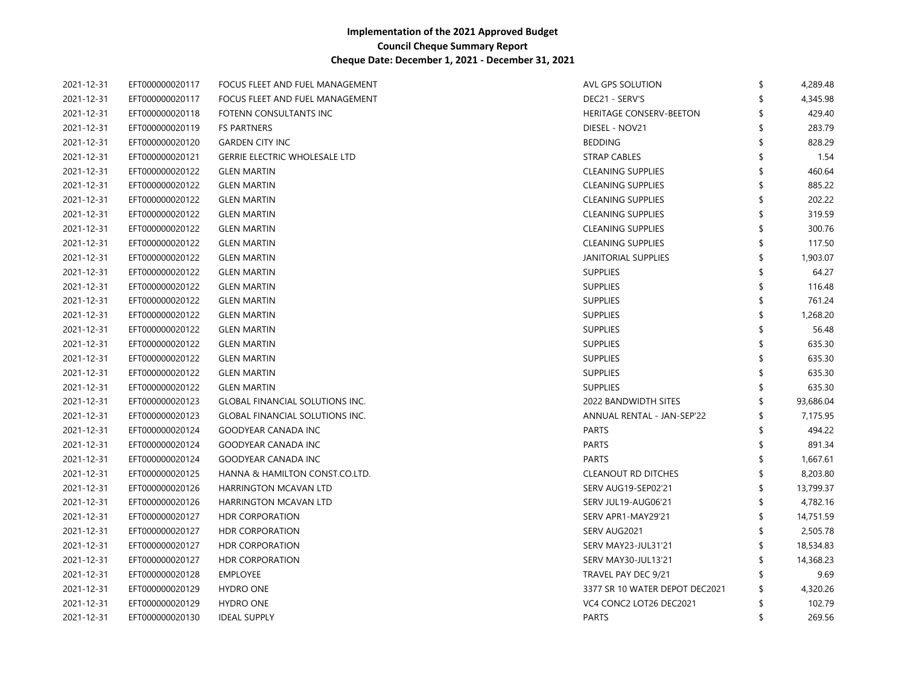| 2021-12-31 | EFT000000020117 | FOCUS FLEET AND FUEL MANAGEMENT<br>AVL GPS SOLUTION                  | \$                             | 4,289.48  |
|------------|-----------------|----------------------------------------------------------------------|--------------------------------|-----------|
| 2021-12-31 | EFT000000020117 | DEC21 - SERV'S<br>FOCUS FLEET AND FUEL MANAGEMENT                    |                                | 4,345.98  |
| 2021-12-31 | EFT000000020118 | HERITAGE CONSERV-BEETON<br>FOTENN CONSULTANTS INC                    |                                | 429.40    |
| 2021-12-31 | EFT000000020119 | <b>FS PARTNERS</b><br>DIESEL - NOV21                                 |                                | 283.79    |
| 2021-12-31 | EFT000000020120 | <b>GARDEN CITY INC</b><br><b>BEDDING</b>                             |                                | 828.29    |
| 2021-12-31 | EFT000000020121 | <b>GERRIE ELECTRIC WHOLESALE LTD</b><br><b>STRAP CABLES</b>          |                                | 1.54      |
| 2021-12-31 | EFT000000020122 | <b>CLEANING SUPPLIES</b><br><b>GLEN MARTIN</b>                       |                                | 460.64    |
| 2021-12-31 | EFT000000020122 | <b>CLEANING SUPPLIES</b><br><b>GLEN MARTIN</b>                       |                                | 885.22    |
| 2021-12-31 | EFT000000020122 | <b>CLEANING SUPPLIES</b><br><b>GLEN MARTIN</b>                       |                                | 202.22    |
| 2021-12-31 | EFT000000020122 | <b>CLEANING SUPPLIES</b><br><b>GLEN MARTIN</b>                       |                                | 319.59    |
| 2021-12-31 | EFT000000020122 | <b>CLEANING SUPPLIES</b><br><b>GLEN MARTIN</b>                       |                                | 300.76    |
| 2021-12-31 | EFT000000020122 | <b>CLEANING SUPPLIES</b><br><b>GLEN MARTIN</b>                       |                                | 117.50    |
| 2021-12-31 | EFT000000020122 | <b>JANITORIAL SUPPLIES</b><br><b>GLEN MARTIN</b>                     |                                | 1,903.07  |
| 2021-12-31 | EFT000000020122 | <b>GLEN MARTIN</b><br><b>SUPPLIES</b>                                |                                | 64.27     |
| 2021-12-31 | EFT000000020122 | <b>GLEN MARTIN</b><br><b>SUPPLIES</b>                                |                                | 116.48    |
| 2021-12-31 | EFT000000020122 | <b>SUPPLIES</b><br><b>GLEN MARTIN</b>                                |                                | 761.24    |
| 2021-12-31 | EFT000000020122 | <b>SUPPLIES</b><br><b>GLEN MARTIN</b>                                |                                | 1,268.20  |
| 2021-12-31 | EFT000000020122 | <b>SUPPLIES</b><br><b>GLEN MARTIN</b>                                |                                | 56.48     |
| 2021-12-31 | EFT000000020122 | <b>SUPPLIES</b><br><b>GLEN MARTIN</b>                                |                                | 635.30    |
| 2021-12-31 | EFT000000020122 | <b>GLEN MARTIN</b><br><b>SUPPLIES</b>                                |                                | 635.30    |
| 2021-12-31 | EFT000000020122 | <b>SUPPLIES</b><br><b>GLEN MARTIN</b>                                |                                | 635.30    |
| 2021-12-31 | EFT000000020122 | <b>SUPPLIES</b><br><b>GLEN MARTIN</b>                                |                                | 635.30    |
| 2021-12-31 | EFT000000020123 | 2022 BANDWIDTH SITES<br><b>GLOBAL FINANCIAL SOLUTIONS INC.</b>       |                                | 93,686.04 |
| 2021-12-31 | EFT000000020123 | <b>GLOBAL FINANCIAL SOLUTIONS INC.</b><br>ANNUAL RENTAL - JAN-SEP'22 |                                | 7,175.95  |
| 2021-12-31 | EFT000000020124 | <b>PARTS</b><br>GOODYEAR CANADA INC                                  |                                | 494.22    |
| 2021-12-31 | EFT000000020124 | <b>PARTS</b><br>GOODYEAR CANADA INC                                  |                                | 891.34    |
| 2021-12-31 | EFT000000020124 | <b>PARTS</b><br><b>GOODYEAR CANADA INC</b>                           |                                | 1,667.61  |
| 2021-12-31 | EFT000000020125 | HANNA & HAMILTON CONST.CO.LTD.<br><b>CLEANOUT RD DITCHES</b>         |                                | 8,203.80  |
| 2021-12-31 | EFT000000020126 | HARRINGTON MCAVAN LTD<br>SERV AUG19-SEP02'21                         |                                | 13,799.37 |
| 2021-12-31 | EFT000000020126 | HARRINGTON MCAVAN LTD<br>SERV JUL19-AUG06'21                         |                                | 4,782.16  |
| 2021-12-31 | EFT000000020127 | SERV APR1-MAY29'21<br><b>HDR CORPORATION</b>                         |                                | 14,751.59 |
| 2021-12-31 | EFT000000020127 | <b>HDR CORPORATION</b><br>SERV AUG2021                               |                                | 2,505.78  |
| 2021-12-31 | EFT000000020127 | SERV MAY23-JUL31'21<br><b>HDR CORPORATION</b>                        |                                | 18,534.83 |
| 2021-12-31 | EFT000000020127 | <b>HDR CORPORATION</b><br>SERV MAY30-JUL13'21                        |                                | 14,368.23 |
| 2021-12-31 | EFT000000020128 | <b>EMPLOYEE</b><br>TRAVEL PAY DEC 9/21                               |                                | 9.69      |
| 2021-12-31 | EFT000000020129 | HYDRO ONE                                                            | 3377 SR 10 WATER DEPOT DEC2021 | 4,320.26  |
| 2021-12-31 | EFT000000020129 | <b>HYDRO ONE</b><br>VC4 CONC2 LOT26 DEC2021                          |                                | 102.79    |
| 2021-12-31 | EFT000000020130 | <b>IDEAL SUPPLY</b><br><b>PARTS</b>                                  | \$                             | 269.56    |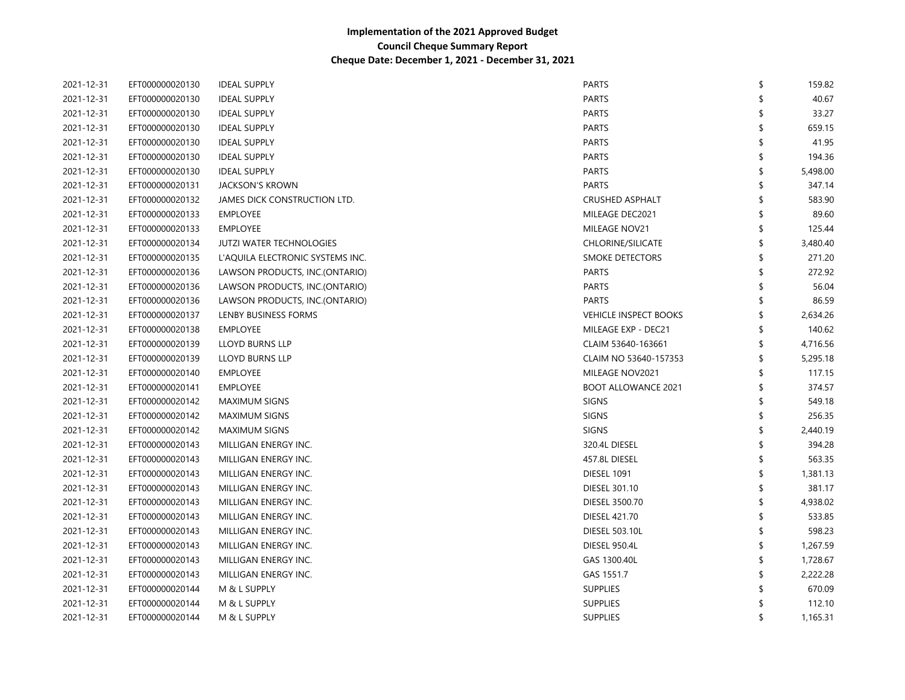| 2021-12-31 | EFT000000020130 | <b>IDEAL SUPPLY</b>              | PARTS                        | \$<br>159.82   |
|------------|-----------------|----------------------------------|------------------------------|----------------|
| 2021-12-31 | EFT000000020130 | <b>IDEAL SUPPLY</b>              | PARTS                        | 40.67          |
| 2021-12-31 | EFT000000020130 | <b>IDEAL SUPPLY</b>              | PARTS                        | 33.27          |
| 2021-12-31 | EFT000000020130 | <b>IDEAL SUPPLY</b>              | PARTS                        | 659.15         |
| 2021-12-31 | EFT000000020130 | <b>IDEAL SUPPLY</b>              | PARTS                        | 41.95          |
| 2021-12-31 | EFT000000020130 | <b>IDEAL SUPPLY</b>              | <b>PARTS</b>                 | 194.36         |
| 2021-12-31 | EFT000000020130 | <b>IDEAL SUPPLY</b>              | <b>PARTS</b>                 | 5,498.00       |
| 2021-12-31 | EFT000000020131 | <b>JACKSON'S KROWN</b>           | <b>PARTS</b>                 | 347.14         |
| 2021-12-31 | EFT000000020132 | JAMES DICK CONSTRUCTION LTD.     | <b>CRUSHED ASPHALT</b>       | 583.90         |
| 2021-12-31 | EFT000000020133 | <b>EMPLOYEE</b>                  | MILEAGE DEC2021              | 89.60          |
| 2021-12-31 | EFT000000020133 | <b>EMPLOYEE</b>                  | MILEAGE NOV21                | 125.44         |
| 2021-12-31 | EFT000000020134 | <b>JUTZI WATER TECHNOLOGIES</b>  | <b>CHLORINE/SILICATE</b>     | 3,480.40       |
| 2021-12-31 | EFT000000020135 | L'AQUILA ELECTRONIC SYSTEMS INC. | <b>SMOKE DETECTORS</b>       | 271.20         |
| 2021-12-31 | EFT000000020136 | LAWSON PRODUCTS, INC.(ONTARIO)   | <b>PARTS</b>                 | 272.92         |
| 2021-12-31 | EFT000000020136 | LAWSON PRODUCTS, INC.(ONTARIO)   | <b>PARTS</b>                 | 56.04          |
| 2021-12-31 | EFT000000020136 | LAWSON PRODUCTS, INC.(ONTARIO)   | <b>PARTS</b>                 | 86.59          |
| 2021-12-31 | EFT000000020137 | LENBY BUSINESS FORMS             | <b>VEHICLE INSPECT BOOKS</b> | 2,634.26       |
| 2021-12-31 | EFT000000020138 | <b>EMPLOYEE</b>                  | MILEAGE EXP - DEC21          | 140.62         |
| 2021-12-31 | EFT000000020139 | LLOYD BURNS LLP                  | CLAIM 53640-163661           | 4,716.56       |
| 2021-12-31 | EFT000000020139 | LLOYD BURNS LLP                  | CLAIM NO 53640-157353        | 5,295.18       |
| 2021-12-31 | EFT000000020140 | <b>EMPLOYEE</b>                  | MILEAGE NOV2021              | 117.15         |
| 2021-12-31 | EFT000000020141 | <b>EMPLOYEE</b>                  | <b>BOOT ALLOWANCE 2021</b>   | 374.57         |
| 2021-12-31 | EFT000000020142 | <b>MAXIMUM SIGNS</b>             | <b>SIGNS</b>                 | 549.18         |
| 2021-12-31 | EFT000000020142 | <b>MAXIMUM SIGNS</b>             | SIGNS                        | 256.35         |
| 2021-12-31 | EFT000000020142 | <b>MAXIMUM SIGNS</b>             | <b>SIGNS</b>                 | 2,440.19       |
| 2021-12-31 | EFT000000020143 | MILLIGAN ENERGY INC.             | 320.4L DIESEL                | 394.28         |
| 2021-12-31 | EFT000000020143 | MILLIGAN ENERGY INC.             | 457.8L DIESEL                | 563.35         |
| 2021-12-31 | EFT000000020143 | MILLIGAN ENERGY INC.             | <b>DIESEL 1091</b>           | 1,381.13       |
| 2021-12-31 | EFT000000020143 | MILLIGAN ENERGY INC.             | <b>DIESEL 301.10</b>         | 381.17         |
| 2021-12-31 | EFT000000020143 | MILLIGAN ENERGY INC.             | DIESEL 3500.70               | 4,938.02       |
| 2021-12-31 | EFT000000020143 | MILLIGAN ENERGY INC.             | DIESEL 421.70                | 533.85         |
| 2021-12-31 | EFT000000020143 | MILLIGAN ENERGY INC.             | <b>DIESEL 503.10L</b>        | 598.23         |
| 2021-12-31 | EFT000000020143 | MILLIGAN ENERGY INC.             | <b>DIESEL 950.4L</b>         | 1,267.59       |
| 2021-12-31 | EFT000000020143 | MILLIGAN ENERGY INC.             | GAS 1300.40L                 | 1,728.67       |
| 2021-12-31 | EFT000000020143 | MILLIGAN ENERGY INC.             | GAS 1551.7                   | 2,222.28       |
| 2021-12-31 | EFT000000020144 | M & L SUPPLY                     | <b>SUPPLIES</b>              | 670.09         |
| 2021-12-31 | EFT000000020144 | M & L SUPPLY                     | <b>SUPPLIES</b>              | 112.10         |
| 2021-12-31 | EFT000000020144 | M & L SUPPLY                     | <b>SUPPLIES</b>              | \$<br>1,165.31 |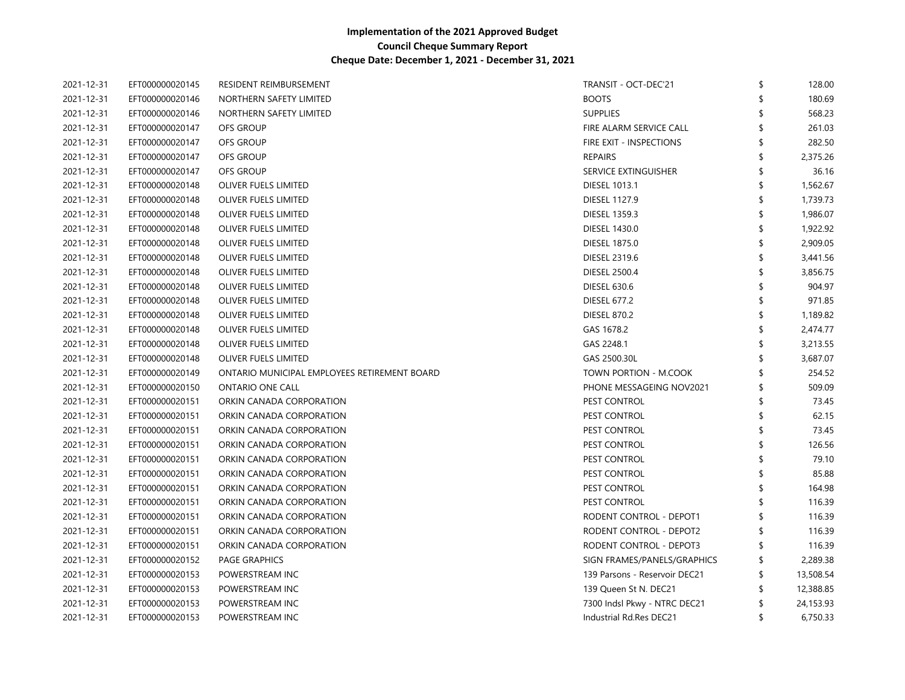| 2021-12-31 | EFT000000020145 | RESIDENT REIMBURSEMENT                       | TRANSIT - OCT-DEC'21          | \$ | 128.00    |
|------------|-----------------|----------------------------------------------|-------------------------------|----|-----------|
| 2021-12-31 | EFT000000020146 | NORTHERN SAFETY LIMITED                      | <b>BOOTS</b>                  |    | 180.69    |
| 2021-12-31 | EFT000000020146 | NORTHERN SAFETY LIMITED                      | <b>SUPPLIES</b>               |    | 568.23    |
| 2021-12-31 | EFT000000020147 | OFS GROUP                                    | FIRE ALARM SERVICE CALL       |    | 261.03    |
| 2021-12-31 | EFT000000020147 | <b>OFS GROUP</b>                             | FIRE EXIT - INSPECTIONS       |    | 282.50    |
| 2021-12-31 | EFT000000020147 | OFS GROUP                                    | <b>REPAIRS</b>                |    | 2,375.26  |
| 2021-12-31 | EFT000000020147 | <b>OFS GROUP</b>                             | SERVICE EXTINGUISHER          |    | 36.16     |
| 2021-12-31 | EFT000000020148 | OLIVER FUELS LIMITED                         | <b>DIESEL 1013.1</b>          |    | 1,562.67  |
| 2021-12-31 | EFT000000020148 | OLIVER FUELS LIMITED                         | <b>DIESEL 1127.9</b>          |    | 1,739.73  |
| 2021-12-31 | EFT000000020148 | OLIVER FUELS LIMITED                         | <b>DIESEL 1359.3</b>          |    | 1,986.07  |
| 2021-12-31 | EFT000000020148 | OLIVER FUELS LIMITED                         | <b>DIESEL 1430.0</b>          |    | 1,922.92  |
| 2021-12-31 | EFT000000020148 | OLIVER FUELS LIMITED                         | <b>DIESEL 1875.0</b>          |    | 2,909.05  |
| 2021-12-31 | EFT000000020148 | OLIVER FUELS LIMITED                         | <b>DIESEL 2319.6</b>          |    | 3,441.56  |
| 2021-12-31 | EFT000000020148 | OLIVER FUELS LIMITED                         | <b>DIESEL 2500.4</b>          |    | 3,856.75  |
| 2021-12-31 | EFT000000020148 | OLIVER FUELS LIMITED                         | <b>DIESEL 630.6</b>           |    | 904.97    |
| 2021-12-31 | EFT000000020148 | OLIVER FUELS LIMITED                         | <b>DIESEL 677.2</b>           |    | 971.85    |
| 2021-12-31 | EFT000000020148 | OLIVER FUELS LIMITED                         | <b>DIESEL 870.2</b>           |    | 1,189.82  |
| 2021-12-31 | EFT000000020148 | OLIVER FUELS LIMITED                         | GAS 1678.2                    |    | 2,474.77  |
| 2021-12-31 | EFT000000020148 | OLIVER FUELS LIMITED                         | GAS 2248.1                    |    | 3,213.55  |
| 2021-12-31 | EFT000000020148 | OLIVER FUELS LIMITED                         | GAS 2500.30L                  |    | 3,687.07  |
| 2021-12-31 | EFT000000020149 | ONTARIO MUNICIPAL EMPLOYEES RETIREMENT BOARD | TOWN PORTION - M.COOK         |    | 254.52    |
| 2021-12-31 | EFT000000020150 | <b>ONTARIO ONE CALL</b>                      | PHONE MESSAGEING NOV2021      |    | 509.09    |
| 2021-12-31 | EFT000000020151 | ORKIN CANADA CORPORATION                     | PEST CONTROL                  |    | 73.45     |
| 2021-12-31 | EFT000000020151 | ORKIN CANADA CORPORATION                     | PEST CONTROL                  |    | 62.15     |
| 2021-12-31 | EFT000000020151 | ORKIN CANADA CORPORATION                     | PEST CONTROL                  |    | 73.45     |
| 2021-12-31 | EFT000000020151 | ORKIN CANADA CORPORATION                     | PEST CONTROL                  |    | 126.56    |
| 2021-12-31 | EFT000000020151 | ORKIN CANADA CORPORATION                     | PEST CONTROL                  |    | 79.10     |
| 2021-12-31 | EFT000000020151 | ORKIN CANADA CORPORATION                     | PEST CONTROL                  |    | 85.88     |
| 2021-12-31 | EFT000000020151 | ORKIN CANADA CORPORATION                     | PEST CONTROL                  |    | 164.98    |
| 2021-12-31 | EFT000000020151 | ORKIN CANADA CORPORATION                     | PEST CONTROL                  |    | 116.39    |
| 2021-12-31 | EFT000000020151 | ORKIN CANADA CORPORATION                     | RODENT CONTROL - DEPOT1       |    | 116.39    |
| 2021-12-31 | EFT000000020151 | ORKIN CANADA CORPORATION                     | RODENT CONTROL - DEPOT2       |    | 116.39    |
| 2021-12-31 | EFT000000020151 | ORKIN CANADA CORPORATION                     | RODENT CONTROL - DEPOT3       |    | 116.39    |
| 2021-12-31 | EFT000000020152 | <b>PAGE GRAPHICS</b>                         | SIGN FRAMES/PANELS/GRAPHICS   | S  | 2,289.38  |
| 2021-12-31 | EFT000000020153 | POWERSTREAM INC                              | 139 Parsons - Reservoir DEC21 | S  | 13,508.54 |
| 2021-12-31 | EFT000000020153 | POWERSTREAM INC                              | 139 Queen St N. DEC21         |    | 12,388.85 |
| 2021-12-31 | EFT000000020153 | POWERSTREAM INC                              | 7300 Indsl Pkwy - NTRC DEC21  |    | 24,153.93 |
| 2021-12-31 | EFT000000020153 | POWERSTREAM INC                              | Industrial Rd.Res DEC21       | \$ | 6,750.33  |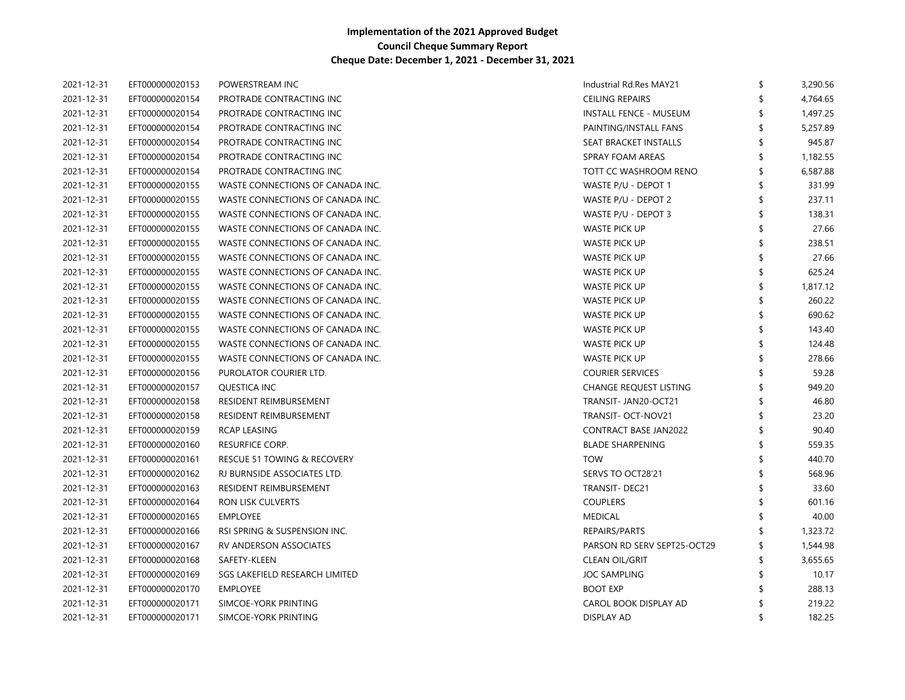| 2021-12-31 | EFT000000020153 | POWERSTREAM INC                  | Industrial Rd.Res MAY21       | \$ | 3,290.56 |
|------------|-----------------|----------------------------------|-------------------------------|----|----------|
| 2021-12-31 | EFT000000020154 | PROTRADE CONTRACTING INC         | <b>CEILING REPAIRS</b>        |    | 4,764.65 |
| 2021-12-31 | EFT000000020154 | PROTRADE CONTRACTING INC         | <b>INSTALL FENCE - MUSEUM</b> |    | 1,497.25 |
| 2021-12-31 | EFT000000020154 | PROTRADE CONTRACTING INC         | PAINTING/INSTALL FANS         |    | 5,257.89 |
| 2021-12-31 | EFT000000020154 | PROTRADE CONTRACTING INC         | SEAT BRACKET INSTALLS         |    | 945.87   |
| 2021-12-31 | EFT000000020154 | PROTRADE CONTRACTING INC         | SPRAY FOAM AREAS              |    | 1,182.55 |
| 2021-12-31 | EFT000000020154 | PROTRADE CONTRACTING INC         | TOTT CC WASHROOM RENO         |    | 6,587.88 |
| 2021-12-31 | EFT000000020155 | WASTE CONNECTIONS OF CANADA INC. | WASTE P/U - DEPOT 1           |    | 331.99   |
| 2021-12-31 | EFT000000020155 | WASTE CONNECTIONS OF CANADA INC. | WASTE P/U - DEPOT 2           |    | 237.11   |
| 2021-12-31 | EFT000000020155 | WASTE CONNECTIONS OF CANADA INC. | WASTE P/U - DEPOT 3           |    | 138.31   |
| 2021-12-31 | EFT000000020155 | WASTE CONNECTIONS OF CANADA INC. | WASTE PICK UP                 |    | 27.66    |
| 2021-12-31 | EFT000000020155 | WASTE CONNECTIONS OF CANADA INC. | WASTE PICK UP                 |    | 238.51   |
| 2021-12-31 | EFT000000020155 | WASTE CONNECTIONS OF CANADA INC. | <b>WASTE PICK UP</b>          |    | 27.66    |
| 2021-12-31 | EFT000000020155 | WASTE CONNECTIONS OF CANADA INC. | <b>WASTE PICK UP</b>          |    | 625.24   |
| 2021-12-31 | EFT000000020155 | WASTE CONNECTIONS OF CANADA INC. | <b>WASTE PICK UP</b>          |    | 1,817.12 |
| 2021-12-31 | EFT000000020155 | WASTE CONNECTIONS OF CANADA INC. | WASTE PICK UP                 |    | 260.22   |
| 2021-12-31 | EFT000000020155 | WASTE CONNECTIONS OF CANADA INC. | WASTE PICK UP                 |    | 690.62   |
| 2021-12-31 | EFT000000020155 | WASTE CONNECTIONS OF CANADA INC. | WASTE PICK UP                 |    | 143.40   |
| 2021-12-31 | EFT000000020155 | WASTE CONNECTIONS OF CANADA INC. | WASTE PICK UP                 |    | 124.48   |
| 2021-12-31 | EFT000000020155 | WASTE CONNECTIONS OF CANADA INC. | WASTE PICK UP                 |    | 278.66   |
| 2021-12-31 | EFT000000020156 | PUROLATOR COURIER LTD.           | <b>COURIER SERVICES</b>       |    | 59.28    |
| 2021-12-31 | EFT000000020157 | QUESTICA INC                     | <b>CHANGE REQUEST LISTING</b> |    | 949.20   |
| 2021-12-31 | EFT000000020158 | RESIDENT REIMBURSEMENT           | TRANSIT- JAN20-OCT21          |    | 46.80    |
| 2021-12-31 | EFT000000020158 | RESIDENT REIMBURSEMENT           | TRANSIT- OCT-NOV21            |    | 23.20    |
| 2021-12-31 | EFT000000020159 | RCAP LEASING                     | <b>CONTRACT BASE JAN2022</b>  |    | 90.40    |
| 2021-12-31 | EFT000000020160 | RESURFICE CORP.                  | <b>BLADE SHARPENING</b>       |    | 559.35   |
| 2021-12-31 | EFT000000020161 | RESCUE 51 TOWING & RECOVERY      | <b>TOW</b>                    |    | 440.70   |
| 2021-12-31 | EFT000000020162 | RJ BURNSIDE ASSOCIATES LTD.      | SERVS TO OCT28'21             |    | 568.96   |
| 2021-12-31 | EFT000000020163 | RESIDENT REIMBURSEMENT           | TRANSIT-DEC21                 |    | 33.60    |
| 2021-12-31 | EFT000000020164 | <b>RON LISK CULVERTS</b>         | <b>COUPLERS</b>               |    | 601.16   |
| 2021-12-31 | EFT000000020165 | EMPLOYEE                         | <b>MEDICAL</b>                |    | 40.00    |
| 2021-12-31 | EFT000000020166 | RSI SPRING & SUSPENSION INC.     | REPAIRS/PARTS                 |    | 1,323.72 |
| 2021-12-31 | EFT000000020167 | RV ANDERSON ASSOCIATES           | PARSON RD SERV SEPT25-OCT29   |    | 1,544.98 |
| 2021-12-31 | EFT000000020168 | SAFETY-KLEEN                     | <b>CLEAN OIL/GRIT</b>         | Ŝ  | 3,655.65 |
| 2021-12-31 | EFT000000020169 | SGS LAKEFIELD RESEARCH LIMITED   | <b>JOC SAMPLING</b>           |    | 10.17    |
| 2021-12-31 | EFT000000020170 | EMPLOYEE                         | <b>BOOT EXP</b>               |    | 288.13   |
| 2021-12-31 | EFT000000020171 | SIMCOE-YORK PRINTING             | CAROL BOOK DISPLAY AD         |    | 219.22   |
| 2021-12-31 | EFT000000020171 | SIMCOE-YORK PRINTING             | <b>DISPLAY AD</b>             | ≮  | 182.25   |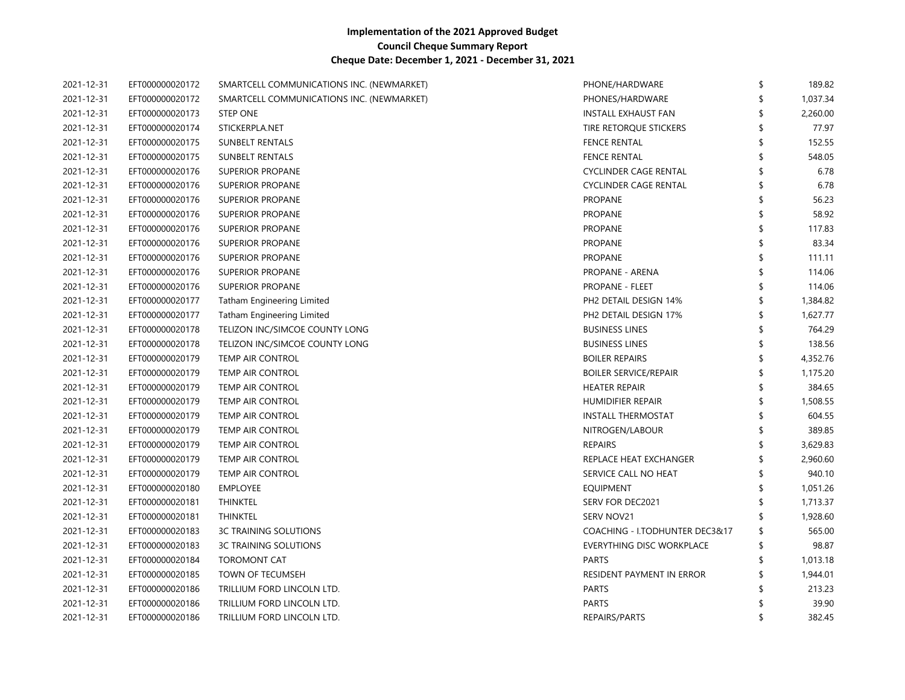| 2021-12-31 | EFT000000020172 | SMARTCELL COMMUNICATIONS INC. (NEWMARKET) | PHONE/HARDWARE                   | \$<br>189.82   |
|------------|-----------------|-------------------------------------------|----------------------------------|----------------|
| 2021-12-31 | EFT000000020172 | SMARTCELL COMMUNICATIONS INC. (NEWMARKET) | PHONES/HARDWARE                  | \$<br>1,037.34 |
| 2021-12-31 | EFT000000020173 | <b>STEP ONE</b>                           | INSTALL EXHAUST FAN              | \$<br>2,260.00 |
| 2021-12-31 | EFT000000020174 | STICKERPLA.NET                            | TIRE RETORQUE STICKERS           | 77.97          |
| 2021-12-31 | EFT000000020175 | <b>SUNBELT RENTALS</b>                    | <b>FENCE RENTAL</b>              | 152.55         |
| 2021-12-31 | EFT000000020175 | <b>SUNBELT RENTALS</b>                    | <b>FENCE RENTAL</b>              | 548.05         |
| 2021-12-31 | EFT000000020176 | <b>SUPERIOR PROPANE</b>                   | <b>CYCLINDER CAGE RENTAL</b>     | 6.78           |
| 2021-12-31 | EFT000000020176 | <b>SUPERIOR PROPANE</b>                   | <b>CYCLINDER CAGE RENTAL</b>     | 6.78           |
| 2021-12-31 | EFT000000020176 | SUPERIOR PROPANE                          | <b>PROPANE</b>                   | 56.23          |
| 2021-12-31 | EFT000000020176 | SUPERIOR PROPANE                          | <b>PROPANE</b>                   | 58.92          |
| 2021-12-31 | EFT000000020176 | SUPERIOR PROPANE                          | <b>PROPANE</b>                   | 117.83         |
| 2021-12-31 | EFT000000020176 | SUPERIOR PROPANE                          | <b>PROPANE</b>                   | 83.34          |
| 2021-12-31 | EFT000000020176 | <b>SUPERIOR PROPANE</b>                   | <b>PROPANE</b>                   | 111.11         |
| 2021-12-31 | EFT000000020176 | <b>SUPERIOR PROPANE</b>                   | PROPANE - ARENA                  | 114.06         |
| 2021-12-31 | EFT000000020176 | <b>SUPERIOR PROPANE</b>                   | PROPANE - FLEET                  | 114.06         |
| 2021-12-31 | EFT000000020177 | <b>Tatham Engineering Limited</b>         | PH2 DETAIL DESIGN 14%            | \$<br>1,384.82 |
| 2021-12-31 | EFT000000020177 | <b>Tatham Engineering Limited</b>         | PH2 DETAIL DESIGN 17%            | \$<br>1,627.77 |
| 2021-12-31 | EFT000000020178 | TELIZON INC/SIMCOE COUNTY LONG            | <b>BUSINESS LINES</b>            | 764.29         |
| 2021-12-31 | EFT000000020178 | TELIZON INC/SIMCOE COUNTY LONG            | <b>BUSINESS LINES</b>            | 138.56         |
| 2021-12-31 | EFT000000020179 | <b>TEMP AIR CONTROL</b>                   | <b>BOILER REPAIRS</b>            | 4,352.76       |
| 2021-12-31 | EFT000000020179 | <b>TEMP AIR CONTROL</b>                   | <b>BOILER SERVICE/REPAIR</b>     | 1,175.20       |
| 2021-12-31 | EFT000000020179 | <b>TEMP AIR CONTROL</b>                   | <b>HEATER REPAIR</b>             | 384.65         |
| 2021-12-31 | EFT000000020179 | <b>TEMP AIR CONTROL</b>                   | <b>HUMIDIFIER REPAIR</b>         | 1,508.55       |
| 2021-12-31 | EFT000000020179 | TEMP AIR CONTROL                          | <b>INSTALL THERMOSTAT</b>        | 604.55         |
| 2021-12-31 | EFT000000020179 | TEMP AIR CONTROL                          | NITROGEN/LABOUR                  | 389.85         |
| 2021-12-31 | EFT000000020179 | <b>TEMP AIR CONTROL</b>                   | <b>REPAIRS</b>                   | 3,629.83       |
| 2021-12-31 | EFT000000020179 | <b>TEMP AIR CONTROL</b>                   | REPLACE HEAT EXCHANGER           | 2,960.60       |
| 2021-12-31 | EFT000000020179 | <b>TEMP AIR CONTROL</b>                   | SERVICE CALL NO HEAT             | 940.10         |
| 2021-12-31 | EFT000000020180 | <b>EMPLOYEE</b>                           | <b>EQUIPMENT</b>                 | \$<br>1,051.26 |
| 2021-12-31 | EFT000000020181 | <b>THINKTEL</b>                           | SERV FOR DEC2021                 | \$<br>1,713.37 |
| 2021-12-31 | EFT000000020181 | <b>THINKTEL</b>                           | SERV NOV21                       | \$<br>1,928.60 |
| 2021-12-31 | EFT000000020183 | <b>3C TRAINING SOLUTIONS</b>              | COACHING - I.TODHUNTER DEC3&17   | \$<br>565.00   |
| 2021-12-31 | EFT000000020183 | <b>3C TRAINING SOLUTIONS</b>              | <b>EVERYTHING DISC WORKPLACE</b> | \$<br>98.87    |
| 2021-12-31 | EFT000000020184 | <b>TOROMONT CAT</b>                       | PARTS                            | \$<br>1,013.18 |
| 2021-12-31 | EFT000000020185 | TOWN OF TECUMSEH                          | RESIDENT PAYMENT IN ERROR        | 1,944.01       |
| 2021-12-31 | EFT000000020186 | TRILLIUM FORD LINCOLN LTD.                | <b>PARTS</b>                     | 213.23         |
| 2021-12-31 | EFT000000020186 | TRILLIUM FORD LINCOLN LTD.                | <b>PARTS</b>                     | 39.90          |
| 2021-12-31 | EFT000000020186 | TRILLIUM FORD LINCOLN LTD.                | REPAIRS/PARTS                    | 382.45         |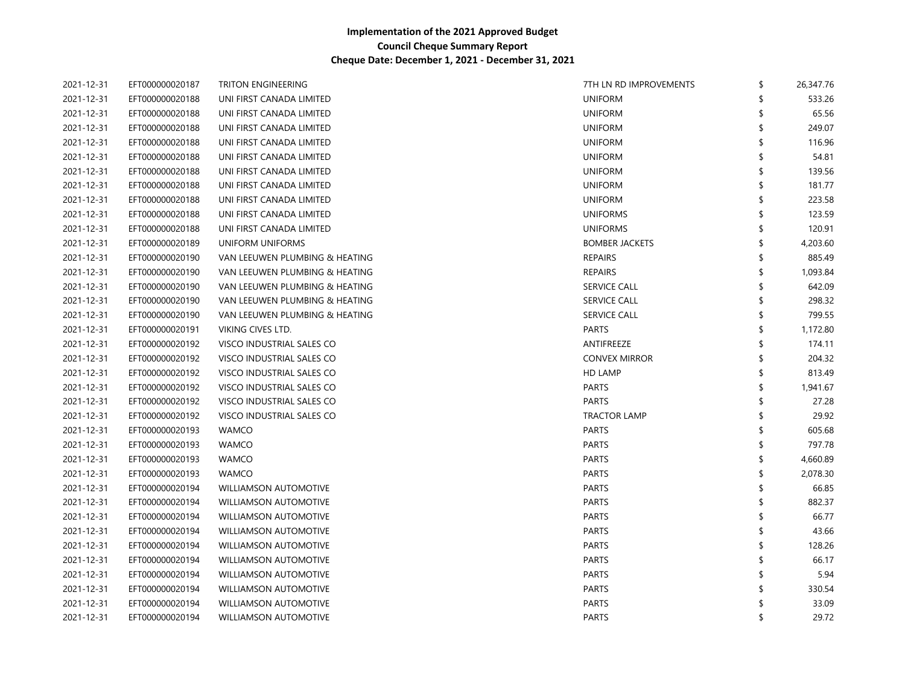| 2021-12-31 | EFT000000020187 | TRITON ENGINEERING             | 7TH LN RD IMPROVEMENTS | \$<br>26,347.76 |
|------------|-----------------|--------------------------------|------------------------|-----------------|
| 2021-12-31 | EFT000000020188 | UNI FIRST CANADA LIMITED       | <b>UNIFORM</b>         | 533.26          |
| 2021-12-31 | EFT000000020188 | UNI FIRST CANADA LIMITED       | <b>UNIFORM</b>         | 65.56           |
| 2021-12-31 | EFT000000020188 | UNI FIRST CANADA LIMITED       | <b>UNIFORM</b>         | 249.07          |
| 2021-12-31 | EFT000000020188 | UNI FIRST CANADA LIMITED       | <b>UNIFORM</b>         | 116.96          |
| 2021-12-31 | EFT000000020188 | UNI FIRST CANADA LIMITED       | <b>UNIFORM</b>         | 54.81           |
| 2021-12-31 | EFT000000020188 | UNI FIRST CANADA LIMITED       | <b>UNIFORM</b>         | 139.56          |
| 2021-12-31 | EFT000000020188 | UNI FIRST CANADA LIMITED       | <b>UNIFORM</b>         | 181.77          |
| 2021-12-31 | EFT000000020188 | UNI FIRST CANADA LIMITED       | <b>UNIFORM</b>         | 223.58          |
| 2021-12-31 | EFT000000020188 | UNI FIRST CANADA LIMITED       | <b>UNIFORMS</b>        | 123.59          |
| 2021-12-31 | EFT000000020188 | UNI FIRST CANADA LIMITED       | <b>UNIFORMS</b>        | 120.91          |
| 2021-12-31 | EFT000000020189 | UNIFORM UNIFORMS               | <b>BOMBER JACKETS</b>  | 4,203.60        |
| 2021-12-31 | EFT000000020190 | VAN LEEUWEN PLUMBING & HEATING | <b>REPAIRS</b>         | 885.49          |
| 2021-12-31 | EFT000000020190 | VAN LEEUWEN PLUMBING & HEATING | <b>REPAIRS</b>         | 1,093.84        |
| 2021-12-31 | EFT000000020190 | VAN LEEUWEN PLUMBING & HEATING | <b>SERVICE CALL</b>    | 642.09          |
| 2021-12-31 | EFT000000020190 | VAN LEEUWEN PLUMBING & HEATING | <b>SERVICE CALL</b>    | 298.32          |
| 2021-12-31 | EFT000000020190 | VAN LEEUWEN PLUMBING & HEATING | <b>SERVICE CALL</b>    | 799.55          |
| 2021-12-31 | EFT000000020191 | VIKING CIVES LTD.              | <b>PARTS</b>           | 1,172.80        |
| 2021-12-31 | EFT000000020192 | VISCO INDUSTRIAL SALES CO      | ANTIFREEZE             | 174.11          |
| 2021-12-31 | EFT000000020192 | VISCO INDUSTRIAL SALES CO      | <b>CONVEX MIRROR</b>   | 204.32          |
| 2021-12-31 | EFT000000020192 | VISCO INDUSTRIAL SALES CO      | HD LAMP                | 813.49          |
| 2021-12-31 | EFT000000020192 | VISCO INDUSTRIAL SALES CO      | <b>PARTS</b>           | 1,941.67        |
| 2021-12-31 | EFT000000020192 | VISCO INDUSTRIAL SALES CO      | <b>PARTS</b>           | 27.28           |
| 2021-12-31 | EFT000000020192 | VISCO INDUSTRIAL SALES CO      | <b>TRACTOR LAMP</b>    | 29.92           |
| 2021-12-31 | EFT000000020193 | <b>WAMCO</b>                   | <b>PARTS</b>           | 605.68          |
| 2021-12-31 | EFT000000020193 | <b>WAMCO</b>                   | <b>PARTS</b>           | 797.78          |
| 2021-12-31 | EFT000000020193 | <b>WAMCO</b>                   | <b>PARTS</b>           | 4,660.89        |
| 2021-12-31 | EFT000000020193 | <b>WAMCO</b>                   | <b>PARTS</b>           | 2,078.30        |
| 2021-12-31 | EFT000000020194 | WILLIAMSON AUTOMOTIVE          | <b>PARTS</b>           | 66.85           |
| 2021-12-31 | EFT000000020194 | <b>WILLIAMSON AUTOMOTIVE</b>   | <b>PARTS</b>           | 882.37          |
| 2021-12-31 | EFT000000020194 | <b>WILLIAMSON AUTOMOTIVE</b>   | <b>PARTS</b>           | 66.77           |
| 2021-12-31 | EFT000000020194 | <b>WILLIAMSON AUTOMOTIVE</b>   | <b>PARTS</b>           | 43.66           |
| 2021-12-31 | EFT000000020194 | <b>WILLIAMSON AUTOMOTIVE</b>   | <b>PARTS</b>           | 128.26          |
| 2021-12-31 | EFT000000020194 | <b>WILLIAMSON AUTOMOTIVE</b>   | PARTS                  | 66.17           |
| 2021-12-31 | EFT000000020194 | <b>WILLIAMSON AUTOMOTIVE</b>   | <b>PARTS</b>           | 5.94            |
| 2021-12-31 | EFT000000020194 | WILLIAMSON AUTOMOTIVE          | PARTS                  | 330.54          |
| 2021-12-31 | EFT000000020194 | <b>WILLIAMSON AUTOMOTIVE</b>   | <b>PARTS</b>           | 33.09           |
| 2021-12-31 | EFT000000020194 | <b>WILLIAMSON AUTOMOTIVE</b>   | <b>PARTS</b>           | 29.72           |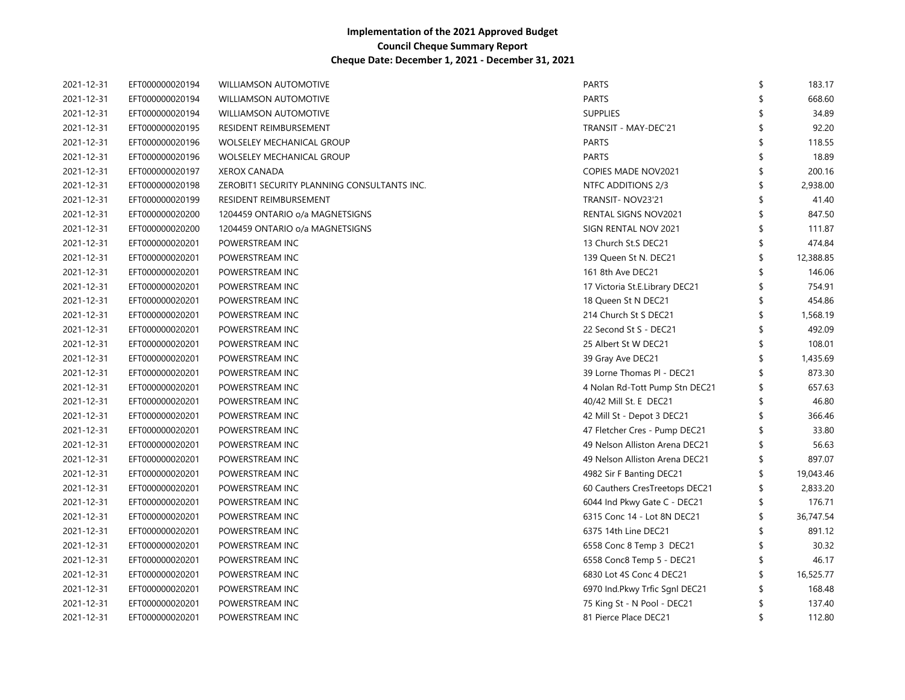| 2021-12-31 | EFT000000020194 | <b>WILLIAMSON AUTOMOTIVE</b>                | <b>PARTS</b>                   | \$                 | 183.17    |
|------------|-----------------|---------------------------------------------|--------------------------------|--------------------|-----------|
| 2021-12-31 | EFT000000020194 | <b>WILLIAMSON AUTOMOTIVE</b>                | <b>PARTS</b>                   |                    | 668.60    |
| 2021-12-31 | EFT000000020194 | <b>WILLIAMSON AUTOMOTIVE</b>                | <b>SUPPLIES</b>                |                    | 34.89     |
| 2021-12-31 | EFT000000020195 | RESIDENT REIMBURSEMENT                      | TRANSIT - MAY-DEC'21           |                    | 92.20     |
| 2021-12-31 | EFT000000020196 | <b>WOLSELEY MECHANICAL GROUP</b>            | <b>PARTS</b>                   |                    | 118.55    |
| 2021-12-31 | EFT000000020196 | <b>WOLSELEY MECHANICAL GROUP</b>            | <b>PARTS</b>                   |                    | 18.89     |
| 2021-12-31 | EFT000000020197 | <b>XEROX CANADA</b>                         | COPIES MADE NOV2021            |                    | 200.16    |
| 2021-12-31 | EFT000000020198 | ZEROBIT1 SECURITY PLANNING CONSULTANTS INC. | NTFC ADDITIONS 2/3             | \$                 | 2,938.00  |
| 2021-12-31 | EFT000000020199 | RESIDENT REIMBURSEMENT                      | TRANSIT- NOV23'21              |                    | 41.40     |
| 2021-12-31 | EFT000000020200 | 1204459 ONTARIO o/a MAGNETSIGNS             | RENTAL SIGNS NOV2021           | \$                 | 847.50    |
| 2021-12-31 | EFT000000020200 | 1204459 ONTARIO o/a MAGNETSIGNS             | SIGN RENTAL NOV 2021           | \$                 | 111.87    |
| 2021-12-31 | EFT000000020201 | POWERSTREAM INC                             | 13 Church St.S DEC21           | $\mathbf{\hat{S}}$ | 474.84    |
| 2021-12-31 | EFT000000020201 | POWERSTREAM INC                             | 139 Queen St N. DEC21          | $\frac{1}{2}$      | 12,388.85 |
| 2021-12-31 | EFT000000020201 | POWERSTREAM INC                             | 161 8th Ave DEC21              |                    | 146.06    |
| 2021-12-31 | EFT000000020201 | POWERSTREAM INC                             | 17 Victoria St.E.Library DEC21 |                    | 754.91    |
| 2021-12-31 | EFT000000020201 | POWERSTREAM INC                             | 18 Queen St N DEC21            |                    | 454.86    |
| 2021-12-31 | EFT000000020201 | POWERSTREAM INC                             | 214 Church St S DEC21          |                    | 1,568.19  |
| 2021-12-31 | EFT000000020201 | POWERSTREAM INC                             | 22 Second St S - DEC21         |                    | 492.09    |
| 2021-12-31 | EFT000000020201 | POWERSTREAM INC                             | 25 Albert St W DEC21           |                    | 108.01    |
| 2021-12-31 | EFT000000020201 | POWERSTREAM INC                             | 39 Gray Ave DEC21              |                    | 1,435.69  |
| 2021-12-31 | EFT000000020201 | POWERSTREAM INC                             | 39 Lorne Thomas PI - DEC21     |                    | 873.30    |
| 2021-12-31 | EFT000000020201 | POWERSTREAM INC                             | 4 Nolan Rd-Tott Pump Stn DEC21 | \$                 | 657.63    |
| 2021-12-31 | EFT000000020201 | POWERSTREAM INC                             | 40/42 Mill St. E DEC21         | \$                 | 46.80     |
| 2021-12-31 | EFT000000020201 | POWERSTREAM INC                             | 42 Mill St - Depot 3 DEC21     | \$                 | 366.46    |
| 2021-12-31 | EFT000000020201 | POWERSTREAM INC                             | 47 Fletcher Cres - Pump DEC21  | \$                 | 33.80     |
| 2021-12-31 | EFT000000020201 | POWERSTREAM INC                             | 49 Nelson Alliston Arena DEC21 | \$                 | 56.63     |
| 2021-12-31 | EFT000000020201 | POWERSTREAM INC                             | 49 Nelson Alliston Arena DEC21 | \$                 | 897.07    |
| 2021-12-31 | EFT000000020201 | POWERSTREAM INC                             | 4982 Sir F Banting DEC21       | \$                 | 19,043.46 |
| 2021-12-31 | EFT000000020201 | POWERSTREAM INC                             | 60 Cauthers CresTreetops DEC21 |                    | 2,833.20  |
| 2021-12-31 | EFT000000020201 | POWERSTREAM INC                             | 6044 Ind Pkwy Gate C - DEC21   |                    | 176.71    |
| 2021-12-31 | EFT000000020201 | POWERSTREAM INC                             | 6315 Conc 14 - Lot 8N DEC21    | \$                 | 36,747.54 |
| 2021-12-31 | EFT000000020201 | POWERSTREAM INC                             | 6375 14th Line DEC21           |                    | 891.12    |
| 2021-12-31 | EFT000000020201 | POWERSTREAM INC                             | 6558 Conc 8 Temp 3 DEC21       |                    | 30.32     |
| 2021-12-31 | EFT000000020201 | POWERSTREAM INC                             | 6558 Conc8 Temp 5 - DEC21      | \$                 | 46.17     |
| 2021-12-31 | EFT000000020201 | POWERSTREAM INC                             | 6830 Lot 4S Conc 4 DEC21       | \$                 | 16,525.77 |
| 2021-12-31 | EFT000000020201 | POWERSTREAM INC                             | 6970 Ind.Pkwy Trfic Sgnl DEC21 |                    | 168.48    |
| 2021-12-31 | EFT000000020201 | POWERSTREAM INC                             | 75 King St - N Pool - DEC21    | S                  | 137.40    |
| 2021-12-31 | EFT000000020201 | POWERSTREAM INC                             | 81 Pierce Place DEC21          | \$                 | 112.80    |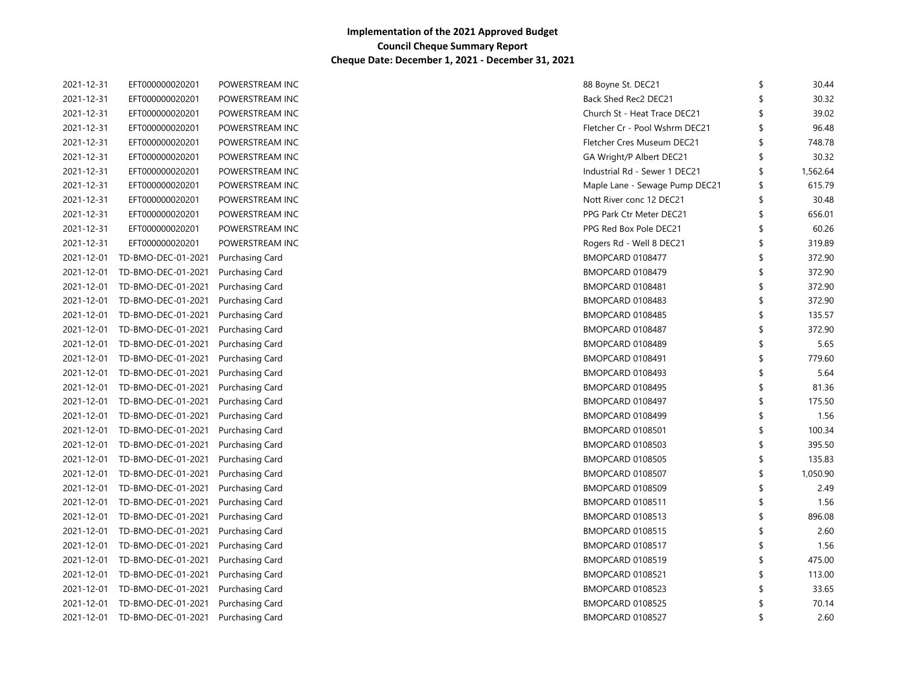| 2021-12-31 | EFT000000020201               | POWERSTREAM INC        | 88 Boyne St. DEC21             |    | 30.44    |
|------------|-------------------------------|------------------------|--------------------------------|----|----------|
| 2021-12-31 | EFT000000020201               | POWERSTREAM INC        | Back Shed Rec2 DEC21           |    | 30.32    |
| 2021-12-31 | EFT000000020201               | POWERSTREAM INC        | Church St - Heat Trace DEC21   |    | 39.02    |
| 2021-12-31 | EFT000000020201               | POWERSTREAM INC        | Fletcher Cr - Pool Wshrm DEC21 | \$ | 96.48    |
| 2021-12-31 | EFT000000020201               | POWERSTREAM INC        | Fletcher Cres Museum DEC21     | \$ | 748.78   |
| 2021-12-31 | EFT000000020201               | POWERSTREAM INC        | GA Wright/P Albert DEC21       | \$ | 30.32    |
| 2021-12-31 | EFT000000020201               | POWERSTREAM INC        | Industrial Rd - Sewer 1 DEC21  | \$ | 1,562.64 |
| 2021-12-31 | EFT000000020201               | POWERSTREAM INC        | Maple Lane - Sewage Pump DEC21 | \$ | 615.79   |
| 2021-12-31 | EFT000000020201               | POWERSTREAM INC        | Nott River conc 12 DEC21       | \$ | 30.48    |
| 2021-12-31 | EFT000000020201               | POWERSTREAM INC        | PPG Park Ctr Meter DEC21       | \$ | 656.01   |
| 2021-12-31 | EFT000000020201               | POWERSTREAM INC        | PPG Red Box Pole DEC21         | \$ | 60.26    |
| 2021-12-31 | EFT000000020201               | POWERSTREAM INC        | Rogers Rd - Well 8 DEC21       | \$ | 319.89   |
| 2021-12-01 | TD-BMO-DEC-01-2021            | Purchasing Card        | BMOPCARD 0108477               | \$ | 372.90   |
| 2021-12-01 | TD-BMO-DEC-01-2021            | Purchasing Card        | BMOPCARD 0108479               | \$ | 372.90   |
| 2021-12-01 | TD-BMO-DEC-01-2021            | Purchasing Card        | BMOPCARD 0108481               | \$ | 372.90   |
| 2021-12-01 | TD-BMO-DEC-01-2021            | Purchasing Card        | BMOPCARD 0108483               | \$ | 372.90   |
| 2021-12-01 | TD-BMO-DEC-01-2021            | Purchasing Card        | BMOPCARD 0108485               | \$ | 135.57   |
| 2021-12-01 | TD-BMO-DEC-01-2021            | Purchasing Card        | BMOPCARD 0108487               | \$ | 372.90   |
| 2021-12-01 | TD-BMO-DEC-01-2021            | Purchasing Card        | BMOPCARD 0108489               | \$ | 5.65     |
| 2021-12-01 | TD-BMO-DEC-01-2021            | Purchasing Card        | BMOPCARD 0108491               | \$ | 779.60   |
|            | 2021-12-01 TD-BMO-DEC-01-2021 | Purchasing Card        | BMOPCARD 0108493               | \$ | 5.64     |
|            | 2021-12-01 TD-BMO-DEC-01-2021 | Purchasing Card        | BMOPCARD 0108495               | \$ | 81.36    |
|            | 2021-12-01 TD-BMO-DEC-01-2021 | Purchasing Card        | BMOPCARD 0108497               | \$ | 175.50   |
|            | 2021-12-01 TD-BMO-DEC-01-2021 | Purchasing Card        | BMOPCARD 0108499               | \$ | 1.56     |
|            | 2021-12-01 TD-BMO-DEC-01-2021 | Purchasing Card        | BMOPCARD 0108501               | \$ | 100.34   |
|            | 2021-12-01 TD-BMO-DEC-01-2021 | Purchasing Card        | <b>BMOPCARD 0108503</b>        | \$ | 395.50   |
|            | 2021-12-01 TD-BMO-DEC-01-2021 | Purchasing Card        | BMOPCARD 0108505               | \$ | 135.83   |
| 2021-12-01 | TD-BMO-DEC-01-2021            | <b>Purchasing Card</b> | BMOPCARD 0108507               | \$ | 1,050.90 |
|            | 2021-12-01 TD-BMO-DEC-01-2021 | Purchasing Card        | <b>BMOPCARD 0108509</b>        |    | 2.49     |
| 2021-12-01 | TD-BMO-DEC-01-2021            | Purchasing Card        | BMOPCARD 0108511               | \$ | 1.56     |
| 2021-12-01 | TD-BMO-DEC-01-2021            | Purchasing Card        | BMOPCARD 0108513               | \$ | 896.08   |
| 2021-12-01 | TD-BMO-DEC-01-2021            | <b>Purchasing Card</b> | BMOPCARD 0108515               | Ŝ  | 2.60     |
| 2021-12-01 | TD-BMO-DEC-01-2021            | Purchasing Card        | BMOPCARD 0108517               | Ŝ  | 1.56     |
| 2021-12-01 | TD-BMO-DEC-01-2021            | Purchasing Card        | BMOPCARD 0108519               | \$ | 475.00   |
| 2021-12-01 | TD-BMO-DEC-01-2021            | Purchasing Card        | BMOPCARD 0108521               | \$ | 113.00   |
| 2021-12-01 | TD-BMO-DEC-01-2021            | Purchasing Card        | BMOPCARD 0108523               | Ŝ  | 33.65    |
|            | 2021-12-01 TD-BMO-DEC-01-2021 | Purchasing Card        | BMOPCARD 0108525               | S  | 70.14    |
|            | 2021-12-01 TD-BMO-DEC-01-2021 | Purchasing Card        | BMOPCARD 0108527               | ≮  | 2.60     |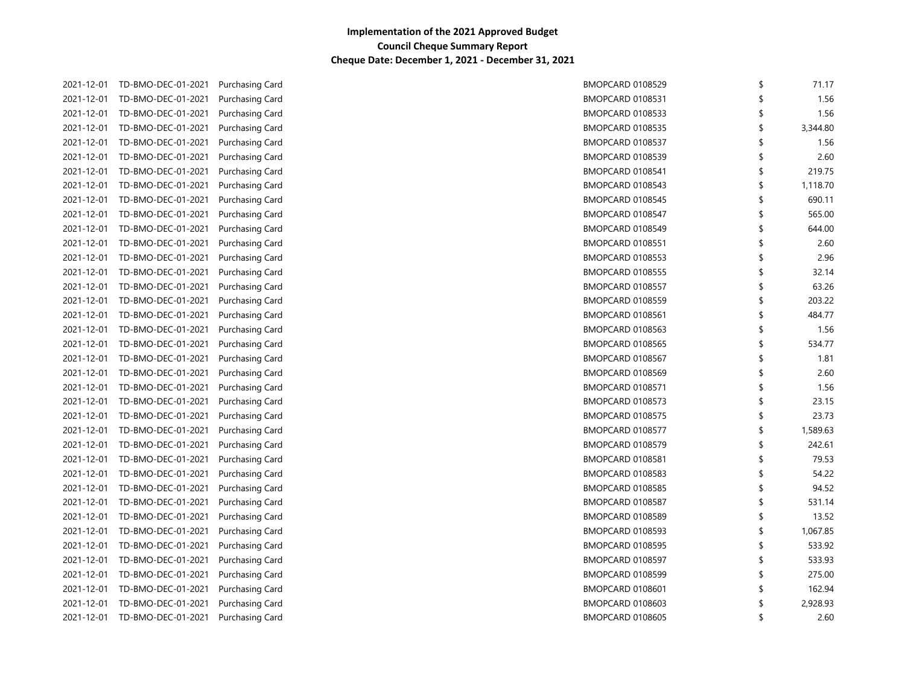| 71.17    | \$<br>BMOPCARD 0108529        | Purchasing Card        | 2021-12-01 TD-BMO-DEC-01-2021 |            |
|----------|-------------------------------|------------------------|-------------------------------|------------|
| 1.56     | \$<br>BMOPCARD 0108531        | Purchasing Card        | TD-BMO-DEC-01-2021            | 2021-12-01 |
| 1.56     | \$<br>BMOPCARD 0108533        | Purchasing Card        | TD-BMO-DEC-01-2021            | 2021-12-01 |
| 3,344.80 | \$<br><b>BMOPCARD 0108535</b> | Purchasing Card        | TD-BMO-DEC-01-2021            | 2021-12-01 |
| 1.56     | \$<br>BMOPCARD 0108537        | Purchasing Card        | TD-BMO-DEC-01-2021            | 2021-12-01 |
| 2.60     | \$<br>BMOPCARD 0108539        | Purchasing Card        | TD-BMO-DEC-01-2021            | 2021-12-01 |
| 219.75   | \$<br>BMOPCARD 0108541        | Purchasing Card        | TD-BMO-DEC-01-2021            | 2021-12-01 |
| 1,118.70 | \$<br>BMOPCARD 0108543        | Purchasing Card        | TD-BMO-DEC-01-2021            | 2021-12-01 |
| 690.11   | \$<br>BMOPCARD 0108545        | Purchasing Card        | TD-BMO-DEC-01-2021            | 2021-12-01 |
| 565.00   | \$<br>BMOPCARD 0108547        | Purchasing Card        | TD-BMO-DEC-01-2021            | 2021-12-01 |
| 644.00   | \$<br>BMOPCARD 0108549        | Purchasing Card        | TD-BMO-DEC-01-2021            | 2021-12-01 |
| 2.60     | \$<br>BMOPCARD 0108551        | Purchasing Card        | TD-BMO-DEC-01-2021            | 2021-12-01 |
| 2.96     | \$<br>BMOPCARD 0108553        | Purchasing Card        | TD-BMO-DEC-01-2021            | 2021-12-01 |
| 32.14    | \$<br>BMOPCARD 0108555        | <b>Purchasing Card</b> | TD-BMO-DEC-01-2021            | 2021-12-01 |
| 63.26    | \$<br>BMOPCARD 0108557        | <b>Purchasing Card</b> | TD-BMO-DEC-01-2021            | 2021-12-01 |
| 203.22   | \$<br><b>BMOPCARD 0108559</b> | Purchasing Card        | TD-BMO-DEC-01-2021            | 2021-12-01 |
| 484.77   | \$<br>BMOPCARD 0108561        | Purchasing Card        | TD-BMO-DEC-01-2021            | 2021-12-01 |
| 1.56     | \$<br>BMOPCARD 0108563        | Purchasing Card        | TD-BMO-DEC-01-2021            | 2021-12-01 |
| 534.77   | \$<br><b>BMOPCARD 0108565</b> | Purchasing Card        | TD-BMO-DEC-01-2021            | 2021-12-01 |
| 1.81     | \$<br>BMOPCARD 0108567        | <b>Purchasing Card</b> | TD-BMO-DEC-01-2021            | 2021-12-01 |
| 2.60     | \$<br>BMOPCARD 0108569        | Purchasing Card        | TD-BMO-DEC-01-2021            | 2021-12-01 |
| 1.56     | \$<br>BMOPCARD 0108571        | Purchasing Card        | TD-BMO-DEC-01-2021            | 2021-12-01 |
| 23.15    | \$<br>BMOPCARD 0108573        | Purchasing Card        | TD-BMO-DEC-01-2021            | 2021-12-01 |
| 23.73    | \$<br>BMOPCARD 0108575        | Purchasing Card        | 2021-12-01 TD-BMO-DEC-01-2021 |            |
| 1,589.63 | \$<br>BMOPCARD 0108577        | Purchasing Card        | TD-BMO-DEC-01-2021            | 2021-12-01 |
| 242.61   | \$<br>BMOPCARD 0108579        | Purchasing Card        | 2021-12-01 TD-BMO-DEC-01-2021 |            |
| 79.53    | \$<br>BMOPCARD 0108581        | Purchasing Card        | TD-BMO-DEC-01-2021            | 2021-12-01 |
| 54.22    | \$<br>BMOPCARD 0108583        | Purchasing Card        | TD-BMO-DEC-01-2021            | 2021-12-01 |
| 94.52    | \$<br><b>BMOPCARD 0108585</b> | Purchasing Card        | 2021-12-01 TD-BMO-DEC-01-2021 |            |
| 531.14   | \$<br>BMOPCARD 0108587        | Purchasing Card        | TD-BMO-DEC-01-2021            | 2021-12-01 |
| 13.52    | \$<br>BMOPCARD 0108589        | Purchasing Card        | TD-BMO-DEC-01-2021            | 2021-12-01 |
| 1,067.85 | \$<br>BMOPCARD 0108593        | <b>Purchasing Card</b> | TD-BMO-DEC-01-2021            | 2021-12-01 |
| 533.92   | \$<br>BMOPCARD 0108595        | Purchasing Card        | TD-BMO-DEC-01-2021            | 2021-12-01 |
| 533.93   | \$<br>BMOPCARD 0108597        | Purchasing Card        | TD-BMO-DEC-01-2021            | 2021-12-01 |
| 275.00   | \$<br>BMOPCARD 0108599        | Purchasing Card        | TD-BMO-DEC-01-2021            | 2021-12-01 |
| 162.94   | \$<br><b>BMOPCARD 0108601</b> | Purchasing Card        | TD-BMO-DEC-01-2021            | 2021-12-01 |
| 2,928.93 | \$<br><b>BMOPCARD 0108603</b> | Purchasing Card        | TD-BMO-DEC-01-2021            | 2021-12-01 |
| 2.60     | \$<br><b>BMOPCARD 0108605</b> | Purchasing Card        | 2021-12-01 TD-BMO-DEC-01-2021 |            |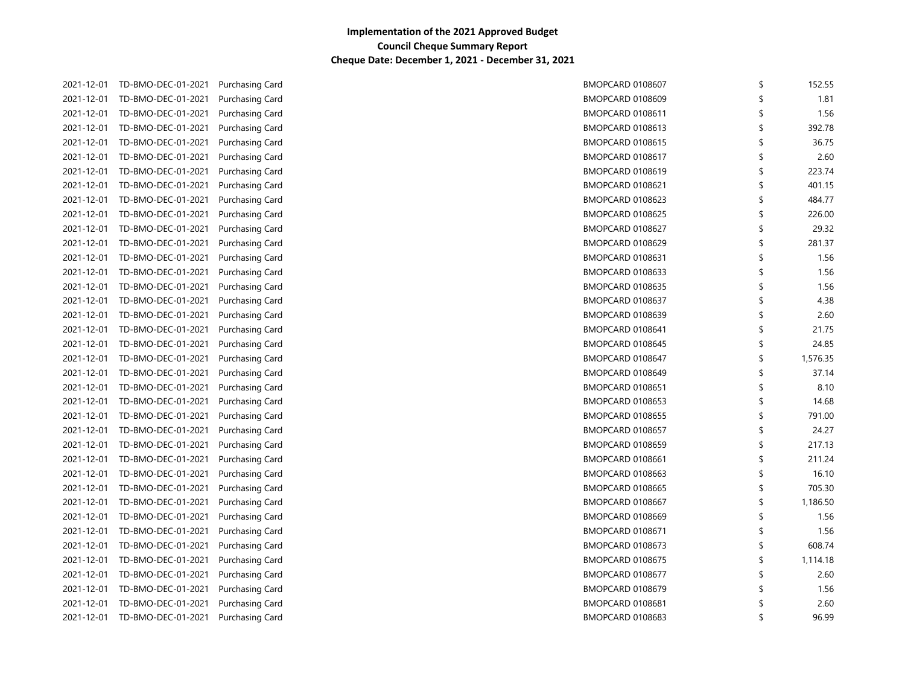| 152.55   | \$<br>BMOPCARD 0108607        | 2021-12-01 TD-BMO-DEC-01-2021<br>Purchasing Card        |            |
|----------|-------------------------------|---------------------------------------------------------|------------|
| 1.81     | \$<br><b>BMOPCARD 0108609</b> | 2021-12-01 TD-BMO-DEC-01-2021<br>Purchasing Card        |            |
| 1.56     | \$<br>BMOPCARD 0108611        | 2021-12-01 TD-BMO-DEC-01-2021<br>Purchasing Card        |            |
| 392.78   | \$<br><b>BMOPCARD 0108613</b> | 2021-12-01 TD-BMO-DEC-01-2021<br>Purchasing Card        |            |
| 36.75    | \$<br><b>BMOPCARD 0108615</b> | 2021-12-01 TD-BMO-DEC-01-2021<br>Purchasing Card        |            |
| 2.60     | \$<br>BMOPCARD 0108617        | TD-BMO-DEC-01-2021<br>Purchasing Card                   | 2021-12-01 |
| 223.74   | \$<br><b>BMOPCARD 0108619</b> | TD-BMO-DEC-01-2021<br>Purchasing Card                   | 2021-12-01 |
| 401.15   | \$<br>BMOPCARD 0108621        | TD-BMO-DEC-01-2021<br>Purchasing Card                   | 2021-12-01 |
| 484.77   | \$<br>BMOPCARD 0108623        | TD-BMO-DEC-01-2021<br>Purchasing Card                   | 2021-12-01 |
| 226.00   | \$<br>BMOPCARD 0108625        | TD-BMO-DEC-01-2021<br>Purchasing Card                   | 2021-12-01 |
| 29.32    | \$<br>BMOPCARD 0108627        | TD-BMO-DEC-01-2021<br>Purchasing Card                   | 2021-12-01 |
| 281.37   | \$<br>BMOPCARD 0108629        | TD-BMO-DEC-01-2021<br>Purchasing Card                   | 2021-12-01 |
| 1.56     | \$<br>BMOPCARD 0108631        | TD-BMO-DEC-01-2021<br>Purchasing Card                   | 2021-12-01 |
| 1.56     | \$<br>BMOPCARD 0108633        | TD-BMO-DEC-01-2021<br>Purchasing Card                   | 2021-12-01 |
| 1.56     | \$<br>BMOPCARD 0108635        | TD-BMO-DEC-01-2021<br><b>Purchasing Card</b>            | 2021-12-01 |
| 4.38     | \$<br>BMOPCARD 0108637        | <b>Purchasing Card</b><br>2021-12-01 TD-BMO-DEC-01-2021 |            |
| 2.60     | \$<br>BMOPCARD 0108639        | <b>Purchasing Card</b><br>TD-BMO-DEC-01-2021            | 2021-12-01 |
| 21.75    | \$<br>BMOPCARD 0108641        | <b>Purchasing Card</b><br>TD-BMO-DEC-01-2021            | 2021-12-01 |
| 24.85    | \$<br>BMOPCARD 0108645        | 2021-12-01 TD-BMO-DEC-01-2021<br>Purchasing Card        |            |
| 1,576.35 | \$<br>BMOPCARD 0108647        | 2021-12-01 TD-BMO-DEC-01-2021<br>Purchasing Card        |            |
| 37.14    | \$<br>BMOPCARD 0108649        | 2021-12-01 TD-BMO-DEC-01-2021<br>Purchasing Card        |            |
| 8.10     | \$<br>BMOPCARD 0108651        | 2021-12-01 TD-BMO-DEC-01-2021<br>Purchasing Card        |            |
| 14.68    | \$<br>BMOPCARD 0108653        | 2021-12-01 TD-BMO-DEC-01-2021<br>Purchasing Card        |            |
| 791.00   | \$<br>BMOPCARD 0108655        | 2021-12-01 TD-BMO-DEC-01-2021<br>Purchasing Card        |            |
| 24.27    | \$<br>BMOPCARD 0108657        | 2021-12-01 TD-BMO-DEC-01-2021<br>Purchasing Card        |            |
| 217.13   | \$<br>BMOPCARD 0108659        | 2021-12-01 TD-BMO-DEC-01-2021<br>Purchasing Card        |            |
| 211.24   | \$<br>BMOPCARD 0108661        | 2021-12-01 TD-BMO-DEC-01-2021<br>Purchasing Card        |            |
| 16.10    | \$<br>BMOPCARD 0108663        | 2021-12-01 TD-BMO-DEC-01-2021<br>Purchasing Card        |            |
| 705.30   | \$<br><b>BMOPCARD 0108665</b> | 2021-12-01 TD-BMO-DEC-01-2021<br><b>Purchasing Card</b> |            |
| 1,186.50 | \$<br>BMOPCARD 0108667        | 2021-12-01 TD-BMO-DEC-01-2021<br><b>Purchasing Card</b> |            |
| 1.56     | \$<br>BMOPCARD 0108669        | 2021-12-01 TD-BMO-DEC-01-2021<br>Purchasing Card        |            |
| 1.56     | \$<br>BMOPCARD 0108671        | 2021-12-01 TD-BMO-DEC-01-2021<br><b>Purchasing Card</b> |            |
| 608.74   | \$<br>BMOPCARD 0108673        | 2021-12-01 TD-BMO-DEC-01-2021<br><b>Purchasing Card</b> |            |
| 1,114.18 | \$<br><b>BMOPCARD 0108675</b> | 2021-12-01 TD-BMO-DEC-01-2021<br>Purchasing Card        |            |
| 2.60     | \$<br>BMOPCARD 0108677        | 2021-12-01 TD-BMO-DEC-01-2021<br>Purchasing Card        |            |
| 1.56     | \$<br>BMOPCARD 0108679        | 2021-12-01 TD-BMO-DEC-01-2021<br>Purchasing Card        |            |
| 2.60     | \$<br><b>BMOPCARD 0108681</b> | 2021-12-01 TD-BMO-DEC-01-2021<br>Purchasing Card        |            |
| 96.99    | \$<br>BMOPCARD 0108683        | 2021-12-01 TD-BMO-DEC-01-2021<br>Purchasing Card        |            |
|          |                               |                                                         |            |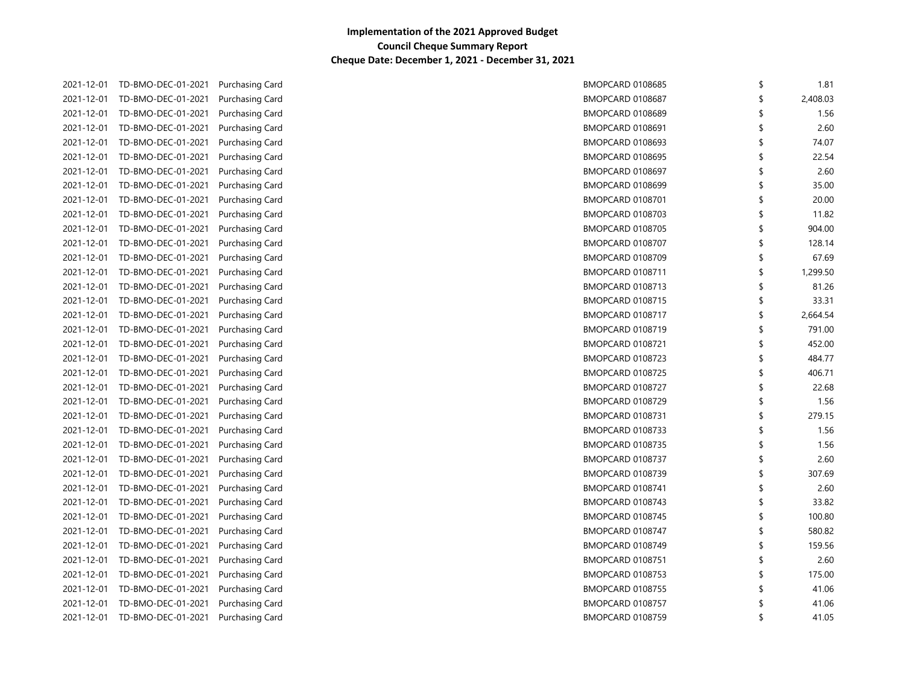|            | 2021-12-01 TD-BMO-DEC-01-2021 | Purchasing Card        | <b>BMOPCARD 0108685</b> | \$<br>1.81     |
|------------|-------------------------------|------------------------|-------------------------|----------------|
| 2021-12-01 | TD-BMO-DEC-01-2021            | <b>Purchasing Card</b> | BMOPCARD 0108687        | \$<br>2,408.03 |
| 2021-12-01 | TD-BMO-DEC-01-2021            | Purchasing Card        | <b>BMOPCARD 0108689</b> | \$<br>1.56     |
| 2021-12-01 | TD-BMO-DEC-01-2021            | Purchasing Card        | <b>BMOPCARD 0108691</b> | \$<br>2.60     |
| 2021-12-01 | TD-BMO-DEC-01-2021            | Purchasing Card        | <b>BMOPCARD 0108693</b> | \$<br>74.07    |
| 2021-12-01 | TD-BMO-DEC-01-2021            | Purchasing Card        | <b>BMOPCARD 0108695</b> | \$<br>22.54    |
| 2021-12-01 | TD-BMO-DEC-01-2021            | Purchasing Card        | BMOPCARD 0108697        | \$<br>2.60     |
| 2021-12-01 | TD-BMO-DEC-01-2021            | Purchasing Card        | BMOPCARD 0108699        | \$<br>35.00    |
| 2021-12-01 | TD-BMO-DEC-01-2021            | Purchasing Card        | BMOPCARD 0108701        | \$<br>20.00    |
| 2021-12-01 | TD-BMO-DEC-01-2021            | Purchasing Card        | BMOPCARD 0108703        | \$<br>11.82    |
| 2021-12-01 | TD-BMO-DEC-01-2021            | Purchasing Card        | <b>BMOPCARD 0108705</b> | \$<br>904.00   |
| 2021-12-01 | TD-BMO-DEC-01-2021            | Purchasing Card        | BMOPCARD 0108707        | \$<br>128.14   |
| 2021-12-01 | TD-BMO-DEC-01-2021            | Purchasing Card        | <b>BMOPCARD 0108709</b> | \$<br>67.69    |
| 2021-12-01 | TD-BMO-DEC-01-2021            | Purchasing Card        | BMOPCARD 0108711        | \$<br>1,299.50 |
| 2021-12-01 | TD-BMO-DEC-01-2021            | Purchasing Card        | BMOPCARD 0108713        | \$<br>81.26    |
| 2021-12-01 | TD-BMO-DEC-01-2021            | Purchasing Card        | BMOPCARD 0108715        | \$<br>33.31    |
| 2021-12-01 | TD-BMO-DEC-01-2021            | Purchasing Card        | BMOPCARD 0108717        | \$<br>2,664.54 |
| 2021-12-01 | TD-BMO-DEC-01-2021            | Purchasing Card        | BMOPCARD 0108719        | \$<br>791.00   |
| 2021-12-01 | TD-BMO-DEC-01-2021            | Purchasing Card        | BMOPCARD 0108721        | \$<br>452.00   |
| 2021-12-01 | TD-BMO-DEC-01-2021            | Purchasing Card        | BMOPCARD 0108723        | \$<br>484.77   |
|            | 2021-12-01 TD-BMO-DEC-01-2021 | Purchasing Card        | <b>BMOPCARD 0108725</b> | \$<br>406.71   |
| 2021-12-01 | TD-BMO-DEC-01-2021            | Purchasing Card        | BMOPCARD 0108727        | \$<br>22.68    |
|            | 2021-12-01 TD-BMO-DEC-01-2021 | Purchasing Card        | BMOPCARD 0108729        | \$<br>1.56     |
|            | 2021-12-01 TD-BMO-DEC-01-2021 | Purchasing Card        | BMOPCARD 0108731        | \$<br>279.15   |
|            | 2021-12-01 TD-BMO-DEC-01-2021 | Purchasing Card        | BMOPCARD 0108733        | \$<br>1.56     |
|            | 2021-12-01 TD-BMO-DEC-01-2021 | Purchasing Card        | BMOPCARD 0108735        | \$<br>1.56     |
|            | 2021-12-01 TD-BMO-DEC-01-2021 | Purchasing Card        | BMOPCARD 0108737        | \$<br>2.60     |
| 2021-12-01 | TD-BMO-DEC-01-2021            | Purchasing Card        | BMOPCARD 0108739        | \$<br>307.69   |
|            | 2021-12-01 TD-BMO-DEC-01-2021 | Purchasing Card        | BMOPCARD 0108741        | \$<br>2.60     |
| 2021-12-01 | TD-BMO-DEC-01-2021            | Purchasing Card        | BMOPCARD 0108743        | \$<br>33.82    |
| 2021-12-01 | TD-BMO-DEC-01-2021            | <b>Purchasing Card</b> | BMOPCARD 0108745        | \$<br>100.80   |
| 2021-12-01 | TD-BMO-DEC-01-2021            | <b>Purchasing Card</b> | BMOPCARD 0108747        | \$<br>580.82   |
| 2021-12-01 | TD-BMO-DEC-01-2021            | <b>Purchasing Card</b> | BMOPCARD 0108749        | \$<br>159.56   |
| 2021-12-01 | TD-BMO-DEC-01-2021            | Purchasing Card        | BMOPCARD 0108751        | \$<br>2.60     |
| 2021-12-01 | TD-BMO-DEC-01-2021            | Purchasing Card        | BMOPCARD 0108753        | \$<br>175.00   |
| 2021-12-01 | TD-BMO-DEC-01-2021            | Purchasing Card        | <b>BMOPCARD 0108755</b> | \$<br>41.06    |
| 2021-12-01 | TD-BMO-DEC-01-2021            | Purchasing Card        | BMOPCARD 0108757        | \$<br>41.06    |
|            | 2021-12-01 TD-BMO-DEC-01-2021 | Purchasing Card        | BMOPCARD 0108759        | \$<br>41.05    |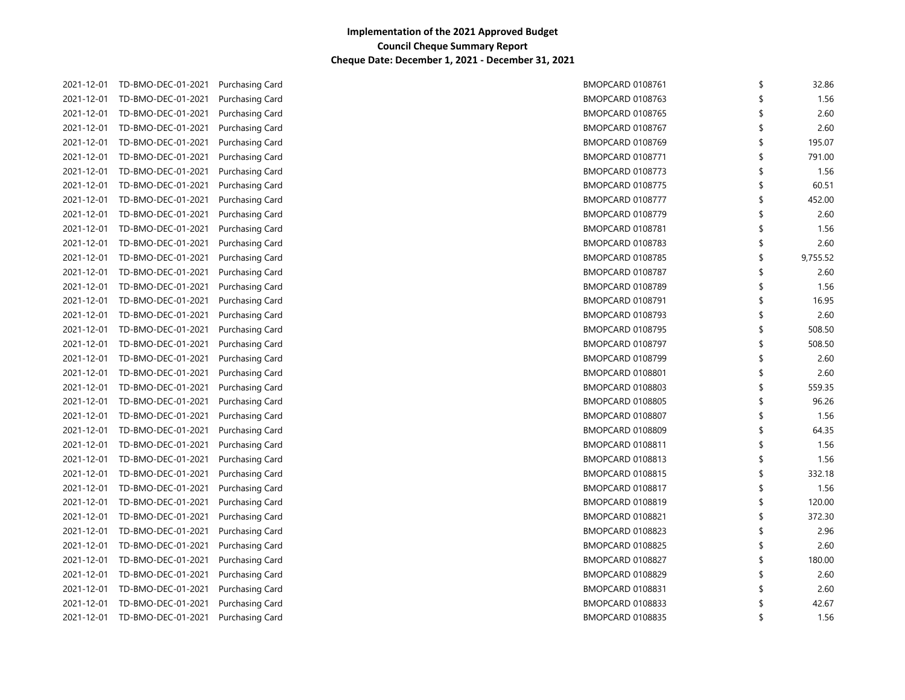|            | 2021-12-01 TD-BMO-DEC-01-2021 Purchasing Card |                        | BMOPCARD 0108761        | Ŝ  | 32.86    |
|------------|-----------------------------------------------|------------------------|-------------------------|----|----------|
|            | 2021-12-01 TD-BMO-DEC-01-2021                 | Purchasing Card        | BMOPCARD 0108763        |    | 1.56     |
|            | 2021-12-01 TD-BMO-DEC-01-2021                 | Purchasing Card        | <b>BMOPCARD 0108765</b> |    | 2.60     |
|            | 2021-12-01 TD-BMO-DEC-01-2021                 | Purchasing Card        | <b>BMOPCARD 0108767</b> |    | 2.60     |
|            | 2021-12-01 TD-BMO-DEC-01-2021                 | Purchasing Card        | BMOPCARD 0108769        | \$ | 195.07   |
| 2021-12-01 | TD-BMO-DEC-01-2021                            | Purchasing Card        | BMOPCARD 0108771        | \$ | 791.00   |
| 2021-12-01 | TD-BMO-DEC-01-2021                            | Purchasing Card        | BMOPCARD 0108773        | \$ | 1.56     |
| 2021-12-01 | TD-BMO-DEC-01-2021                            | Purchasing Card        | BMOPCARD 0108775        | \$ | 60.51    |
| 2021-12-01 | TD-BMO-DEC-01-2021                            | Purchasing Card        | BMOPCARD 0108777        | \$ | 452.00   |
| 2021-12-01 | TD-BMO-DEC-01-2021                            | Purchasing Card        | BMOPCARD 0108779        | \$ | 2.60     |
| 2021-12-01 | TD-BMO-DEC-01-2021                            | Purchasing Card        | BMOPCARD 0108781        | \$ | 1.56     |
| 2021-12-01 | TD-BMO-DEC-01-2021                            | Purchasing Card        | BMOPCARD 0108783        | \$ | 2.60     |
| 2021-12-01 | TD-BMO-DEC-01-2021                            | Purchasing Card        | <b>BMOPCARD 0108785</b> | \$ | 9,755.52 |
|            | 2021-12-01 TD-BMO-DEC-01-2021                 | <b>Purchasing Card</b> | BMOPCARD 0108787        | \$ | 2.60     |
|            | 2021-12-01 TD-BMO-DEC-01-2021                 | <b>Purchasing Card</b> | BMOPCARD 0108789        | \$ | 1.56     |
|            | 2021-12-01 TD-BMO-DEC-01-2021                 | <b>Purchasing Card</b> | BMOPCARD 0108791        | \$ | 16.95    |
|            | 2021-12-01 TD-BMO-DEC-01-2021                 | Purchasing Card        | BMOPCARD 0108793        | \$ | 2.60     |
|            | 2021-12-01 TD-BMO-DEC-01-2021                 | <b>Purchasing Card</b> | BMOPCARD 0108795        | \$ | 508.50   |
|            | 2021-12-01 TD-BMO-DEC-01-2021                 | Purchasing Card        | BMOPCARD 0108797        | \$ | 508.50   |
|            | 2021-12-01 TD-BMO-DEC-01-2021                 | Purchasing Card        | BMOPCARD 0108799        | Ŝ  | 2.60     |
|            | 2021-12-01 TD-BMO-DEC-01-2021                 | Purchasing Card        | <b>BMOPCARD 0108801</b> | \$ | 2.60     |
|            | 2021-12-01 TD-BMO-DEC-01-2021                 | Purchasing Card        | <b>BMOPCARD 0108803</b> | \$ | 559.35   |
|            | 2021-12-01 TD-BMO-DEC-01-2021                 | Purchasing Card        | <b>BMOPCARD 0108805</b> | \$ | 96.26    |
|            | 2021-12-01 TD-BMO-DEC-01-2021                 | Purchasing Card        | BMOPCARD 0108807        | \$ | 1.56     |
|            | 2021-12-01 TD-BMO-DEC-01-2021                 | Purchasing Card        | BMOPCARD 0108809        | \$ | 64.35    |
|            | 2021-12-01 TD-BMO-DEC-01-2021                 | Purchasing Card        | BMOPCARD 0108811        | \$ | 1.56     |
|            | 2021-12-01 TD-BMO-DEC-01-2021                 | Purchasing Card        | BMOPCARD 0108813        | \$ | 1.56     |
|            | 2021-12-01 TD-BMO-DEC-01-2021                 | Purchasing Card        | <b>BMOPCARD 0108815</b> | \$ | 332.18   |
|            | 2021-12-01 TD-BMO-DEC-01-2021                 | Purchasing Card        | BMOPCARD 0108817        | \$ | 1.56     |
|            | 2021-12-01 TD-BMO-DEC-01-2021                 | <b>Purchasing Card</b> | BMOPCARD 0108819        | \$ | 120.00   |
|            | 2021-12-01 TD-BMO-DEC-01-2021                 | Purchasing Card        | BMOPCARD 0108821        | \$ | 372.30   |
|            | 2021-12-01 TD-BMO-DEC-01-2021                 | Purchasing Card        | BMOPCARD 0108823        | \$ | 2.96     |
|            | 2021-12-01 TD-BMO-DEC-01-2021                 | <b>Purchasing Card</b> | BMOPCARD 0108825        | Ŝ  | 2.60     |
|            | 2021-12-01 TD-BMO-DEC-01-2021                 | Purchasing Card        | BMOPCARD 0108827        | \$ | 180.00   |
|            | 2021-12-01 TD-BMO-DEC-01-2021                 | Purchasing Card        | BMOPCARD 0108829        | \$ | 2.60     |
|            | 2021-12-01 TD-BMO-DEC-01-2021                 | Purchasing Card        | BMOPCARD 0108831        | Ŝ  | 2.60     |
|            | 2021-12-01 TD-BMO-DEC-01-2021                 | Purchasing Card        | <b>BMOPCARD 0108833</b> | S  | 42.67    |
|            | 2021-12-01 TD-BMO-DEC-01-2021                 | Purchasing Card        | <b>BMOPCARD 0108835</b> | ≮  | 1.56     |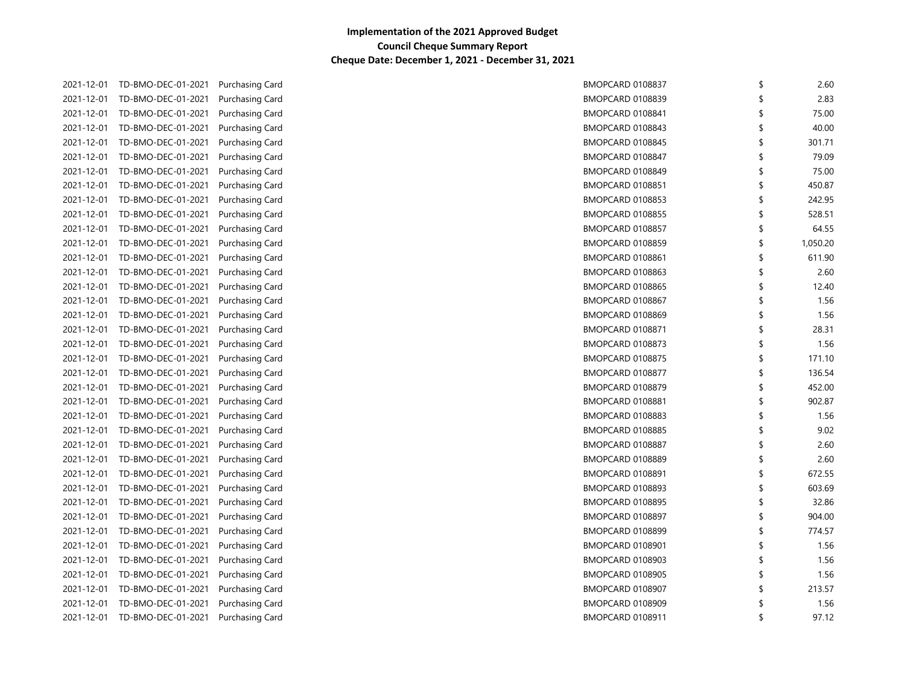| 2.60     |    | BMOPCARD 0108837        | 2021-12-01 TD-BMO-DEC-01-2021 |            |
|----------|----|-------------------------|-------------------------------|------------|
| 2.83     |    | BMOPCARD 0108839        | TD-BMO-DEC-01-2021            | 2021-12-01 |
| 75.00    |    | BMOPCARD 0108841        | 2021-12-01 TD-BMO-DEC-01-2021 |            |
| 40.00    |    | <b>BMOPCARD 0108843</b> | TD-BMO-DEC-01-2021            | 2021-12-01 |
| 301.71   |    | BMOPCARD 0108845        | TD-BMO-DEC-01-2021            | 2021-12-01 |
| 79.09    | \$ | BMOPCARD 0108847        | TD-BMO-DEC-01-2021            | 2021-12-01 |
| 75.00    | \$ | BMOPCARD 0108849        | TD-BMO-DEC-01-2021            | 2021-12-01 |
| 450.87   | \$ | <b>BMOPCARD 0108851</b> | TD-BMO-DEC-01-2021            | 2021-12-01 |
| 242.95   | \$ | BMOPCARD 0108853        | TD-BMO-DEC-01-2021            | 2021-12-01 |
| 528.51   | \$ | BMOPCARD 0108855        | TD-BMO-DEC-01-2021            | 2021-12-01 |
| 64.55    | \$ | BMOPCARD 0108857        | TD-BMO-DEC-01-2021            | 2021-12-01 |
| 1,050.20 | \$ | BMOPCARD 0108859        | TD-BMO-DEC-01-2021            | 2021-12-01 |
| 611.90   | \$ | BMOPCARD 0108861        | TD-BMO-DEC-01-2021            | 2021-12-01 |
| 2.60     | \$ | BMOPCARD 0108863        | TD-BMO-DEC-01-2021            | 2021-12-01 |
| 12.40    | \$ | BMOPCARD 0108865        | TD-BMO-DEC-01-2021            | 2021-12-01 |
| 1.56     |    | BMOPCARD 0108867        | TD-BMO-DEC-01-2021            | 2021-12-01 |
| 1.56     |    | BMOPCARD 0108869        | TD-BMO-DEC-01-2021            | 2021-12-01 |
| 28.31    | \$ | BMOPCARD 0108871        | TD-BMO-DEC-01-2021            | 2021-12-01 |
| 1.56     | \$ | BMOPCARD 0108873        | 2021-12-01 TD-BMO-DEC-01-2021 |            |
| 171.10   | Ŝ  | BMOPCARD 0108875        | 2021-12-01 TD-BMO-DEC-01-2021 |            |
| 136.54   | \$ | BMOPCARD 0108877        | 2021-12-01 TD-BMO-DEC-01-2021 |            |
| 452.00   | \$ | BMOPCARD 0108879        | 2021-12-01 TD-BMO-DEC-01-2021 |            |
| 902.87   | \$ | BMOPCARD 0108881        | 2021-12-01 TD-BMO-DEC-01-2021 |            |
| 1.56     | \$ | BMOPCARD 0108883        | 2021-12-01 TD-BMO-DEC-01-2021 |            |
| 9.02     | \$ | BMOPCARD 0108885        | 2021-12-01 TD-BMO-DEC-01-2021 |            |
| 2.60     | \$ | BMOPCARD 0108887        | 2021-12-01 TD-BMO-DEC-01-2021 |            |
| 2.60     | \$ | BMOPCARD 0108889        | 2021-12-01 TD-BMO-DEC-01-2021 |            |
| 672.55   | \$ | BMOPCARD 0108891        | 2021-12-01 TD-BMO-DEC-01-2021 |            |
| 603.69   | \$ | BMOPCARD 0108893        | 2021-12-01 TD-BMO-DEC-01-2021 |            |
| 32.86    | \$ | BMOPCARD 0108895        | 2021-12-01 TD-BMO-DEC-01-2021 |            |
| 904.00   | \$ | BMOPCARD 0108897        | 2021-12-01 TD-BMO-DEC-01-2021 |            |
| 774.57   | \$ | BMOPCARD 0108899        | TD-BMO-DEC-01-2021            | 2021-12-01 |
| 1.56     | \$ | <b>BMOPCARD 0108901</b> | TD-BMO-DEC-01-2021            | 2021-12-01 |
| 1.56     | \$ | <b>BMOPCARD 0108903</b> | TD-BMO-DEC-01-2021            | 2021-12-01 |
| 1.56     | \$ | <b>BMOPCARD 0108905</b> | TD-BMO-DEC-01-2021            | 2021-12-01 |
| 213.57   | \$ | BMOPCARD 0108907        | TD-BMO-DEC-01-2021            | 2021-12-01 |
| 1.56     | S  | <b>BMOPCARD 0108909</b> | TD-BMO-DEC-01-2021            | 2021-12-01 |
| 97.12    | ≮  | BMOPCARD 0108911        | 2021-12-01 TD-BMO-DEC-01-2021 |            |
|          |    |                         |                               |            |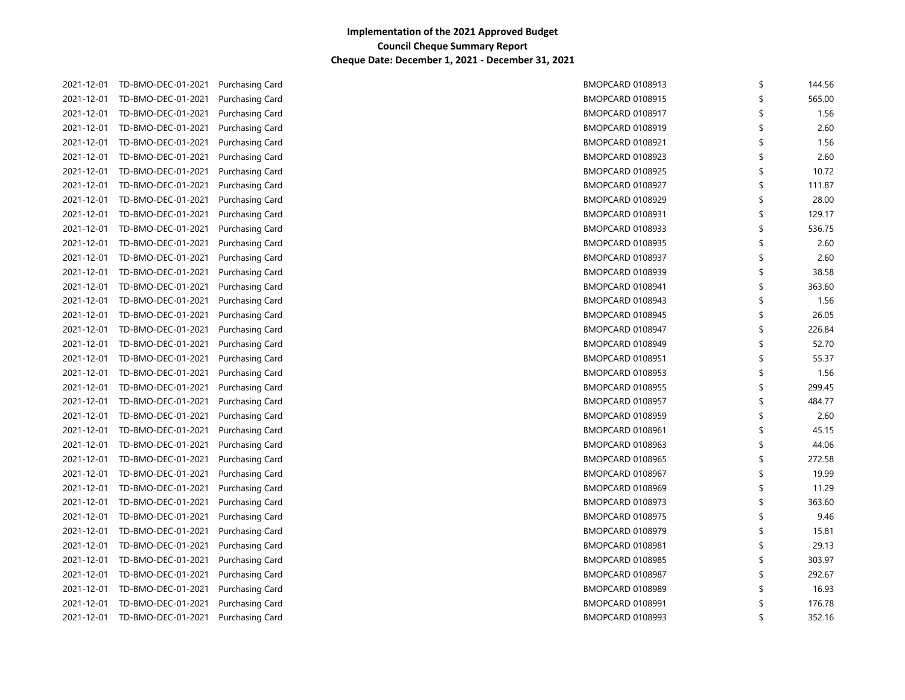|            | 2021-12-01 TD-BMO-DEC-01-2021 | Purchasing Card        | BMOPCARD 0108913        | \$<br>144.56 |
|------------|-------------------------------|------------------------|-------------------------|--------------|
|            | 2021-12-01 TD-BMO-DEC-01-2021 | Purchasing Card        | BMOPCARD 0108915        | \$<br>565.00 |
|            | 2021-12-01 TD-BMO-DEC-01-2021 | Purchasing Card        | BMOPCARD 0108917        | 1.56         |
|            | 2021-12-01 TD-BMO-DEC-01-2021 | Purchasing Card        | <b>BMOPCARD 0108919</b> | \$<br>2.60   |
|            | 2021-12-01 TD-BMO-DEC-01-2021 | Purchasing Card        | BMOPCARD 0108921        | \$<br>1.56   |
|            | 2021-12-01 TD-BMO-DEC-01-2021 | Purchasing Card        | BMOPCARD 0108923        | \$<br>2.60   |
|            | 2021-12-01 TD-BMO-DEC-01-2021 | Purchasing Card        | BMOPCARD 0108925        | \$<br>10.72  |
| 2021-12-01 | TD-BMO-DEC-01-2021            | <b>Purchasing Card</b> | BMOPCARD 0108927        | \$<br>111.87 |
| 2021-12-01 | TD-BMO-DEC-01-2021            | Purchasing Card        | BMOPCARD 0108929        | \$<br>28.00  |
| 2021-12-01 | TD-BMO-DEC-01-2021            | Purchasing Card        | BMOPCARD 0108931        | \$<br>129.17 |
| 2021-12-01 | TD-BMO-DEC-01-2021            | Purchasing Card        | BMOPCARD 0108933        | \$<br>536.75 |
|            | 2021-12-01 TD-BMO-DEC-01-2021 | Purchasing Card        | BMOPCARD 0108935        | \$<br>2.60   |
| 2021-12-01 | TD-BMO-DEC-01-2021            | Purchasing Card        | BMOPCARD 0108937        | \$<br>2.60   |
|            | 2021-12-01 TD-BMO-DEC-01-2021 | Purchasing Card        | BMOPCARD 0108939        | \$<br>38.58  |
|            | 2021-12-01 TD-BMO-DEC-01-2021 | Purchasing Card        | BMOPCARD 0108941        | \$<br>363.60 |
|            | 2021-12-01 TD-BMO-DEC-01-2021 | <b>Purchasing Card</b> | BMOPCARD 0108943        | \$<br>1.56   |
|            | 2021-12-01 TD-BMO-DEC-01-2021 | <b>Purchasing Card</b> | BMOPCARD 0108945        | \$<br>26.05  |
|            | 2021-12-01 TD-BMO-DEC-01-2021 | <b>Purchasing Card</b> | BMOPCARD 0108947        | \$<br>226.84 |
|            | 2021-12-01 TD-BMO-DEC-01-2021 | Purchasing Card        | BMOPCARD 0108949        | \$<br>52.70  |
|            | 2021-12-01 TD-BMO-DEC-01-2021 | Purchasing Card        | BMOPCARD 0108951        | \$<br>55.37  |
|            | 2021-12-01 TD-BMO-DEC-01-2021 | Purchasing Card        | BMOPCARD 0108953        | \$<br>1.56   |
|            | 2021-12-01 TD-BMO-DEC-01-2021 | Purchasing Card        | BMOPCARD 0108955        | \$<br>299.45 |
|            | 2021-12-01 TD-BMO-DEC-01-2021 | Purchasing Card        | BMOPCARD 0108957        | \$<br>484.77 |
|            | 2021-12-01 TD-BMO-DEC-01-2021 | <b>Purchasing Card</b> | BMOPCARD 0108959        | \$<br>2.60   |
|            | 2021-12-01 TD-BMO-DEC-01-2021 | <b>Purchasing Card</b> | BMOPCARD 0108961        | \$<br>45.15  |
|            | 2021-12-01 TD-BMO-DEC-01-2021 | Purchasing Card        | BMOPCARD 0108963        | \$<br>44.06  |
|            | 2021-12-01 TD-BMO-DEC-01-2021 | Purchasing Card        | BMOPCARD 0108965        | \$<br>272.58 |
|            | 2021-12-01 TD-BMO-DEC-01-2021 | <b>Purchasing Card</b> | BMOPCARD 0108967        | \$<br>19.99  |
|            | 2021-12-01 TD-BMO-DEC-01-2021 | Purchasing Card        | BMOPCARD 0108969        | \$<br>11.29  |
|            | 2021-12-01 TD-BMO-DEC-01-2021 | <b>Purchasing Card</b> | BMOPCARD 0108973        | \$<br>363.60 |
|            | 2021-12-01 TD-BMO-DEC-01-2021 | Purchasing Card        | BMOPCARD 0108975        | \$<br>9.46   |
|            | 2021-12-01 TD-BMO-DEC-01-2021 | <b>Purchasing Card</b> | BMOPCARD 0108979        | \$<br>15.81  |
|            | 2021-12-01 TD-BMO-DEC-01-2021 | <b>Purchasing Card</b> | BMOPCARD 0108981        | \$<br>29.13  |
|            | 2021-12-01 TD-BMO-DEC-01-2021 | Purchasing Card        | <b>BMOPCARD 0108985</b> | \$<br>303.97 |
|            | 2021-12-01 TD-BMO-DEC-01-2021 | Purchasing Card        | BMOPCARD 0108987        | \$<br>292.67 |
|            | 2021-12-01 TD-BMO-DEC-01-2021 | Purchasing Card        | BMOPCARD 0108989        | \$<br>16.93  |
|            | 2021-12-01 TD-BMO-DEC-01-2021 | Purchasing Card        | <b>BMOPCARD 0108991</b> | \$<br>176.78 |
|            | 2021-12-01 TD-BMO-DEC-01-2021 | Purchasing Card        | BMOPCARD 0108993        | \$<br>352.16 |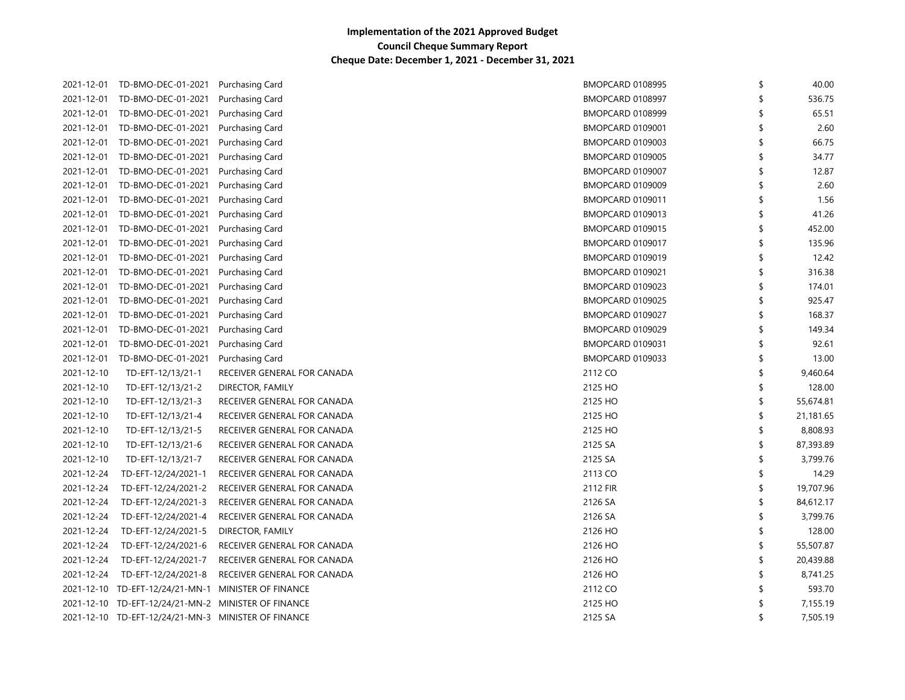|            | 2021-12-01 TD-BMO-DEC-01-2021 Purchasing Card       |                             | BMOPCARD 0108995        | \$<br>40.00     |
|------------|-----------------------------------------------------|-----------------------------|-------------------------|-----------------|
|            | 2021-12-01 TD-BMO-DEC-01-2021 Purchasing Card       |                             | BMOPCARD 0108997        | \$<br>536.75    |
|            | 2021-12-01 TD-BMO-DEC-01-2021                       | Purchasing Card             | BMOPCARD 0108999        | \$<br>65.51     |
|            | 2021-12-01 TD-BMO-DEC-01-2021                       | Purchasing Card             | <b>BMOPCARD 0109001</b> | \$<br>2.60      |
|            | 2021-12-01 TD-BMO-DEC-01-2021                       | Purchasing Card             | BMOPCARD 0109003        | \$<br>66.75     |
|            | 2021-12-01 TD-BMO-DEC-01-2021                       | Purchasing Card             | BMOPCARD 0109005        | 34.77           |
|            | 2021-12-01 TD-BMO-DEC-01-2021                       | Purchasing Card             | BMOPCARD 0109007        | 12.87           |
| 2021-12-01 | TD-BMO-DEC-01-2021                                  | Purchasing Card             | BMOPCARD 0109009        | 2.60            |
| 2021-12-01 | TD-BMO-DEC-01-2021                                  | Purchasing Card             | BMOPCARD 0109011        | 1.56            |
| 2021-12-01 | TD-BMO-DEC-01-2021                                  | Purchasing Card             | BMOPCARD 0109013        | \$<br>41.26     |
|            | 2021-12-01 TD-BMO-DEC-01-2021                       | Purchasing Card             | BMOPCARD 0109015        | \$<br>452.00    |
|            | 2021-12-01 TD-BMO-DEC-01-2021                       | Purchasing Card             | BMOPCARD 0109017        | \$<br>135.96    |
| 2021-12-01 | TD-BMO-DEC-01-2021                                  | Purchasing Card             | BMOPCARD 0109019        | \$<br>12.42     |
|            | 2021-12-01 TD-BMO-DEC-01-2021                       | Purchasing Card             | BMOPCARD 0109021        | \$<br>316.38    |
|            | 2021-12-01 TD-BMO-DEC-01-2021                       | Purchasing Card             | BMOPCARD 0109023        | \$<br>174.01    |
|            | 2021-12-01 TD-BMO-DEC-01-2021                       | Purchasing Card             | BMOPCARD 0109025        | \$<br>925.47    |
|            | 2021-12-01 TD-BMO-DEC-01-2021                       | Purchasing Card             | BMOPCARD 0109027        | \$<br>168.37    |
| 2021-12-01 | TD-BMO-DEC-01-2021                                  | <b>Purchasing Card</b>      | BMOPCARD 0109029        | \$<br>149.34    |
|            | 2021-12-01 TD-BMO-DEC-01-2021                       | Purchasing Card             | BMOPCARD 0109031        | \$<br>92.61     |
| 2021-12-01 | TD-BMO-DEC-01-2021                                  | Purchasing Card             | BMOPCARD 0109033        | \$<br>13.00     |
| 2021-12-10 | TD-EFT-12/13/21-1                                   | RECEIVER GENERAL FOR CANADA | 2112 CO                 | \$<br>9,460.64  |
| 2021-12-10 | TD-EFT-12/13/21-2                                   | DIRECTOR, FAMILY            | 2125 HO                 | \$<br>128.00    |
| 2021-12-10 | TD-EFT-12/13/21-3                                   | RECEIVER GENERAL FOR CANADA | 2125 HO                 | \$<br>55,674.81 |
| 2021-12-10 | TD-EFT-12/13/21-4                                   | RECEIVER GENERAL FOR CANADA | 2125 HO                 | \$<br>21,181.65 |
| 2021-12-10 | TD-EFT-12/13/21-5                                   | RECEIVER GENERAL FOR CANADA | 2125 HO                 | \$<br>8,808.93  |
| 2021-12-10 | TD-EFT-12/13/21-6                                   | RECEIVER GENERAL FOR CANADA | 2125 SA                 | \$<br>87,393.89 |
| 2021-12-10 | TD-EFT-12/13/21-7                                   | RECEIVER GENERAL FOR CANADA | 2125 SA                 | \$<br>3,799.76  |
| 2021-12-24 | TD-EFT-12/24/2021-1                                 | RECEIVER GENERAL FOR CANADA | 2113 CO                 | \$<br>14.29     |
| 2021-12-24 | TD-EFT-12/24/2021-2                                 | RECEIVER GENERAL FOR CANADA | 2112 FIR                | \$<br>19,707.96 |
| 2021-12-24 | TD-EFT-12/24/2021-3                                 | RECEIVER GENERAL FOR CANADA | 2126 SA                 | \$<br>84,612.17 |
| 2021-12-24 | TD-EFT-12/24/2021-4                                 | RECEIVER GENERAL FOR CANADA | 2126 SA                 | \$<br>3,799.76  |
| 2021-12-24 | TD-EFT-12/24/2021-5                                 | DIRECTOR, FAMILY            | 2126 HO                 | \$<br>128.00    |
| 2021-12-24 | TD-EFT-12/24/2021-6                                 | RECEIVER GENERAL FOR CANADA | 2126 HO                 | \$<br>55,507.87 |
| 2021-12-24 | TD-EFT-12/24/2021-7                                 | RECEIVER GENERAL FOR CANADA | 2126 HO                 | \$<br>20,439.88 |
| 2021-12-24 | TD-EFT-12/24/2021-8                                 | RECEIVER GENERAL FOR CANADA | 2126 HO                 | \$<br>8,741.25  |
|            | 2021-12-10 TD-EFT-12/24/21-MN-1 MINISTER OF FINANCE |                             | 2112 CO                 | 593.70          |
|            | 2021-12-10 TD-EFT-12/24/21-MN-2 MINISTER OF FINANCE |                             | 2125 HO                 | 7,155.19        |
|            | 2021-12-10 TD-EFT-12/24/21-MN-3 MINISTER OF FINANCE |                             | 2125 SA                 | \$<br>7,505.19  |